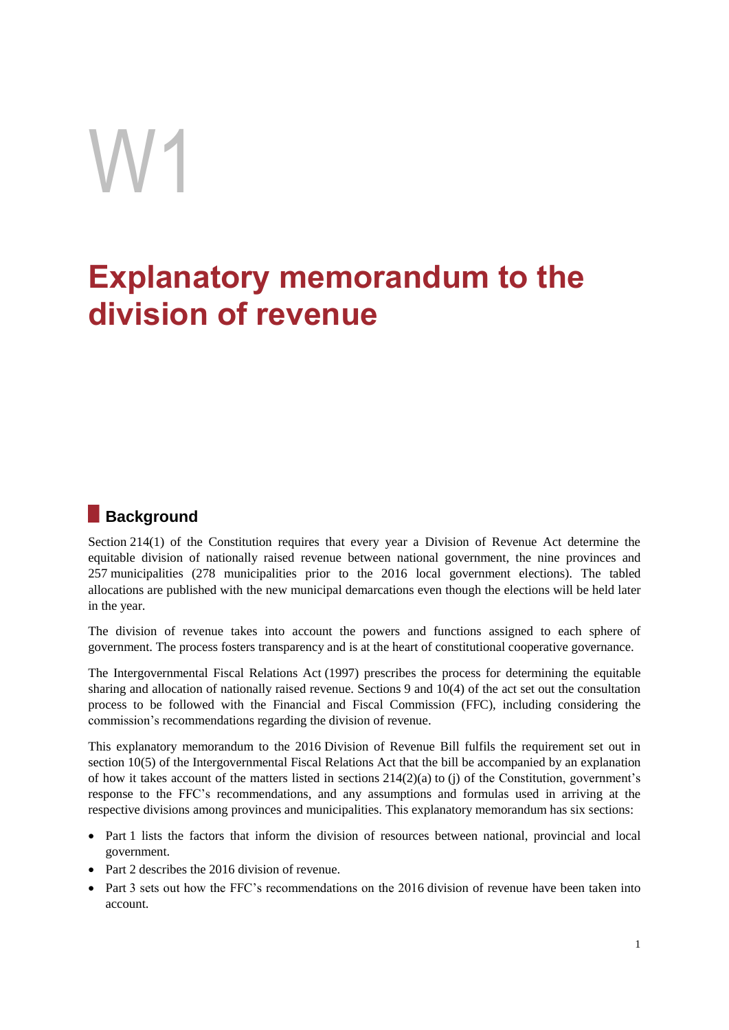# W1

# **Explanatory memorandum to the division of revenue**

# **Background**

Section 214(1) of the Constitution requires that every year a Division of Revenue Act determine the equitable division of nationally raised revenue between national government, the nine provinces and 257 municipalities (278 municipalities prior to the 2016 local government elections). The tabled allocations are published with the new municipal demarcations even though the elections will be held later in the year.

The division of revenue takes into account the powers and functions assigned to each sphere of government. The process fosters transparency and is at the heart of constitutional cooperative governance.

The Intergovernmental Fiscal Relations Act (1997) prescribes the process for determining the equitable sharing and allocation of nationally raised revenue. Sections 9 and 10(4) of the act set out the consultation process to be followed with the Financial and Fiscal Commission (FFC), including considering the commission's recommendations regarding the division of revenue.

This explanatory memorandum to the 2016 Division of Revenue Bill fulfils the requirement set out in section 10(5) of the Intergovernmental Fiscal Relations Act that the bill be accompanied by an explanation of how it takes account of the matters listed in sections  $214(2)(a)$  to (j) of the Constitution, government's response to the FFC's recommendations, and any assumptions and formulas used in arriving at the respective divisions among provinces and municipalities. This explanatory memorandum has six sections:

- Part 1 lists the factors that inform the division of resources between national, provincial and local government.
- Part 2 describes the 2016 division of revenue.
- Part 3 sets out how the FFC's recommendations on the 2016 division of revenue have been taken into account.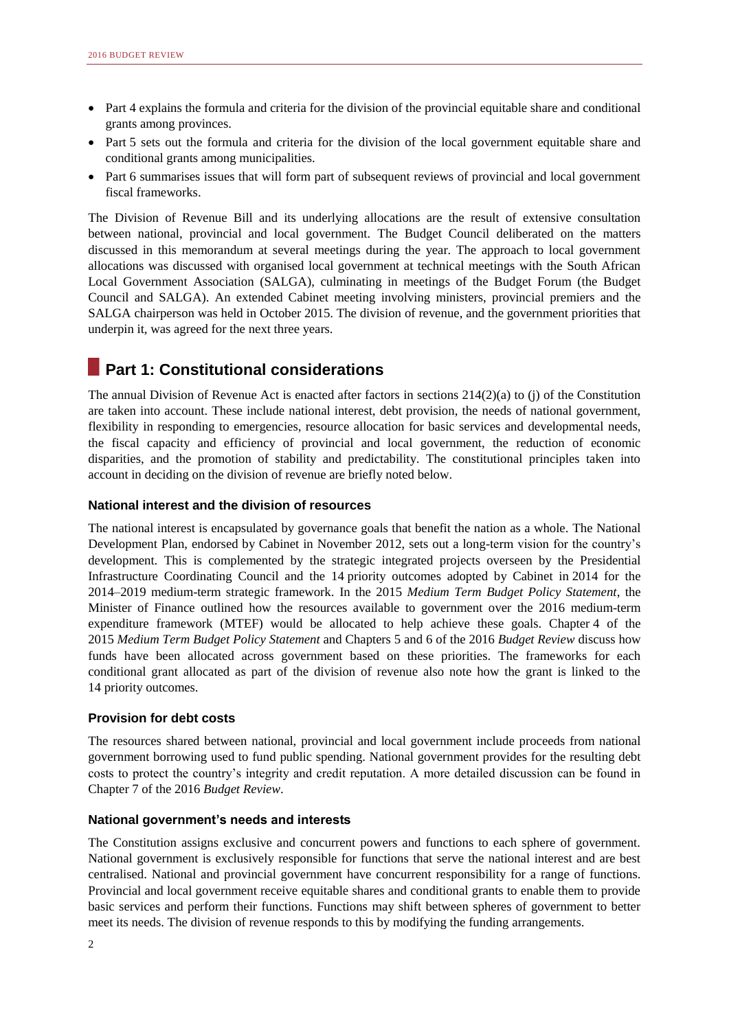- Part 4 explains the formula and criteria for the division of the provincial equitable share and conditional grants among provinces.
- Part 5 sets out the formula and criteria for the division of the local government equitable share and conditional grants among municipalities.
- Part 6 summarises issues that will form part of subsequent reviews of provincial and local government fiscal frameworks.

The Division of Revenue Bill and its underlying allocations are the result of extensive consultation between national, provincial and local government. The Budget Council deliberated on the matters discussed in this memorandum at several meetings during the year. The approach to local government allocations was discussed with organised local government at technical meetings with the South African Local Government Association (SALGA), culminating in meetings of the Budget Forum (the Budget Council and SALGA). An extended Cabinet meeting involving ministers, provincial premiers and the SALGA chairperson was held in October 2015. The division of revenue, and the government priorities that underpin it, was agreed for the next three years.

# **Part 1: Constitutional considerations**

The annual Division of Revenue Act is enacted after factors in sections 214(2)(a) to (j) of the Constitution are taken into account. These include national interest, debt provision, the needs of national government, flexibility in responding to emergencies, resource allocation for basic services and developmental needs, the fiscal capacity and efficiency of provincial and local government, the reduction of economic disparities, and the promotion of stability and predictability. The constitutional principles taken into account in deciding on the division of revenue are briefly noted below.

### **National interest and the division of resources**

The national interest is encapsulated by governance goals that benefit the nation as a whole. The National Development Plan, endorsed by Cabinet in November 2012, sets out a long-term vision for the country's development. This is complemented by the strategic integrated projects overseen by the Presidential Infrastructure Coordinating Council and the 14 priority outcomes adopted by Cabinet in 2014 for the 2014–2019 medium-term strategic framework. In the 2015 *Medium Term Budget Policy Statement*, the Minister of Finance outlined how the resources available to government over the 2016 medium-term expenditure framework (MTEF) would be allocated to help achieve these goals. Chapter 4 of the 2015 *Medium Term Budget Policy Statement* and Chapters 5 and 6 of the 2016 *Budget Review* discuss how funds have been allocated across government based on these priorities. The frameworks for each conditional grant allocated as part of the division of revenue also note how the grant is linked to the 14 priority outcomes.

### **Provision for debt costs**

The resources shared between national, provincial and local government include proceeds from national government borrowing used to fund public spending. National government provides for the resulting debt costs to protect the country's integrity and credit reputation. A more detailed discussion can be found in Chapter 7 of the 2016 *Budget Review*.

### **National government's needs and interests**

The Constitution assigns exclusive and concurrent powers and functions to each sphere of government. National government is exclusively responsible for functions that serve the national interest and are best centralised. National and provincial government have concurrent responsibility for a range of functions. Provincial and local government receive equitable shares and conditional grants to enable them to provide basic services and perform their functions. Functions may shift between spheres of government to better meet its needs. The division of revenue responds to this by modifying the funding arrangements.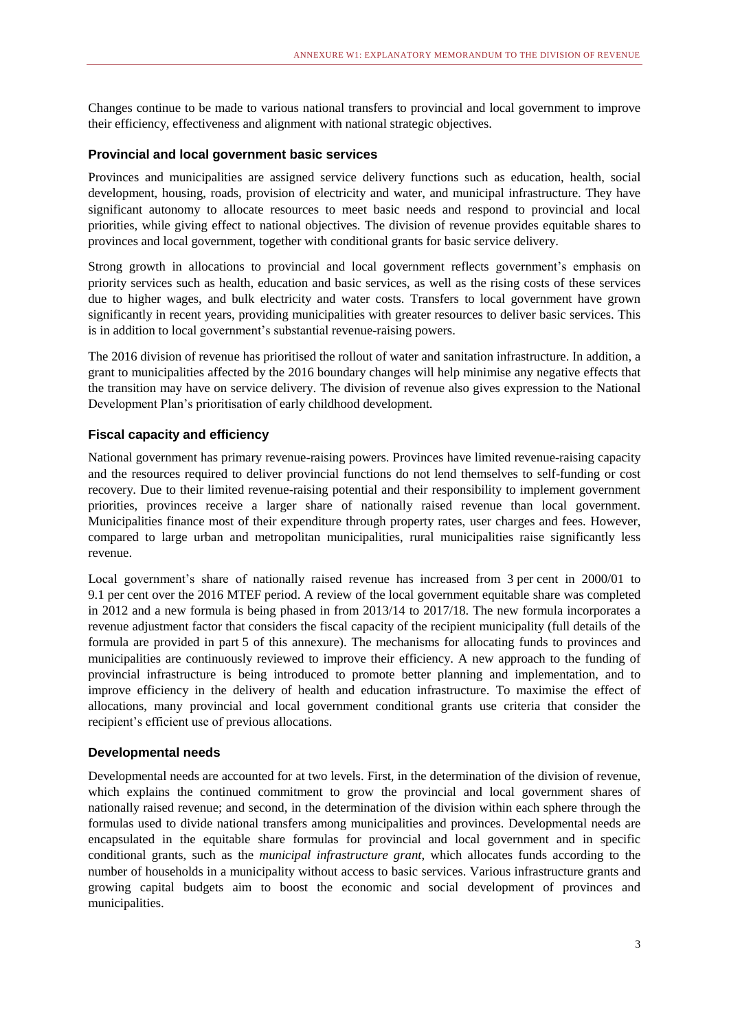Changes continue to be made to various national transfers to provincial and local government to improve their efficiency, effectiveness and alignment with national strategic objectives.

### **Provincial and local government basic services**

Provinces and municipalities are assigned service delivery functions such as education, health, social development, housing, roads, provision of electricity and water, and municipal infrastructure. They have significant autonomy to allocate resources to meet basic needs and respond to provincial and local priorities, while giving effect to national objectives. The division of revenue provides equitable shares to provinces and local government, together with conditional grants for basic service delivery.

Strong growth in allocations to provincial and local government reflects government's emphasis on priority services such as health, education and basic services, as well as the rising costs of these services due to higher wages, and bulk electricity and water costs. Transfers to local government have grown significantly in recent years, providing municipalities with greater resources to deliver basic services. This is in addition to local government's substantial revenue-raising powers.

The 2016 division of revenue has prioritised the rollout of water and sanitation infrastructure. In addition, a grant to municipalities affected by the 2016 boundary changes will help minimise any negative effects that the transition may have on service delivery. The division of revenue also gives expression to the National Development Plan's prioritisation of early childhood development.

### **Fiscal capacity and efficiency**

National government has primary revenue-raising powers. Provinces have limited revenue-raising capacity and the resources required to deliver provincial functions do not lend themselves to self-funding or cost recovery. Due to their limited revenue-raising potential and their responsibility to implement government priorities, provinces receive a larger share of nationally raised revenue than local government. Municipalities finance most of their expenditure through property rates, user charges and fees. However, compared to large urban and metropolitan municipalities, rural municipalities raise significantly less revenue.

Local government's share of nationally raised revenue has increased from 3 per cent in 2000/01 to 9.1 per cent over the 2016 MTEF period. A review of the local government equitable share was completed in 2012 and a new formula is being phased in from 2013/14 to 2017/18. The new formula incorporates a revenue adjustment factor that considers the fiscal capacity of the recipient municipality (full details of the formula are provided in part 5 of this annexure). The mechanisms for allocating funds to provinces and municipalities are continuously reviewed to improve their efficiency. A new approach to the funding of provincial infrastructure is being introduced to promote better planning and implementation, and to improve efficiency in the delivery of health and education infrastructure. To maximise the effect of allocations, many provincial and local government conditional grants use criteria that consider the recipient's efficient use of previous allocations.

### **Developmental needs**

Developmental needs are accounted for at two levels. First, in the determination of the division of revenue, which explains the continued commitment to grow the provincial and local government shares of nationally raised revenue; and second, in the determination of the division within each sphere through the formulas used to divide national transfers among municipalities and provinces. Developmental needs are encapsulated in the equitable share formulas for provincial and local government and in specific conditional grants, such as the *municipal infrastructure grant*, which allocates funds according to the number of households in a municipality without access to basic services. Various infrastructure grants and growing capital budgets aim to boost the economic and social development of provinces and municipalities.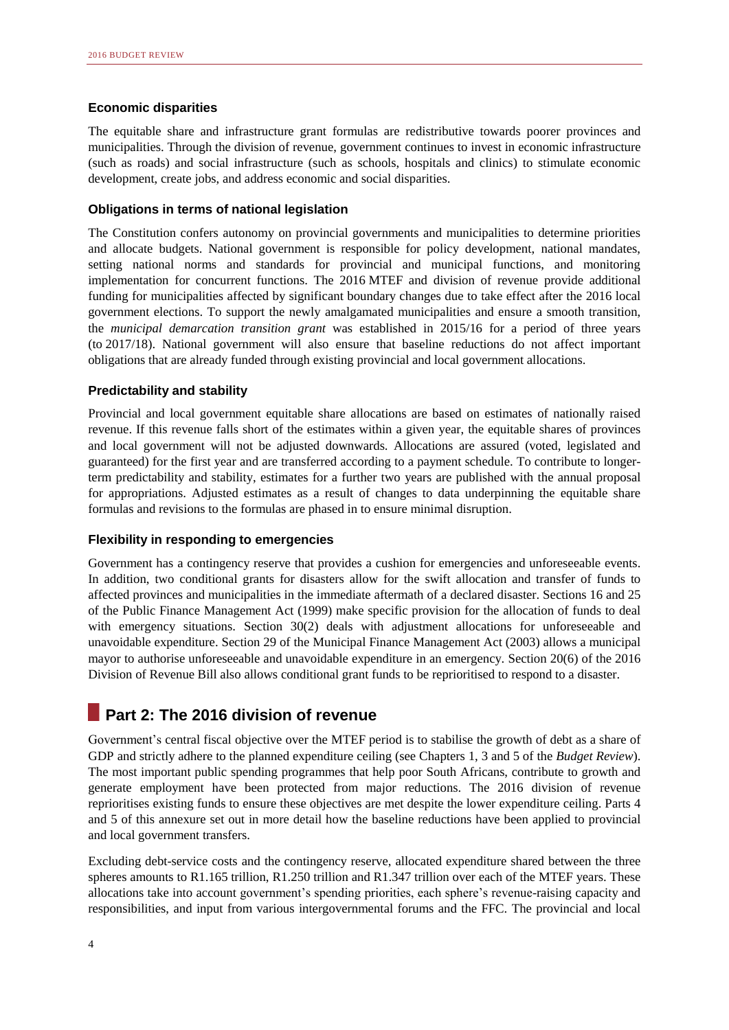### **Economic disparities**

The equitable share and infrastructure grant formulas are redistributive towards poorer provinces and municipalities. Through the division of revenue, government continues to invest in economic infrastructure (such as roads) and social infrastructure (such as schools, hospitals and clinics) to stimulate economic development, create jobs, and address economic and social disparities.

### **Obligations in terms of national legislation**

The Constitution confers autonomy on provincial governments and municipalities to determine priorities and allocate budgets. National government is responsible for policy development, national mandates, setting national norms and standards for provincial and municipal functions, and monitoring implementation for concurrent functions. The 2016 MTEF and division of revenue provide additional funding for municipalities affected by significant boundary changes due to take effect after the 2016 local government elections. To support the newly amalgamated municipalities and ensure a smooth transition, the *municipal demarcation transition grant* was established in 2015/16 for a period of three years (to 2017/18). National government will also ensure that baseline reductions do not affect important obligations that are already funded through existing provincial and local government allocations.

### **Predictability and stability**

Provincial and local government equitable share allocations are based on estimates of nationally raised revenue. If this revenue falls short of the estimates within a given year, the equitable shares of provinces and local government will not be adjusted downwards. Allocations are assured (voted, legislated and guaranteed) for the first year and are transferred according to a payment schedule. To contribute to longerterm predictability and stability, estimates for a further two years are published with the annual proposal for appropriations. Adjusted estimates as a result of changes to data underpinning the equitable share formulas and revisions to the formulas are phased in to ensure minimal disruption.

### **Flexibility in responding to emergencies**

Government has a contingency reserve that provides a cushion for emergencies and unforeseeable events. In addition, two conditional grants for disasters allow for the swift allocation and transfer of funds to affected provinces and municipalities in the immediate aftermath of a declared disaster. Sections 16 and 25 of the Public Finance Management Act (1999) make specific provision for the allocation of funds to deal with emergency situations. Section 30(2) deals with adjustment allocations for unforeseeable and unavoidable expenditure. Section 29 of the Municipal Finance Management Act (2003) allows a municipal mayor to authorise unforeseeable and unavoidable expenditure in an emergency. Section 20(6) of the 2016 Division of Revenue Bill also allows conditional grant funds to be reprioritised to respond to a disaster.

# **Part 2: The 2016 division of revenue**

Government's central fiscal objective over the MTEF period is to stabilise the growth of debt as a share of GDP and strictly adhere to the planned expenditure ceiling (see Chapters 1, 3 and 5 of the *Budget Review*). The most important public spending programmes that help poor South Africans, contribute to growth and generate employment have been protected from major reductions. The 2016 division of revenue reprioritises existing funds to ensure these objectives are met despite the lower expenditure ceiling. Parts 4 and 5 of this annexure set out in more detail how the baseline reductions have been applied to provincial and local government transfers.

Excluding debt-service costs and the contingency reserve, allocated expenditure shared between the three spheres amounts to R1.165 trillion, R1.250 trillion and R1.347 trillion over each of the MTEF years. These allocations take into account government's spending priorities, each sphere's revenue-raising capacity and responsibilities, and input from various intergovernmental forums and the FFC. The provincial and local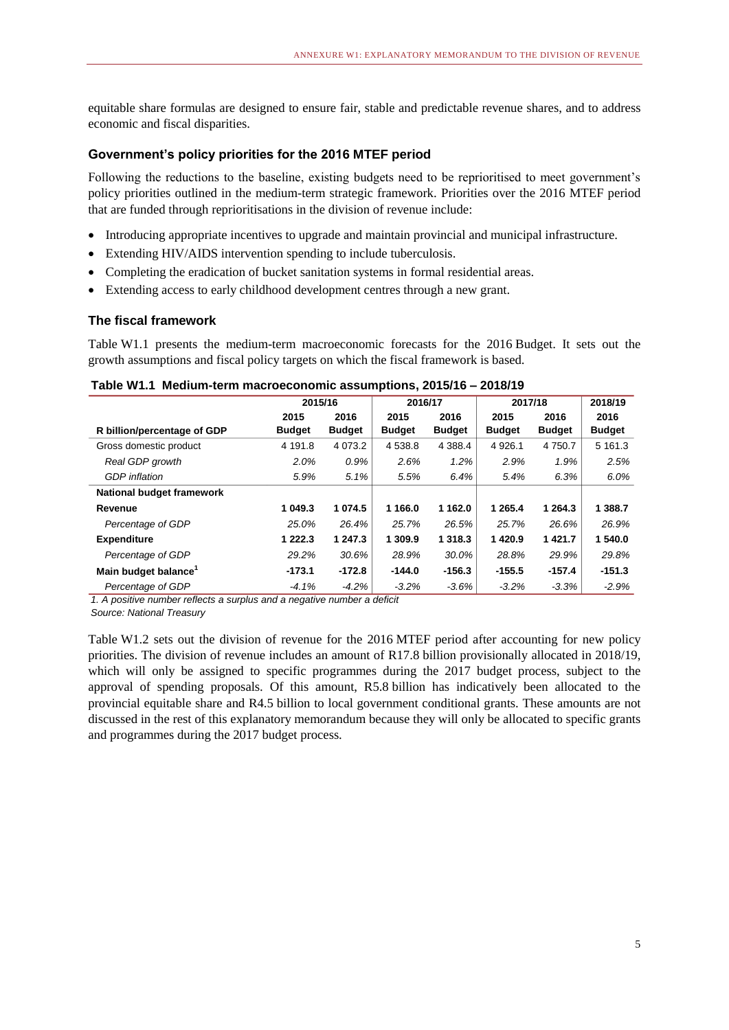equitable share formulas are designed to ensure fair, stable and predictable revenue shares, and to address economic and fiscal disparities.

### **Government's policy priorities for the 2016 MTEF period**

Following the reductions to the baseline, existing budgets need to be reprioritised to meet government's policy priorities outlined in the medium-term strategic framework. Priorities over the 2016 MTEF period that are funded through reprioritisations in the division of revenue include:

- Introducing appropriate incentives to upgrade and maintain provincial and municipal infrastructure.
- Extending HIV/AIDS intervention spending to include tuberculosis.
- Completing the eradication of bucket sanitation systems in formal residential areas.
- Extending access to early childhood development centres through a new grant.

### **The fiscal framework**

Table W1.1 presents the medium-term macroeconomic forecasts for the 2016 Budget. It sets out the growth assumptions and fiscal policy targets on which the fiscal framework is based.

|                                  |               | 2015/16<br>2016/17 |               | 2017/18       |               | 2018/19       |               |
|----------------------------------|---------------|--------------------|---------------|---------------|---------------|---------------|---------------|
|                                  | 2015          | 2016               | 2015          | 2016          | 2015          | 2016          | 2016          |
| R billion/percentage of GDP      | <b>Budget</b> | <b>Budget</b>      | <b>Budget</b> | <b>Budget</b> | <b>Budget</b> | <b>Budget</b> | <b>Budget</b> |
| Gross domestic product           | 4 191.8       | 4 0 7 3 .2         | 4 538.8       | 4 3 8 8.4     | 4 9 2 6.1     | 4 7 5 0 . 7   | 5 161.3       |
| Real GDP growth                  | 2.0%          | 0.9%               | 2.6%          | 1.2%          | 2.9%          | 1.9%          | 2.5%          |
| <b>GDP</b> inflation             | 5.9%          | 5.1%               | 5.5%          | 6.4%          | 5.4%          | 6.3%          | $6.0\%$       |
| National budget framework        |               |                    |               |               |               |               |               |
| Revenue                          | 1 049.3       | 1 0 7 4 .5         | 1 166.0       | 1 162.0       | 1 2 6 5 . 4   | 1 264.3       | 1 388.7       |
| Percentage of GDP                | 25.0%         | 26.4%              | 25.7%         | 26.5%         | 25.7%         | 26.6%         | 26.9%         |
| <b>Expenditure</b>               | 1 2 2 2 . 3   | 1 247.3            | 1 309.9       | 1 3 1 8 . 3   | 1420.9        | 1421.7        | 1 540.0       |
| Percentage of GDP                | 29.2%         | 30.6%              | 28.9%         | 30.0%         | 28.8%         | 29.9%         | 29.8%         |
| Main budget balance <sup>1</sup> | $-173.1$      | $-172.8$           | $-144.0$      | $-156.3$      | $-155.5$      | $-157.4$      | $-151.3$      |
| Percentage of GDP                | $-4.1%$       | $-4.2\%$           | $-3.2%$       | $-3.6\%$      | $-3.2%$       | $-3.3%$       | $-2.9%$       |

### **Table W1.1 Medium-term macroeconomic assumptions, 2015/16 – 2018/19**

*1. A positive number reflects a surplus and a negative number a deficit*

*Source: National Treasury*

Table W1.2 sets out the division of revenue for the 2016 MTEF period after accounting for new policy priorities. The division of revenue includes an amount of R17.8 billion provisionally allocated in 2018/19, which will only be assigned to specific programmes during the 2017 budget process, subject to the approval of spending proposals. Of this amount, R5.8 billion has indicatively been allocated to the provincial equitable share and R4.5 billion to local government conditional grants. These amounts are not discussed in the rest of this explanatory memorandum because they will only be allocated to specific grants and programmes during the 2017 budget process.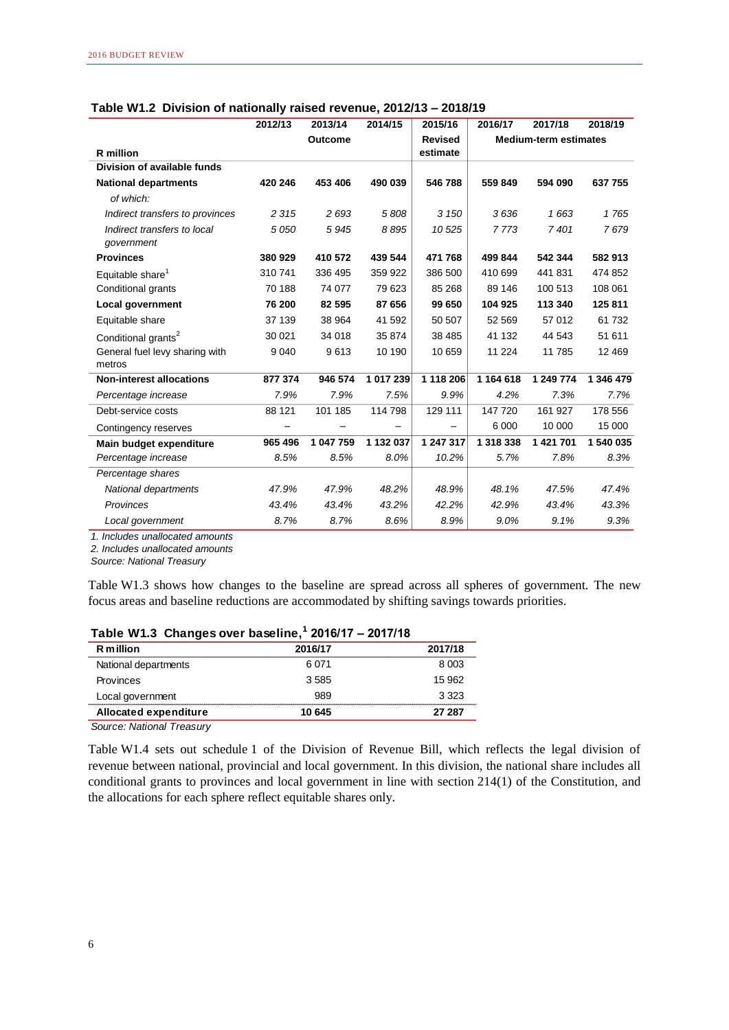|                                           | 2012/13 | 2013/14        | 2014/15   | 2015/16        | 2016/17   | 2017/18                      | 2018/19   |
|-------------------------------------------|---------|----------------|-----------|----------------|-----------|------------------------------|-----------|
|                                           |         | <b>Outcome</b> |           | <b>Revised</b> |           | <b>Medium-term estimates</b> |           |
| <b>R</b> million                          |         |                |           | estimate       |           |                              |           |
| Division of available funds               |         |                |           |                |           |                              |           |
| <b>National departments</b>               | 420 246 | 453 406        | 490 039   | 546788         | 559 849   | 594 090                      | 637 755   |
| of which:                                 |         |                |           |                |           |                              |           |
| Indirect transfers to provinces           | 2 3 1 5 | 2693           | 5808      | 3 1 5 0        | 3636      | 1663                         | 1765      |
| Indirect transfers to local<br>qovernment | 5 0 5 0 | 5945           | 8895      | 10525          | 7773      | 7401                         | 7679      |
| <b>Provinces</b>                          | 380 929 | 410 572        | 439 544   | 471 768        | 499 844   | 542 344                      | 582913    |
| Equitable share <sup>1</sup>              | 310741  | 336 495        | 359 922   | 386 500        | 410 699   | 441831                       | 474 852   |
| Conditional grants                        | 70 188  | 74 077         | 79 623    | 85 268         | 89 146    | 100 513                      | 108 061   |
| <b>Local government</b>                   | 76 200  | 82 595         | 87 656    | 99 650         | 104 925   | 113 340                      | 125 811   |
| Equitable share                           | 37 139  | 38 964         | 41 592    | 50 507         | 52 569    | 57 012                       | 61 732    |
| Conditional grants <sup>2</sup>           | 30 0 21 | 34 018         | 35 874    | 38 485         | 41 132    | 44 543                       | 51 611    |
| General fuel levy sharing with<br>metros  | 9 0 4 0 | 9613           | 10 190    | 10 659         | 11 224    | 11785                        | 12 4 69   |
| <b>Non-interest allocations</b>           | 877 374 | 946 574        | 1 017 239 | 1 118 206      | 1 164 618 | 1 249 774                    | 1 346 479 |
| Percentage increase                       | 7.9%    | 7.9%           | 7.5%      | 9.9%           | 4.2%      | 7.3%                         | 7.7%      |
| Debt-service costs                        | 88 121  | 101 185        | 114 798   | 129 111        | 147 720   | 161 927                      | 178 556   |
| Contingency reserves                      |         |                |           |                | 6 0 0 0   | 10 000                       | 15 000    |
| Main budget expenditure                   | 965 496 | 1 047 759      | 1 132 037 | 1 247 317      | 1 318 338 | 1 421 701                    | 1 540 035 |
| Percentage increase                       | 8.5%    | 8.5%           | 8.0%      | 10.2%          | 5.7%      | 7.8%                         | 8.3%      |
| Percentage shares                         |         |                |           |                |           |                              |           |
| National departments                      | 47.9%   | 47.9%          | 48.2%     | 48.9%          | 48.1%     | 47.5%                        | 47.4%     |
| Provinces                                 | 43.4%   | 43.4%          | 43.2%     | 42.2%          | 42.9%     | 43.4%                        | 43.3%     |
| Local government                          | 8.7%    | 8.7%           | 8.6%      | 8.9%           | 9.0%      | 9.1%                         | 9.3%      |

|  | Table W1.2 Division of nationally raised revenue, 2012/13 - 2018/19 |
|--|---------------------------------------------------------------------|
|--|---------------------------------------------------------------------|

*1. Includes unallocated amounts*

*2. Includes unallocated amounts*

*Source: National Treasury*

Table W1.3 shows how changes to the baseline are spread across all spheres of government. The new focus areas and baseline reductions are accommodated by shifting savings towards priorities.

| Table W1.3 Changes over baseline, 2016/17 – 2017/18 |         |         |  |  |
|-----------------------------------------------------|---------|---------|--|--|
| R million                                           | 2016/17 | 2017/18 |  |  |
| National departments                                | 6071    | 8.003   |  |  |
| <b>Provinces</b>                                    | 3585    | 15.962  |  |  |
| Local government                                    | 989     | 3.323   |  |  |
| Allocated expenditure                               | 10 645  | 27 287  |  |  |

### **Table W1.3 Changes over baseline,<sup>1</sup> 2016/17 – 2017/18**

*Source: National Treasury*

Table W1.4 sets out schedule 1 of the Division of Revenue Bill, which reflects the legal division of revenue between national, provincial and local government. In this division, the national share includes all conditional grants to provinces and local government in line with section 214(1) of the Constitution, and the allocations for each sphere reflect equitable shares only.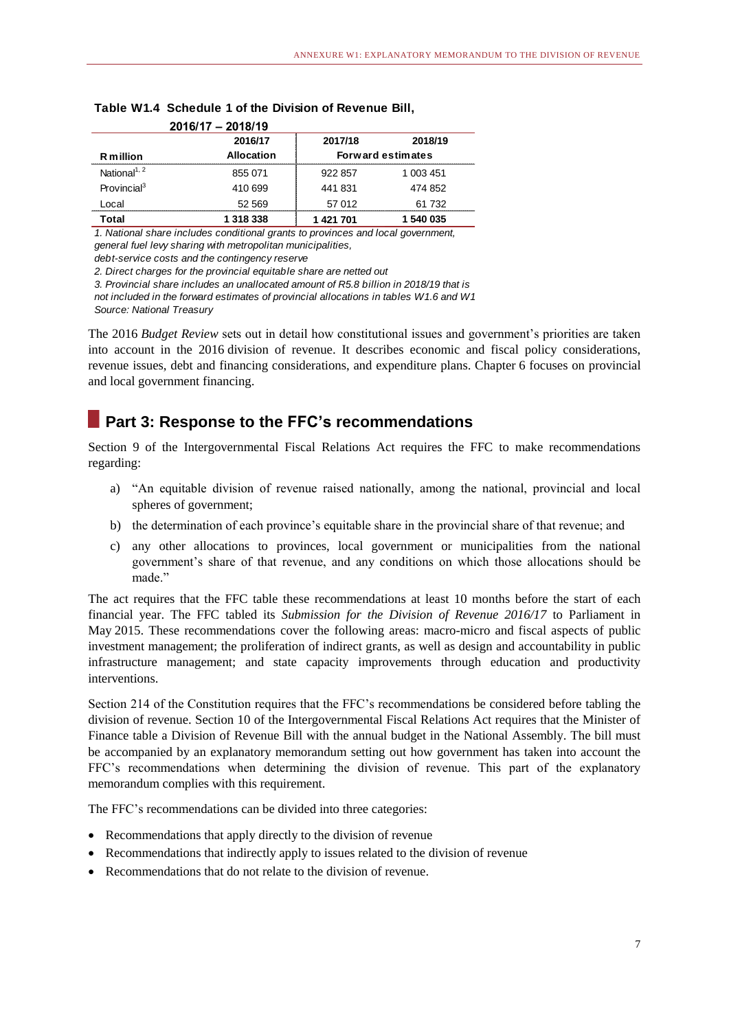|                          | 2016/17 - 2018/19 |           |                          |
|--------------------------|-------------------|-----------|--------------------------|
|                          | 2016/17           | 2017/18   | 2018/19                  |
| R million                | <b>Allocation</b> |           | <b>Forward estimates</b> |
| National <sup>1, 2</sup> | 855 071           | 922 857   | 1 003 451                |
| Provincial <sup>3</sup>  | 410 699           | 441831    | 474 852                  |
| ocal                     | 52 569            | 57 012    | 61 732                   |
| Total                    | 1 318 338         | 1 421 701 | 1 540 035                |

# **Table W1.4 Schedule 1 of the Division of Revenue Bill,**

*1. National share includes conditional grants to provinces and local government, general fuel levy sharing with metropolitan municipalities,*

*debt-service costs and the contingency reserve*

*2. Direct charges for the provincial equitable share are netted out*

*3. Provincial share includes an unallocated amount of R5.8 billion in 2018/19 that is* 

*not included in the forward estimates of provincial allocations in tables W1.6 and W1.10 Source: National Treasury*

The 2016 *Budget Review* sets out in detail how constitutional issues and government's priorities are taken into account in the 2016 division of revenue. It describes economic and fiscal policy considerations, revenue issues, debt and financing considerations, and expenditure plans. Chapter 6 focuses on provincial and local government financing.

# **Part 3: Response to the FFC's recommendations**

Section 9 of the Intergovernmental Fiscal Relations Act requires the FFC to make recommendations regarding:

- a) "An equitable division of revenue raised nationally, among the national, provincial and local spheres of government;
- b) the determination of each province's equitable share in the provincial share of that revenue; and
- c) any other allocations to provinces, local government or municipalities from the national government's share of that revenue, and any conditions on which those allocations should be made."

The act requires that the FFC table these recommendations at least 10 months before the start of each financial year. The FFC tabled its *Submission for the Division of Revenue 2016/17* to Parliament in May 2015. These recommendations cover the following areas: macro-micro and fiscal aspects of public investment management; the proliferation of indirect grants, as well as design and accountability in public infrastructure management; and state capacity improvements through education and productivity interventions.

Section 214 of the Constitution requires that the FFC's recommendations be considered before tabling the division of revenue. Section 10 of the Intergovernmental Fiscal Relations Act requires that the Minister of Finance table a Division of Revenue Bill with the annual budget in the National Assembly. The bill must be accompanied by an explanatory memorandum setting out how government has taken into account the FFC's recommendations when determining the division of revenue. This part of the explanatory memorandum complies with this requirement.

The FFC's recommendations can be divided into three categories:

- Recommendations that apply directly to the division of revenue
- Recommendations that indirectly apply to issues related to the division of revenue
- Recommendations that do not relate to the division of revenue.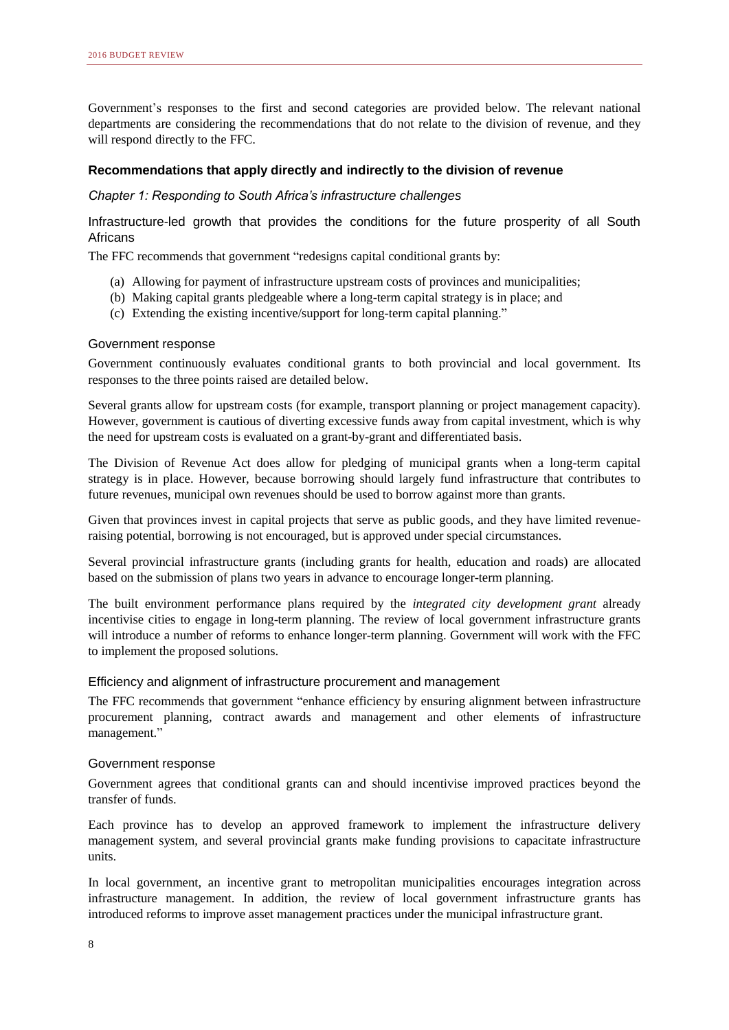Government's responses to the first and second categories are provided below. The relevant national departments are considering the recommendations that do not relate to the division of revenue, and they will respond directly to the FFC.

### **Recommendations that apply directly and indirectly to the division of revenue**

### *Chapter 1: Responding to South Africa's infrastructure challenges*

Infrastructure-led growth that provides the conditions for the future prosperity of all South Africans

The FFC recommends that government "redesigns capital conditional grants by:

- (a) Allowing for payment of infrastructure upstream costs of provinces and municipalities;
- (b) Making capital grants pledgeable where a long-term capital strategy is in place; and
- (c) Extending the existing incentive/support for long-term capital planning."

### Government response

Government continuously evaluates conditional grants to both provincial and local government. Its responses to the three points raised are detailed below.

Several grants allow for upstream costs (for example, transport planning or project management capacity). However, government is cautious of diverting excessive funds away from capital investment, which is why the need for upstream costs is evaluated on a grant-by-grant and differentiated basis.

The Division of Revenue Act does allow for pledging of municipal grants when a long-term capital strategy is in place. However, because borrowing should largely fund infrastructure that contributes to future revenues, municipal own revenues should be used to borrow against more than grants.

Given that provinces invest in capital projects that serve as public goods, and they have limited revenueraising potential, borrowing is not encouraged, but is approved under special circumstances.

Several provincial infrastructure grants (including grants for health, education and roads) are allocated based on the submission of plans two years in advance to encourage longer-term planning.

The built environment performance plans required by the *integrated city development grant* already incentivise cities to engage in long-term planning. The review of local government infrastructure grants will introduce a number of reforms to enhance longer-term planning. Government will work with the FFC to implement the proposed solutions.

### Efficiency and alignment of infrastructure procurement and management

The FFC recommends that government "enhance efficiency by ensuring alignment between infrastructure procurement planning, contract awards and management and other elements of infrastructure management."

### Government response

Government agrees that conditional grants can and should incentivise improved practices beyond the transfer of funds.

Each province has to develop an approved framework to implement the infrastructure delivery management system, and several provincial grants make funding provisions to capacitate infrastructure units.

In local government, an incentive grant to metropolitan municipalities encourages integration across infrastructure management. In addition, the review of local government infrastructure grants has introduced reforms to improve asset management practices under the municipal infrastructure grant.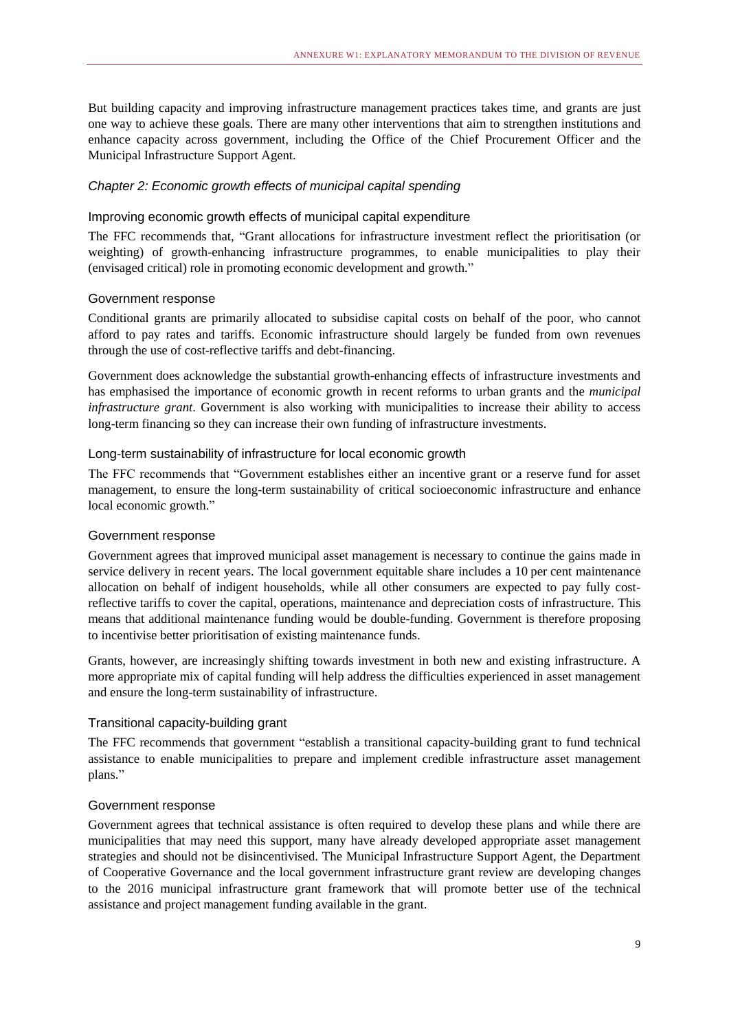But building capacity and improving infrastructure management practices takes time, and grants are just one way to achieve these goals. There are many other interventions that aim to strengthen institutions and enhance capacity across government, including the Office of the Chief Procurement Officer and the Municipal Infrastructure Support Agent.

### *Chapter 2: Economic growth effects of municipal capital spending*

### Improving economic growth effects of municipal capital expenditure

The FFC recommends that, "Grant allocations for infrastructure investment reflect the prioritisation (or weighting) of growth-enhancing infrastructure programmes, to enable municipalities to play their (envisaged critical) role in promoting economic development and growth."

### Government response

Conditional grants are primarily allocated to subsidise capital costs on behalf of the poor, who cannot afford to pay rates and tariffs. Economic infrastructure should largely be funded from own revenues through the use of cost-reflective tariffs and debt-financing.

Government does acknowledge the substantial growth-enhancing effects of infrastructure investments and has emphasised the importance of economic growth in recent reforms to urban grants and the *municipal infrastructure grant*. Government is also working with municipalities to increase their ability to access long-term financing so they can increase their own funding of infrastructure investments.

### Long-term sustainability of infrastructure for local economic growth

The FFC recommends that "Government establishes either an incentive grant or a reserve fund for asset management, to ensure the long-term sustainability of critical socioeconomic infrastructure and enhance local economic growth."

### Government response

Government agrees that improved municipal asset management is necessary to continue the gains made in service delivery in recent years. The local government equitable share includes a 10 per cent maintenance allocation on behalf of indigent households, while all other consumers are expected to pay fully costreflective tariffs to cover the capital, operations, maintenance and depreciation costs of infrastructure. This means that additional maintenance funding would be double-funding. Government is therefore proposing to incentivise better prioritisation of existing maintenance funds.

Grants, however, are increasingly shifting towards investment in both new and existing infrastructure. A more appropriate mix of capital funding will help address the difficulties experienced in asset management and ensure the long-term sustainability of infrastructure.

### Transitional capacity-building grant

The FFC recommends that government "establish a transitional capacity-building grant to fund technical assistance to enable municipalities to prepare and implement credible infrastructure asset management plans."

### Government response

Government agrees that technical assistance is often required to develop these plans and while there are municipalities that may need this support, many have already developed appropriate asset management strategies and should not be disincentivised. The Municipal Infrastructure Support Agent, the Department of Cooperative Governance and the local government infrastructure grant review are developing changes to the 2016 municipal infrastructure grant framework that will promote better use of the technical assistance and project management funding available in the grant.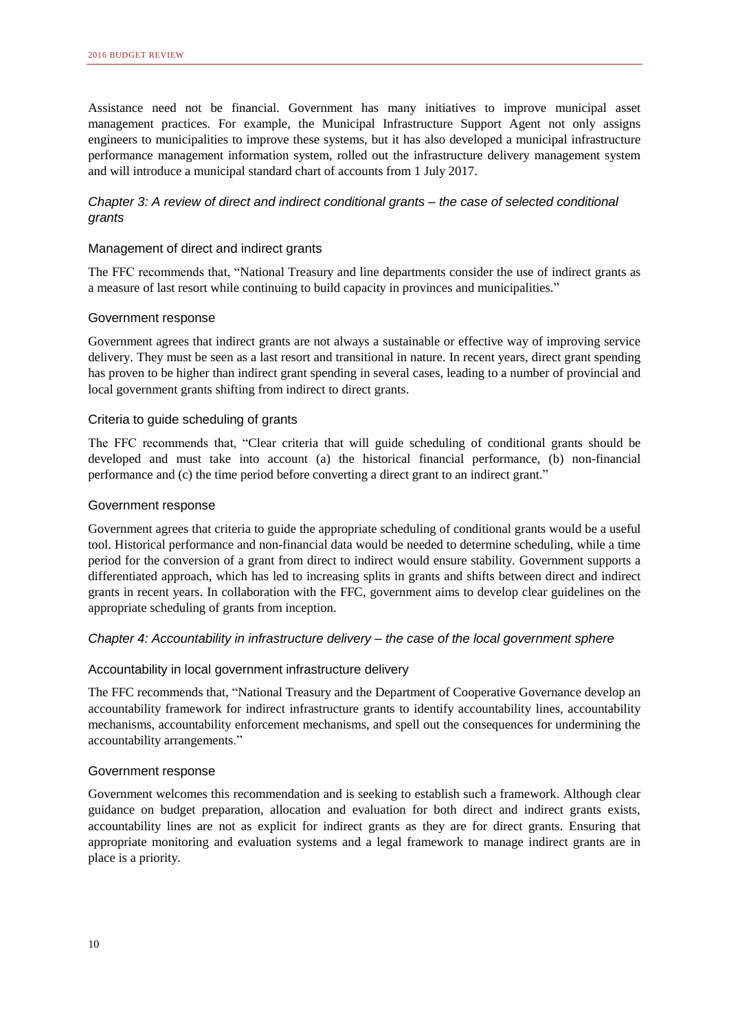Assistance need not be financial. Government has many initiatives to improve municipal asset management practices. For example, the Municipal Infrastructure Support Agent not only assigns engineers to municipalities to improve these systems, but it has also developed a municipal infrastructure performance management information system, rolled out the infrastructure delivery management system and will introduce a municipal standard chart of accounts from 1 July 2017.

### *Chapter 3: A review of direct and indirect conditional grants – the case of selected conditional grants*

### Management of direct and indirect grants

The FFC recommends that, "National Treasury and line departments consider the use of indirect grants as a measure of last resort while continuing to build capacity in provinces and municipalities."

### Government response

Government agrees that indirect grants are not always a sustainable or effective way of improving service delivery. They must be seen as a last resort and transitional in nature. In recent years, direct grant spending has proven to be higher than indirect grant spending in several cases, leading to a number of provincial and local government grants shifting from indirect to direct grants.

### Criteria to guide scheduling of grants

The FFC recommends that, "Clear criteria that will guide scheduling of conditional grants should be developed and must take into account (a) the historical financial performance, (b) non-financial performance and (c) the time period before converting a direct grant to an indirect grant."

### Government response

Government agrees that criteria to guide the appropriate scheduling of conditional grants would be a useful tool. Historical performance and non-financial data would be needed to determine scheduling, while a time period for the conversion of a grant from direct to indirect would ensure stability. Government supports a differentiated approach, which has led to increasing splits in grants and shifts between direct and indirect grants in recent years. In collaboration with the FFC, government aims to develop clear guidelines on the appropriate scheduling of grants from inception.

### *Chapter 4: Accountability in infrastructure delivery – the case of the local government sphere*

### Accountability in local government infrastructure delivery

The FFC recommends that, "National Treasury and the Department of Cooperative Governance develop an accountability framework for indirect infrastructure grants to identify accountability lines, accountability mechanisms, accountability enforcement mechanisms, and spell out the consequences for undermining the accountability arrangements."

### Government response

Government welcomes this recommendation and is seeking to establish such a framework. Although clear guidance on budget preparation, allocation and evaluation for both direct and indirect grants exists, accountability lines are not as explicit for indirect grants as they are for direct grants. Ensuring that appropriate monitoring and evaluation systems and a legal framework to manage indirect grants are in place is a priority.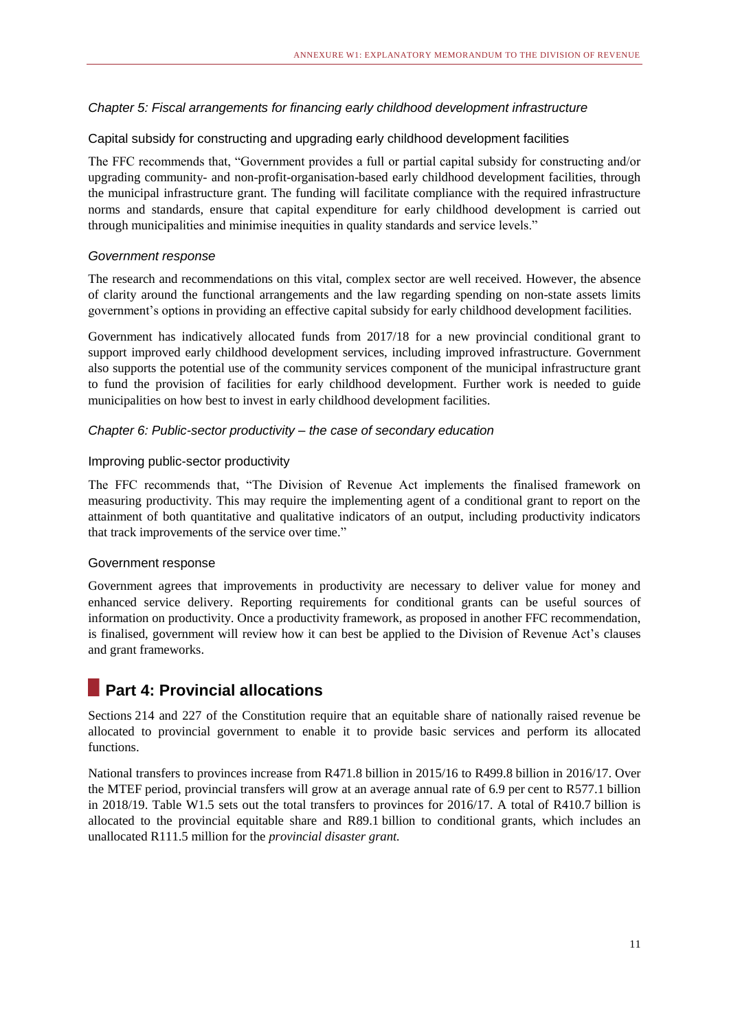### *Chapter 5: Fiscal arrangements for financing early childhood development infrastructure*

### Capital subsidy for constructing and upgrading early childhood development facilities

The FFC recommends that, "Government provides a full or partial capital subsidy for constructing and/or upgrading community- and non-profit-organisation-based early childhood development facilities, through the municipal infrastructure grant. The funding will facilitate compliance with the required infrastructure norms and standards, ensure that capital expenditure for early childhood development is carried out through municipalities and minimise inequities in quality standards and service levels."

### *Government response*

The research and recommendations on this vital, complex sector are well received. However, the absence of clarity around the functional arrangements and the law regarding spending on non-state assets limits government's options in providing an effective capital subsidy for early childhood development facilities.

Government has indicatively allocated funds from 2017/18 for a new provincial conditional grant to support improved early childhood development services, including improved infrastructure. Government also supports the potential use of the community services component of the municipal infrastructure grant to fund the provision of facilities for early childhood development. Further work is needed to guide municipalities on how best to invest in early childhood development facilities.

### *Chapter 6: Public-sector productivity – the case of secondary education*

### Improving public-sector productivity

The FFC recommends that, "The Division of Revenue Act implements the finalised framework on measuring productivity. This may require the implementing agent of a conditional grant to report on the attainment of both quantitative and qualitative indicators of an output, including productivity indicators that track improvements of the service over time."

### Government response

Government agrees that improvements in productivity are necessary to deliver value for money and enhanced service delivery. Reporting requirements for conditional grants can be useful sources of information on productivity. Once a productivity framework, as proposed in another FFC recommendation, is finalised, government will review how it can best be applied to the Division of Revenue Act's clauses and grant frameworks.

# **Part 4: Provincial allocations**

Sections 214 and 227 of the Constitution require that an equitable share of nationally raised revenue be allocated to provincial government to enable it to provide basic services and perform its allocated functions.

National transfers to provinces increase from R471.8 billion in 2015/16 to R499.8 billion in 2016/17. Over the MTEF period, provincial transfers will grow at an average annual rate of 6.9 per cent to R577.1 billion in 2018/19. Table W1.5 sets out the total transfers to provinces for 2016/17. A total of R410.7 billion is allocated to the provincial equitable share and R89.1 billion to conditional grants, which includes an unallocated R111.5 million for the *provincial disaster grant.*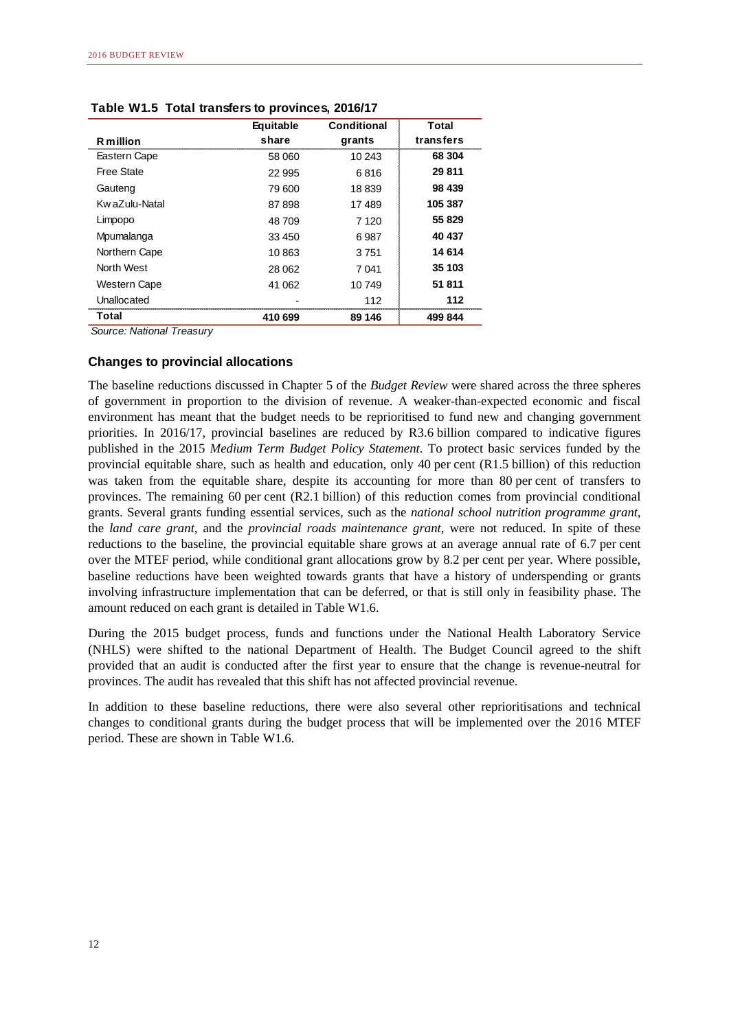|                     | Equitable | Conditional | Total     |
|---------------------|-----------|-------------|-----------|
| <b>R</b> million    | share     | grants      | transfers |
| Eastern Cape        | 58 060    | 10 243      | 68 304    |
| <b>Free State</b>   | 22 995    | 6816        | 29 811    |
| Gauteng             | 79 600    | 18839       | 98 439    |
| Kw aZulu-Natal      | 87898     | 17489       | 105 387   |
| Limpopo             | 48 709    | 7 1 2 0     | 55 829    |
| Mpumalanga          | 33 450    | 6987        | 40 437    |
| Northern Cape       | 10863     | 3751        | 14 614    |
| North West          | 28 062    | 7041        | 35 103    |
| <b>Western Cape</b> | 41 062    | 10749       | 51 811    |
| Unallocated         |           | 112         | 112       |
| Total               | 410 699   | 89 146      | 499 844   |

**Table W1.5 Total transfers to provinces, 2016/17**

### **Changes to provincial allocations**

The baseline reductions discussed in Chapter 5 of the *Budget Review* were shared across the three spheres of government in proportion to the division of revenue. A weaker-than-expected economic and fiscal environment has meant that the budget needs to be reprioritised to fund new and changing government priorities. In 2016/17, provincial baselines are reduced by R3.6 billion compared to indicative figures published in the 2015 *Medium Term Budget Policy Statement*. To protect basic services funded by the provincial equitable share, such as health and education, only 40 per cent (R1.5 billion) of this reduction was taken from the equitable share, despite its accounting for more than 80 per cent of transfers to provinces. The remaining 60 per cent (R2.1 billion) of this reduction comes from provincial conditional grants. Several grants funding essential services, such as the *national school nutrition programme grant*, the *land care grant*, and the *provincial roads maintenance grant*, were not reduced. In spite of these reductions to the baseline, the provincial equitable share grows at an average annual rate of 6.7 per cent over the MTEF period, while conditional grant allocations grow by 8.2 per cent per year. Where possible, baseline reductions have been weighted towards grants that have a history of underspending or grants involving infrastructure implementation that can be deferred, or that is still only in feasibility phase. The amount reduced on each grant is detailed in Table W1.6.

During the 2015 budget process, funds and functions under the National Health Laboratory Service (NHLS) were shifted to the national Department of Health. The Budget Council agreed to the shift provided that an audit is conducted after the first year to ensure that the change is revenue-neutral for provinces. The audit has revealed that this shift has not affected provincial revenue.

In addition to these baseline reductions, there were also several other reprioritisations and technical changes to conditional grants during the budget process that will be implemented over the 2016 MTEF period. These are shown in Table W1.6.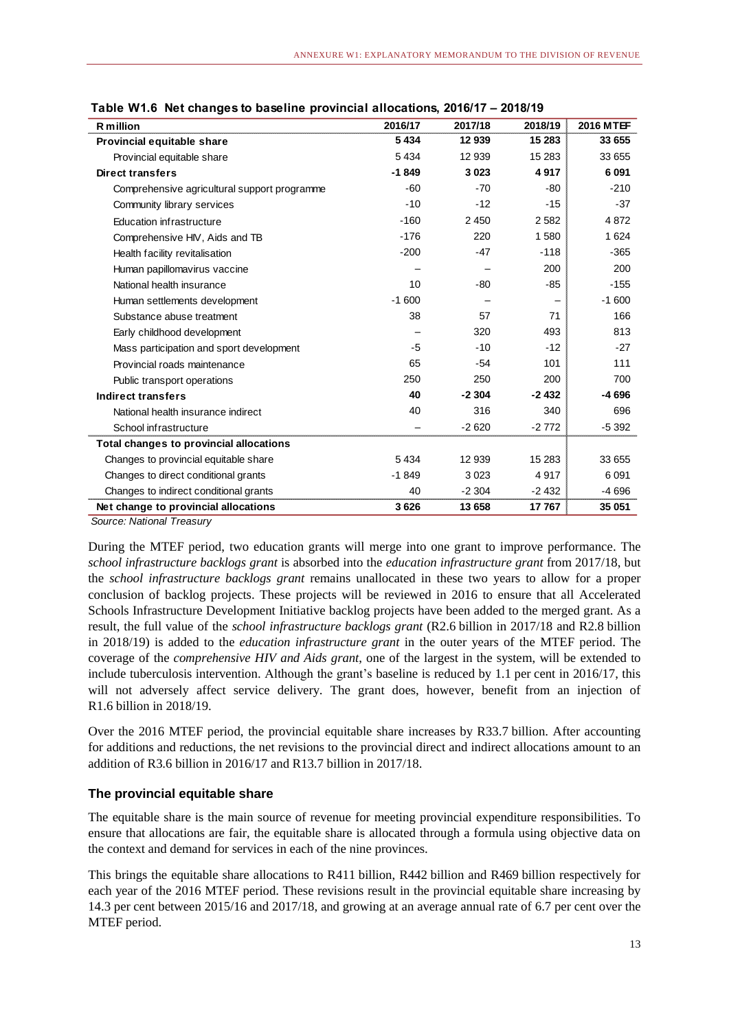| <b>R</b> million                               | 2016/17 | 2017/18 | 2018/19 | <b>2016 MTEF</b> |
|------------------------------------------------|---------|---------|---------|------------------|
| Provincial equitable share                     | 5 4 3 4 | 12 939  | 15 283  | 33 655           |
| Provincial equitable share                     | 5 4 3 4 | 12 939  | 15 283  | 33 655           |
| Direct transfers                               | $-1849$ | 3023    | 4917    | 6 0 9 1          |
| Comprehensive agricultural support programme   | -60     | $-70$   | $-80$   | $-210$           |
| Community library services                     | $-10$   | $-12$   | $-15$   | $-37$            |
| Education infrastructure                       | $-160$  | 2450    | 2582    | 4872             |
| Comprehensive HIV, Aids and TB                 | $-176$  | 220     | 1580    | 1 6 2 4          |
| Health facility revitalisation                 | $-200$  | $-47$   | $-118$  | $-365$           |
| Human papillomavirus vaccine                   |         |         | 200     | 200              |
| National health insurance                      | 10      | -80     | $-85$   | $-155$           |
| Human settlements development                  | $-1600$ |         |         | $-1600$          |
| Substance abuse treatment                      | 38      | 57      | 71      | 166              |
| Early childhood development                    |         | 320     | 493     | 813              |
| Mass participation and sport development       | -5      | $-10$   | $-12$   | $-27$            |
| Provincial roads maintenance                   | 65      | $-54$   | 101     | 111              |
| Public transport operations                    | 250     | 250     | 200     | 700              |
| <b>Indirect transfers</b>                      | 40      | $-2304$ | $-2432$ | -4 696           |
| National health insurance indirect             | 40      | 316     | 340     | 696              |
| School infrastructure                          |         | $-2620$ | $-2772$ | $-5392$          |
| <b>Total changes to provincial allocations</b> |         |         |         |                  |
| Changes to provincial equitable share          | 5 4 3 4 | 12 939  | 15 283  | 33 655           |
| Changes to direct conditional grants           | $-1849$ | 3023    | 4917    | 6091             |
| Changes to indirect conditional grants         | 40      | $-2304$ | $-2432$ | -4 696           |
| Net change to provincial allocations           | 3626    | 13 658  | 17767   | 35 051           |

**Table W1.6 Net changes to baseline provincial allocations, 2016/17 – 2018/19**

During the MTEF period, two education grants will merge into one grant to improve performance. The *school infrastructure backlogs grant* is absorbed into the *education infrastructure grant* from 2017/18, but the *school infrastructure backlogs grant* remains unallocated in these two years to allow for a proper conclusion of backlog projects. These projects will be reviewed in 2016 to ensure that all Accelerated Schools Infrastructure Development Initiative backlog projects have been added to the merged grant. As a result, the full value of the *school infrastructure backlogs grant* (R2.6 billion in 2017/18 and R2.8 billion in 2018/19) is added to the *education infrastructure grant* in the outer years of the MTEF period. The coverage of the *comprehensive HIV and Aids grant*, one of the largest in the system, will be extended to include tuberculosis intervention. Although the grant's baseline is reduced by 1.1 per cent in 2016/17, this will not adversely affect service delivery. The grant does, however, benefit from an injection of R1.6 billion in 2018/19.

Over the 2016 MTEF period, the provincial equitable share increases by R33.7 billion. After accounting for additions and reductions, the net revisions to the provincial direct and indirect allocations amount to an addition of R3.6 billion in 2016/17 and R13.7 billion in 2017/18.

### **The provincial equitable share**

The equitable share is the main source of revenue for meeting provincial expenditure responsibilities. To ensure that allocations are fair, the equitable share is allocated through a formula using objective data on the context and demand for services in each of the nine provinces.

This brings the equitable share allocations to R411 billion, R442 billion and R469 billion respectively for each year of the 2016 MTEF period. These revisions result in the provincial equitable share increasing by 14.3 per cent between 2015/16 and 2017/18, and growing at an average annual rate of 6.7 per cent over the MTEF period.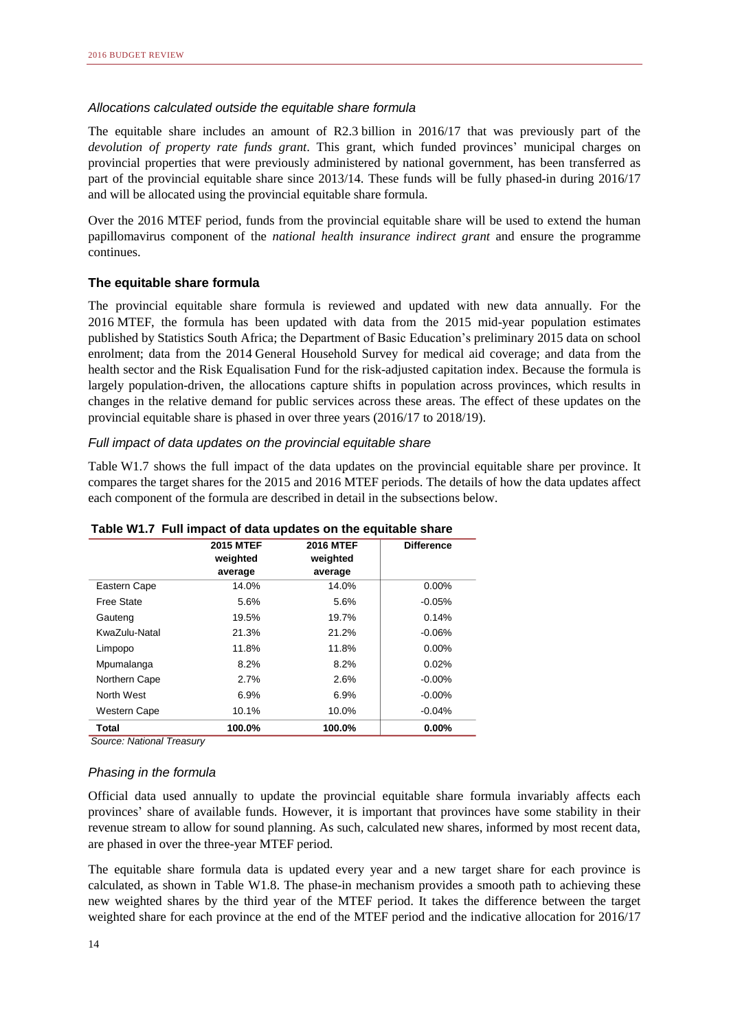### *Allocations calculated outside the equitable share formula*

The equitable share includes an amount of R2.3 billion in 2016/17 that was previously part of the *devolution of property rate funds grant*. This grant, which funded provinces' municipal charges on provincial properties that were previously administered by national government, has been transferred as part of the provincial equitable share since 2013/14. These funds will be fully phased-in during 2016/17 and will be allocated using the provincial equitable share formula.

Over the 2016 MTEF period, funds from the provincial equitable share will be used to extend the human papillomavirus component of the *national health insurance indirect grant* and ensure the programme continues.

### **The equitable share formula**

The provincial equitable share formula is reviewed and updated with new data annually. For the 2016 MTEF, the formula has been updated with data from the 2015 mid-year population estimates published by Statistics South Africa; the Department of Basic Education's preliminary 2015 data on school enrolment; data from the 2014 General Household Survey for medical aid coverage; and data from the health sector and the Risk Equalisation Fund for the risk-adjusted capitation index. Because the formula is largely population-driven, the allocations capture shifts in population across provinces, which results in changes in the relative demand for public services across these areas. The effect of these updates on the provincial equitable share is phased in over three years (2016/17 to 2018/19).

### *Full impact of data updates on the provincial equitable share*

Table W1.7 shows the full impact of the data updates on the provincial equitable share per province. It compares the target shares for the 2015 and 2016 MTEF periods. The details of how the data updates affect each component of the formula are described in detail in the subsections below.

|               | <b>2015 MTEF</b><br>weighted<br>average | <b>2016 MTEF</b><br>weighted<br>average | <b>Difference</b> |
|---------------|-----------------------------------------|-----------------------------------------|-------------------|
| Eastern Cape  | 14.0%                                   | 14.0%                                   | $0.00\%$          |
| Free State    | 5.6%                                    | 5.6%                                    | $-0.05%$          |
| Gauteng       | 19.5%                                   | 19.7%                                   | 0.14%             |
| KwaZulu-Natal | 21.3%                                   | 21.2%                                   | $-0.06%$          |
| Limpopo       | 11.8%                                   | 11.8%                                   | $0.00\%$          |
| Mpumalanga    | 8.2%                                    | 8.2%                                    | 0.02%             |
| Northern Cape | 2.7%                                    | 2.6%                                    | $-0.00\%$         |
| North West    | 6.9%                                    | 6.9%                                    | $-0.00%$          |
| Western Cape  | 10.1%                                   | 10.0%                                   | $-0.04%$          |
| Total         | 100.0%                                  | 100.0%                                  | 0.00%             |

**Table W1.7 Full impact of data updates on the equitable share**

*Source: National Treasury*

### *Phasing in the formula*

Official data used annually to update the provincial equitable share formula invariably affects each provinces' share of available funds. However, it is important that provinces have some stability in their revenue stream to allow for sound planning. As such, calculated new shares, informed by most recent data, are phased in over the three-year MTEF period.

The equitable share formula data is updated every year and a new target share for each province is calculated, as shown in Table W1.8. The phase-in mechanism provides a smooth path to achieving these new weighted shares by the third year of the MTEF period. It takes the difference between the target weighted share for each province at the end of the MTEF period and the indicative allocation for 2016/17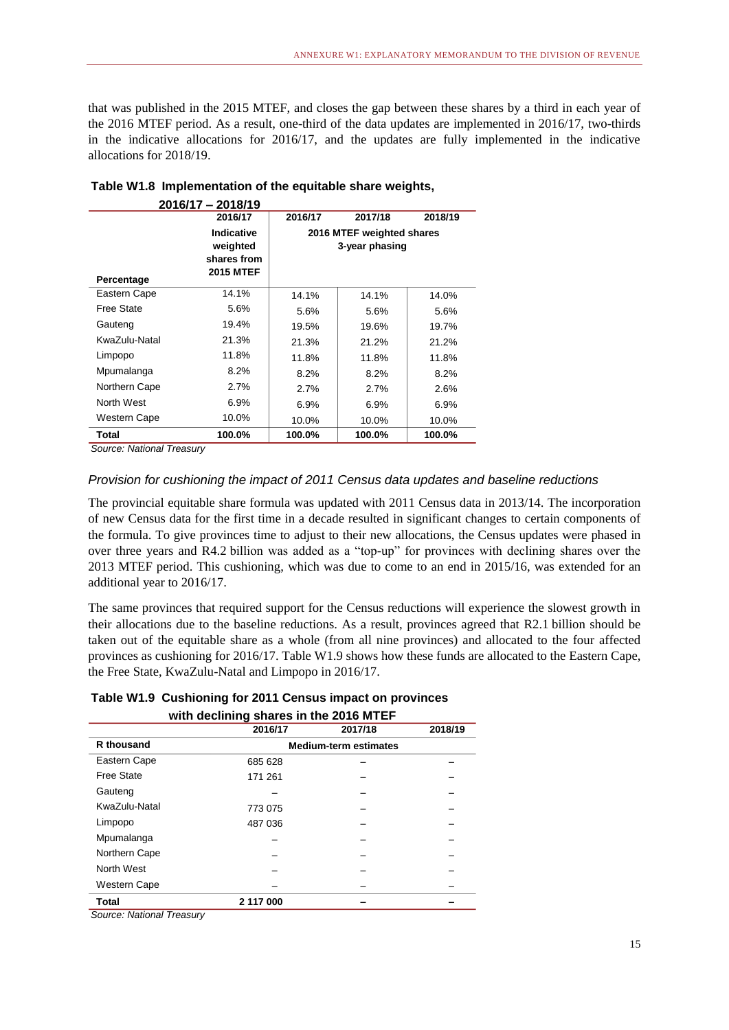that was published in the 2015 MTEF, and closes the gap between these shares by a third in each year of the 2016 MTEF period. As a result, one-third of the data updates are implemented in 2016/17, two-thirds in the indicative allocations for 2016/17, and the updates are fully implemented in the indicative allocations for 2018/19.

|                                                      | 2016/17                                                          | 2016/17                                     | 2017/18 | 2018/19 |  |  |
|------------------------------------------------------|------------------------------------------------------------------|---------------------------------------------|---------|---------|--|--|
| Percentage                                           | <b>Indicative</b><br>weighted<br>shares from<br><b>2015 MTEF</b> | 2016 MTEF weighted shares<br>3-year phasing |         |         |  |  |
| Eastern Cape                                         | 14.1%                                                            | 14.1%                                       | 14.1%   | 14.0%   |  |  |
| Free State                                           | 5.6%                                                             | 5.6%                                        | 5.6%    | 5.6%    |  |  |
| Gauteng                                              | 19.4%                                                            | 19.5%                                       | 19.6%   | 19.7%   |  |  |
| KwaZulu-Natal                                        | 21.3%                                                            | 21.3%                                       | 21.2%   | 21.2%   |  |  |
| Limpopo                                              | 11.8%                                                            | 11.8%                                       | 11.8%   | 11.8%   |  |  |
| Mpumalanga                                           | 8.2%                                                             | 8.2%                                        | 8.2%    | 8.2%    |  |  |
| Northern Cape                                        | 2.7%                                                             | 2.7%                                        | 2.7%    | 2.6%    |  |  |
| North West                                           | $6.9\%$                                                          | 6.9%                                        | 6.9%    | 6.9%    |  |  |
| Western Cape                                         | 10.0%                                                            | 10.0%                                       | 10.0%   | 10.0%   |  |  |
| <b>Total</b><br>$\overline{\phantom{a}}$<br>$\cdots$ | 100.0%                                                           | 100.0%                                      | 100.0%  | 100.0%  |  |  |

| Table W1.8 Implementation of the equitable share weights, |                     |  |  |  |
|-----------------------------------------------------------|---------------------|--|--|--|
|                                                           | $0.01017 - 0.01018$ |  |  |  |

*Source: National Treasury*

### *Provision for cushioning the impact of 2011 Census data updates and baseline reductions*

The provincial equitable share formula was updated with 2011 Census data in 2013/14. The incorporation of new Census data for the first time in a decade resulted in significant changes to certain components of the formula. To give provinces time to adjust to their new allocations, the Census updates were phased in over three years and R4.2 billion was added as a "top-up" for provinces with declining shares over the 2013 MTEF period. This cushioning, which was due to come to an end in 2015/16, was extended for an additional year to 2016/17.

The same provinces that required support for the Census reductions will experience the slowest growth in their allocations due to the baseline reductions. As a result, provinces agreed that R2.1 billion should be taken out of the equitable share as a whole (from all nine provinces) and allocated to the four affected provinces as cushioning for 2016/17. Table W1.9 shows how these funds are allocated to the Eastern Cape, the Free State, KwaZulu-Natal and Limpopo in 2016/17.

# **Table W1.9 Cushioning for 2011 Census impact on provinces**

|                     | 2016/17                      | 2017/18 | 2018/19 |  |
|---------------------|------------------------------|---------|---------|--|
| <b>R</b> thousand   | <b>Medium-term estimates</b> |         |         |  |
| Eastern Cape        | 685 628                      |         |         |  |
| Free State          | 171 261                      |         |         |  |
| Gauteng             |                              |         |         |  |
| KwaZulu-Natal       | 773 075                      |         |         |  |
| Limpopo             | 487 036                      |         |         |  |
| Mpumalanga          |                              |         |         |  |
| Northern Cape       |                              |         |         |  |
| North West          |                              |         |         |  |
| <b>Western Cape</b> |                              |         |         |  |
| <b>Total</b>        | 2 117 000                    |         |         |  |

*Source: National Treasury*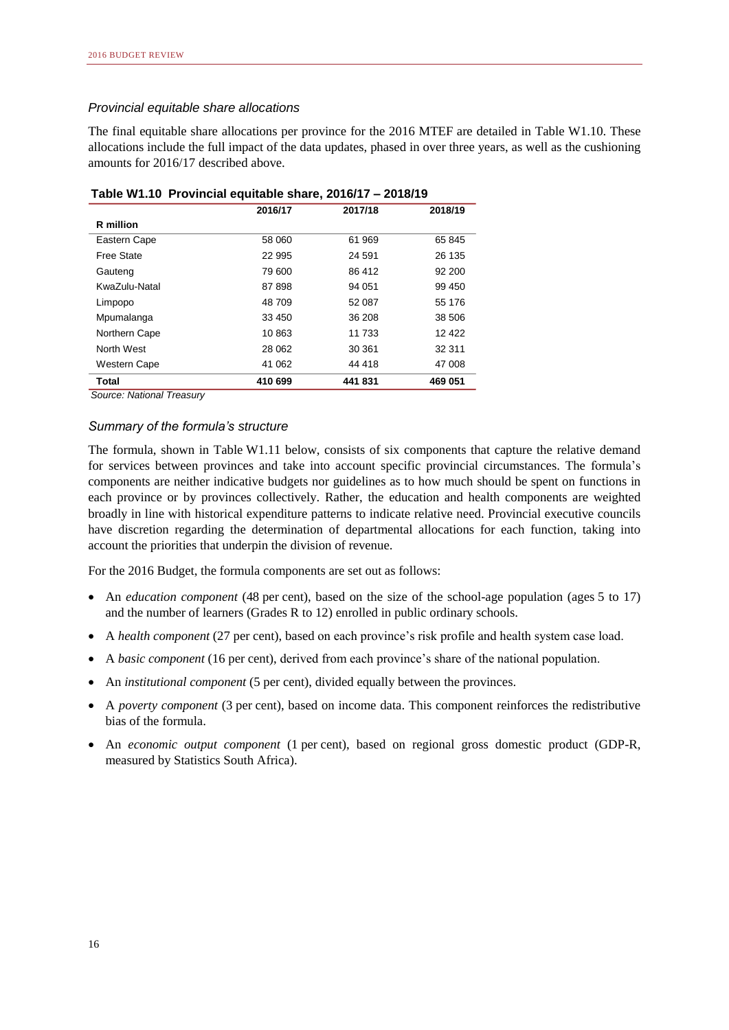### *Provincial equitable share allocations*

The final equitable share allocations per province for the 2016 MTEF are detailed in Table W1.10. These allocations include the full impact of the data updates, phased in over three years, as well as the cushioning amounts for 2016/17 described above.

|                     | 2016/17 | 2017/18 | 2018/19 |
|---------------------|---------|---------|---------|
| R million           |         |         |         |
| Eastern Cape        | 58 060  | 61 969  | 65 845  |
| Free State          | 22 995  | 24 591  | 26 135  |
| Gauteng             | 79 600  | 86 412  | 92 200  |
| KwaZulu-Natal       | 87898   | 94 051  | 99 450  |
| Limpopo             | 48 709  | 52 087  | 55 176  |
| Mpumalanga          | 33 450  | 36 208  | 38 506  |
| Northern Cape       | 10863   | 11 733  | 12 4 22 |
| North West          | 28 062  | 30 361  | 32 311  |
| <b>Western Cape</b> | 41 062  | 44 418  | 47 008  |
| Total               | 410 699 | 441831  | 469 051 |

| Table W1.10 Provincial equitable share, 2016/17 - 2018/19 |  |  |  |  |  |
|-----------------------------------------------------------|--|--|--|--|--|
|-----------------------------------------------------------|--|--|--|--|--|

*Source: National Treasury*

### *Summary of the formula's structure*

The formula, shown in Table W1.11 below, consists of six components that capture the relative demand for services between provinces and take into account specific provincial circumstances. The formula's components are neither indicative budgets nor guidelines as to how much should be spent on functions in each province or by provinces collectively. Rather, the education and health components are weighted broadly in line with historical expenditure patterns to indicate relative need. Provincial executive councils have discretion regarding the determination of departmental allocations for each function, taking into account the priorities that underpin the division of revenue.

For the 2016 Budget, the formula components are set out as follows:

- An *education component* (48 per cent), based on the size of the school-age population (ages 5 to 17) and the number of learners (Grades R to 12) enrolled in public ordinary schools.
- A *health component* (27 per cent), based on each province's risk profile and health system case load.
- A *basic component* (16 per cent), derived from each province's share of the national population.
- An *institutional component* (5 per cent), divided equally between the provinces.
- A *poverty component* (3 per cent), based on income data. This component reinforces the redistributive bias of the formula.
- An *economic output component* (1 per cent), based on regional gross domestic product (GDP-R, measured by Statistics South Africa).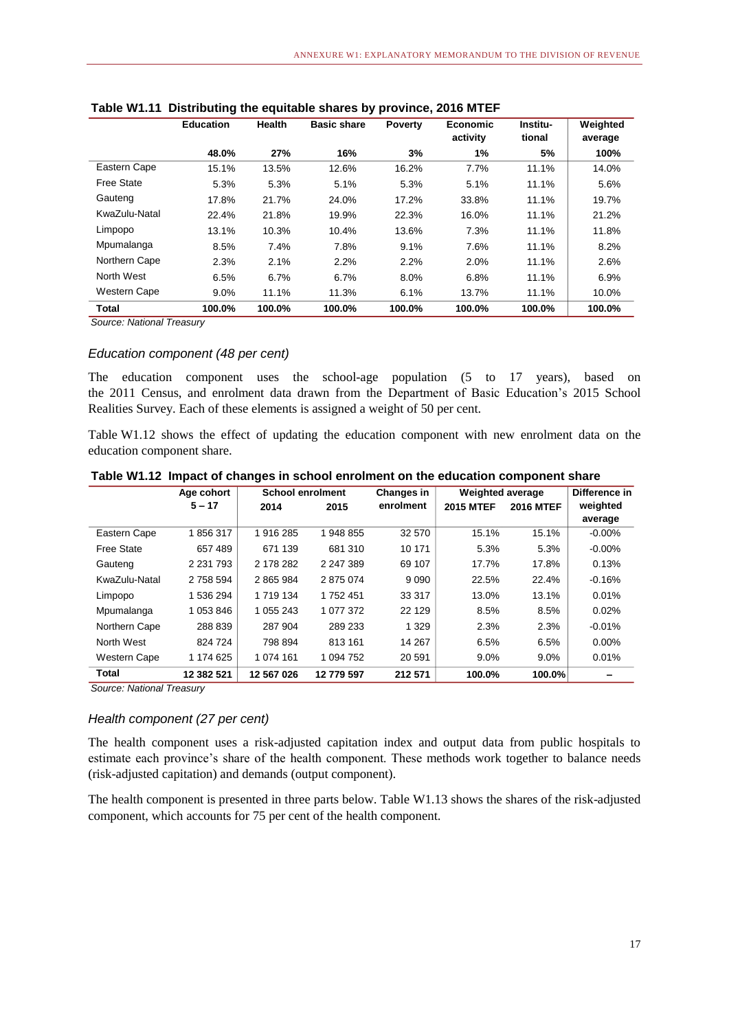|                   | <b>Education</b> | <b>Health</b> | <b>Basic share</b> | <b>Poverty</b> | <b>Economic</b><br>activity | Institu-<br>tional | Weighted<br>average |
|-------------------|------------------|---------------|--------------------|----------------|-----------------------------|--------------------|---------------------|
|                   | 48.0%            | 27%           | 16%                | 3%             | 1%                          | 5%                 | 100%                |
| Eastern Cape      | 15.1%            | 13.5%         | 12.6%              | 16.2%          | 7.7%                        | 11.1%              | 14.0%               |
| <b>Free State</b> | 5.3%             | 5.3%          | 5.1%               | 5.3%           | 5.1%                        | 11.1%              | 5.6%                |
| Gauteng           | 17.8%            | 21.7%         | 24.0%              | 17.2%          | 33.8%                       | 11.1%              | 19.7%               |
| KwaZulu-Natal     | 22.4%            | 21.8%         | 19.9%              | 22.3%          | 16.0%                       | 11.1%              | 21.2%               |
| Limpopo           | 13.1%            | 10.3%         | 10.4%              | 13.6%          | 7.3%                        | 11.1%              | 11.8%               |
| Mpumalanga        | 8.5%             | 7.4%          | 7.8%               | 9.1%           | 7.6%                        | 11.1%              | 8.2%                |
| Northern Cape     | 2.3%             | 2.1%          | 2.2%               | 2.2%           | 2.0%                        | 11.1%              | 2.6%                |
| North West        | 6.5%             | 6.7%          | 6.7%               | 8.0%           | 6.8%                        | 11.1%              | 6.9%                |
| Western Cape      | 9.0%             | 11.1%         | 11.3%              | 6.1%           | 13.7%                       | 11.1%              | 10.0%               |
| Total             | 100.0%           | 100.0%        | 100.0%             | 100.0%         | 100.0%                      | 100.0%             | 100.0%              |

|  |  | Table W1.11 Distributing the equitable shares by province, 2016 MTEF |  |  |  |
|--|--|----------------------------------------------------------------------|--|--|--|
|--|--|----------------------------------------------------------------------|--|--|--|

### *Education component (48 per cent)*

The education component uses the school-age population (5 to 17 years), based on the 2011 Census, and enrolment data drawn from the Department of Basic Education's 2015 School Realities Survey. Each of these elements is assigned a weight of 50 per cent.

Table W1.12 shows the effect of updating the education component with new enrolment data on the education component share.

|               | Age cohort    | <b>School enrolment</b> |            | Changes in | <b>Weighted average</b> |                  | Difference in |
|---------------|---------------|-------------------------|------------|------------|-------------------------|------------------|---------------|
|               | $5 - 17$      | 2014                    | 2015       | enrolment  | <b>2015 MTEF</b>        | <b>2016 MTEF</b> | weighted      |
|               |               |                         |            |            |                         |                  | average       |
| Eastern Cape  | 1856317       | 1916 285                | 1 948 855  | 32 570     | 15.1%                   | 15.1%            | $-0.00\%$     |
| Free State    | 657 489       | 671 139                 | 681 310    | 10 171     | 5.3%                    | 5.3%             | $-0.00\%$     |
| Gauteng       | 2 2 3 1 7 9 3 | 2 178 282               | 2 247 389  | 69 107     | 17.7%                   | 17.8%            | 0.13%         |
| KwaZulu-Natal | 2 758 594     | 2865984                 | 2875074    | 9 0 9 0    | 22.5%                   | 22.4%            | $-0.16%$      |
| Limpopo       | 1 536 294     | 1 719 134               | 1752451    | 33 317     | 13.0%                   | 13.1%            | 0.01%         |
| Mpumalanga    | 1 053 846     | 1 055 243               | 1 077 372  | 22 129     | 8.5%                    | 8.5%             | 0.02%         |
| Northern Cape | 288 839       | 287 904                 | 289 233    | 1 3 2 9    | 2.3%                    | 2.3%             | $-0.01%$      |
| North West    | 824 724       | 798 894                 | 813 161    | 14 267     | 6.5%                    | 6.5%             | $0.00\%$      |
| Western Cape  | 1 174 625     | 1 074 161               | 1 094 752  | 20 591     | 9.0%                    | 9.0%             | 0.01%         |
| Total         | 12 382 521    | 12 567 026              | 12 779 597 | 212 571    | 100.0%                  | 100.0%           |               |

**Table W1.12 Impact of changes in school enrolment on the education component share**

*Source: National Treasury*

### *Health component (27 per cent)*

The health component uses a risk-adjusted capitation index and output data from public hospitals to estimate each province's share of the health component. These methods work together to balance needs (risk-adjusted capitation) and demands (output component).

The health component is presented in three parts below. Table W1.13 shows the shares of the risk-adjusted component, which accounts for 75 per cent of the health component.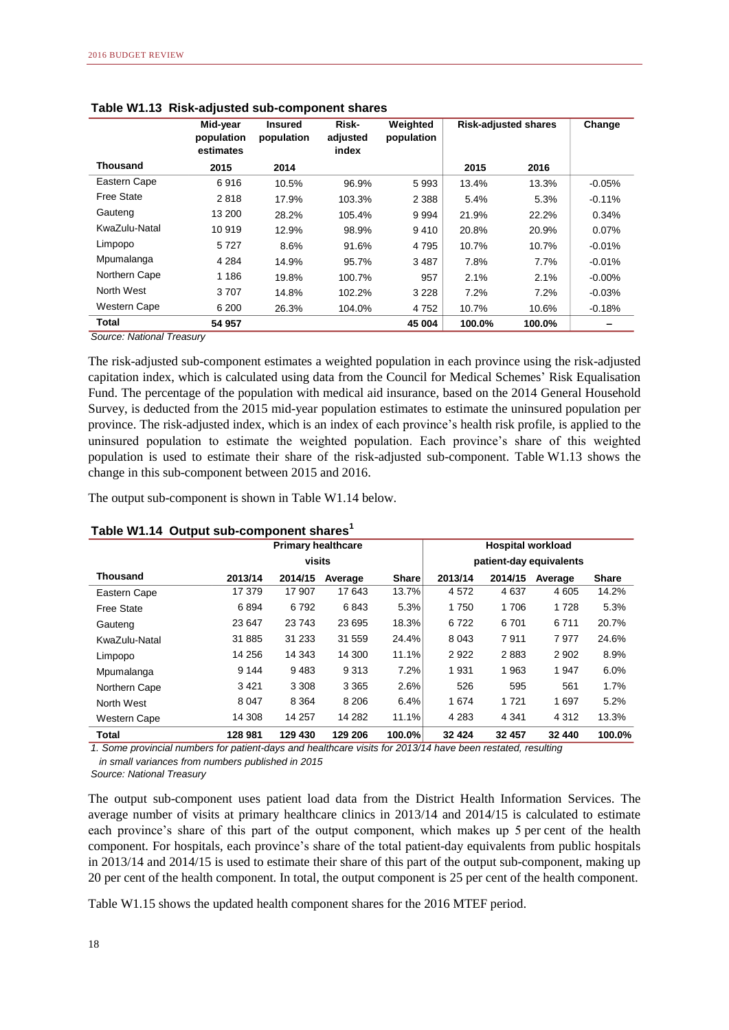|                     | Mid-year<br>population<br>estimates | <b>Insured</b><br>population | Risk-<br>adjusted<br>index | Weighted<br>population | <b>Risk-adjusted shares</b> |        | Change    |
|---------------------|-------------------------------------|------------------------------|----------------------------|------------------------|-----------------------------|--------|-----------|
| <b>Thousand</b>     | 2015                                | 2014                         |                            |                        | 2015                        | 2016   |           |
| Eastern Cape        | 6916                                | 10.5%                        | 96.9%                      | 5993                   | 13.4%                       | 13.3%  | $-0.05%$  |
| Free State          | 2818                                | 17.9%                        | 103.3%                     | 2 3 8 8                | 5.4%                        | 5.3%   | $-0.11%$  |
| Gauteng             | 13 200                              | 28.2%                        | 105.4%                     | 9994                   | 21.9%                       | 22.2%  | 0.34%     |
| KwaZulu-Natal       | 10 919                              | 12.9%                        | 98.9%                      | 9410                   | 20.8%                       | 20.9%  | $0.07\%$  |
| Limpopo             | 5727                                | 8.6%                         | 91.6%                      | 4 7 9 5                | 10.7%                       | 10.7%  | $-0.01\%$ |
| Mpumalanga          | 4 2 8 4                             | 14.9%                        | 95.7%                      | 3 4 8 7                | 7.8%                        | 7.7%   | $-0.01\%$ |
| Northern Cape       | 1 1 8 6                             | 19.8%                        | 100.7%                     | 957                    | 2.1%                        | 2.1%   | $-0.00\%$ |
| North West          | 3707                                | 14.8%                        | 102.2%                     | 3 2 2 8                | 7.2%                        | 7.2%   | $-0.03%$  |
| <b>Western Cape</b> | 6 200                               | 26.3%                        | 104.0%                     | 4 7 5 2                | 10.7%                       | 10.6%  | $-0.18%$  |
| <b>Total</b>        | 54 957                              |                              |                            | 45 004                 | 100.0%                      | 100.0% |           |

|  |  | Table W1.13 Risk-adjusted sub-component shares |  |
|--|--|------------------------------------------------|--|
|--|--|------------------------------------------------|--|

The risk-adjusted sub-component estimates a weighted population in each province using the risk-adjusted capitation index, which is calculated using data from the Council for Medical Schemes' Risk Equalisation Fund. The percentage of the population with medical aid insurance, based on the 2014 General Household Survey, is deducted from the 2015 mid-year population estimates to estimate the uninsured population per province. The risk-adjusted index, which is an index of each province's health risk profile, is applied to the uninsured population to estimate the weighted population. Each province's share of this weighted population is used to estimate their share of the risk-adjusted sub-component. Table W1.13 shows the change in this sub-component between 2015 and 2016.

The output sub-component is shown in Table W1.14 below.

|                     |         | <b>Primary healthcare</b> |         |              |         | <b>Hospital workload</b> |         |              |  |
|---------------------|---------|---------------------------|---------|--------------|---------|--------------------------|---------|--------------|--|
|                     |         | visits                    |         |              |         | patient-day equivalents  |         |              |  |
| <b>Thousand</b>     | 2013/14 | 2014/15                   | Average | <b>Share</b> | 2013/14 | 2014/15                  | Average | <b>Share</b> |  |
| Eastern Cape        | 17 379  | 17 907                    | 17 643  | 13.7%        | 4572    | 4 6 3 7                  | 4 6 0 5 | 14.2%        |  |
| Free State          | 6894    | 6792                      | 6843    | 5.3%         | 1750    | 1706                     | 1728    | 5.3%         |  |
| Gauteng             | 23 647  | 23 743                    | 23 695  | 18.3%        | 6722    | 6 701                    | 6711    | 20.7%        |  |
| KwaZulu-Natal       | 31 885  | 31 233                    | 31 559  | 24.4%        | 8 0 4 3 | 7911                     | 7977    | 24.6%        |  |
| Limpopo             | 14 256  | 14 343                    | 14 300  | 11.1%        | 2922    | 2883                     | 2 9 0 2 | 8.9%         |  |
| Mpumalanga          | 9 1 4 4 | 9483                      | 9313    | 7.2%         | 1931    | 1963                     | 1947    | 6.0%         |  |
| Northern Cape       | 3421    | 3 3 0 8                   | 3 3 6 5 | 2.6%         | 526     | 595                      | 561     | 1.7%         |  |
| North West          | 8 0 4 7 | 8 3 6 4                   | 8 2 0 6 | 6.4%         | 1674    | 1 7 2 1                  | 1697    | 5.2%         |  |
| <b>Western Cape</b> | 14 308  | 14 257                    | 14 282  | 11.1%        | 4 2 8 3 | 4 3 4 1                  | 4 3 1 2 | 13.3%        |  |
| <b>Total</b>        | 128 981 | 129 430                   | 129 206 | 100.0%       | 32 4 24 | 32 457                   | 32 440  | 100.0%       |  |

### **Table W1.14 Output sub-component shares<sup>1</sup>**

*1. Some provincial numbers for patient-days and healthcare visits for 2013/14 have been restated, resulting in small variances from numbers published in 2015*

*Source: National Treasury*

The output sub-component uses patient load data from the District Health Information Services. The average number of visits at primary healthcare clinics in 2013/14 and 2014/15 is calculated to estimate each province's share of this part of the output component, which makes up 5 per cent of the health component. For hospitals, each province's share of the total patient-day equivalents from public hospitals in 2013/14 and 2014/15 is used to estimate their share of this part of the output sub-component, making up 20 per cent of the health component. In total, the output component is 25 per cent of the health component.

Table W1.15 shows the updated health component shares for the 2016 MTEF period.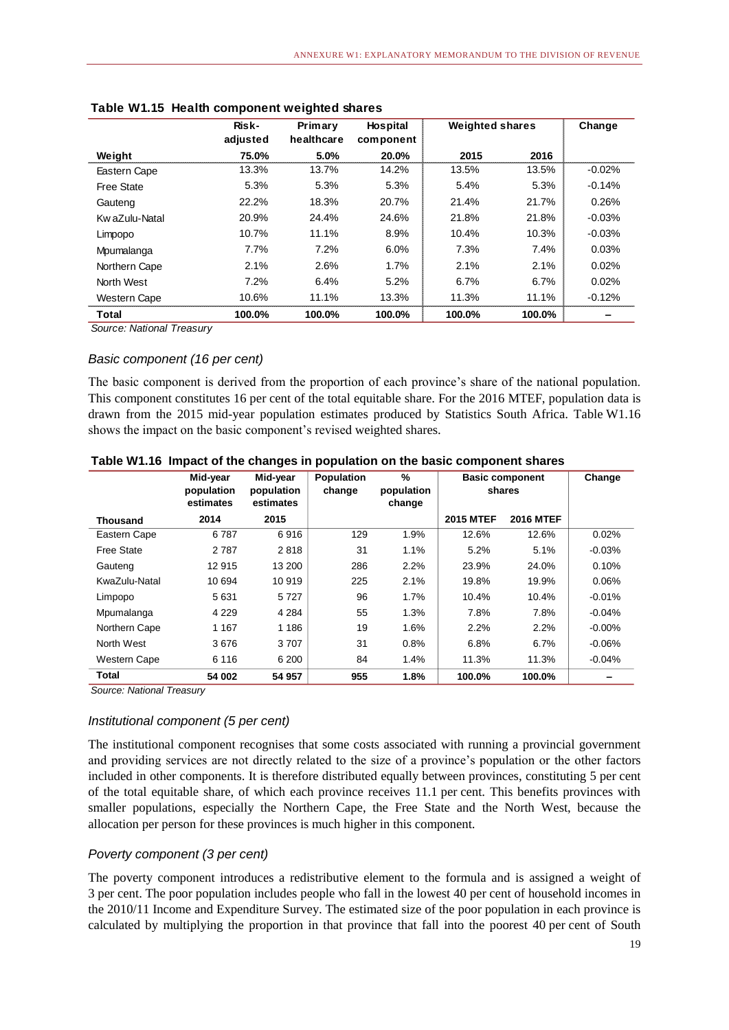|                     | Risk-    | Primary    | <b>Hospital</b> | <b>Weighted shares</b> |        | Change   |
|---------------------|----------|------------|-----------------|------------------------|--------|----------|
|                     | adjusted | healthcare | component       |                        |        |          |
| Weight              | 75.0%    | 5.0%       | 20.0%           | 2015                   | 2016   |          |
| Eastern Cape        | 13.3%    | 13.7%      | 14.2%           | 13.5%                  | 13.5%  | $-0.02%$ |
| <b>Free State</b>   | 5.3%     | 5.3%       | 5.3%            | 5.4%                   | 5.3%   | $-0.14%$ |
| Gauteng             | 22.2%    | 18.3%      | 20.7%           | 21.4%                  | 21.7%  | 0.26%    |
| Kw aZulu-Natal      | 20.9%    | 24.4%      | 24.6%           | 21.8%                  | 21.8%  | $-0.03%$ |
| Limpopo             | 10.7%    | 11.1%      | 8.9%            | 10.4%                  | 10.3%  | $-0.03%$ |
| Mpumalanga          | 7.7%     | 7.2%       | 6.0%            | 7.3%                   | 7.4%   | 0.03%    |
| Northern Cape       | 2.1%     | 2.6%       | 1.7%            | 2.1%                   | 2.1%   | 0.02%    |
| North West          | 7.2%     | 6.4%       | 5.2%            | 6.7%                   | 6.7%   | 0.02%    |
| <b>Western Cape</b> | 10.6%    | 11.1%      | 13.3%           | 11.3%                  | 11.1%  | $-0.12%$ |
| Total               | 100.0%   | 100.0%     | 100.0%          | 100.0%                 | 100.0% |          |

| Table W1.15 Health component weighted shares |  |  |  |  |
|----------------------------------------------|--|--|--|--|
|----------------------------------------------|--|--|--|--|

### *Basic component (16 per cent)*

The basic component is derived from the proportion of each province's share of the national population. This component constitutes 16 per cent of the total equitable share. For the 2016 MTEF, population data is drawn from the 2015 mid-year population estimates produced by Statistics South Africa. Table W1.16 shows the impact on the basic component's revised weighted shares.

|                     | Mid-year<br>population<br>estimates | Mid-year<br>population<br>estimates | <b>Population</b><br>change | $\%$<br>population<br>change | <b>Basic component</b><br>shares |                  | Change   |
|---------------------|-------------------------------------|-------------------------------------|-----------------------------|------------------------------|----------------------------------|------------------|----------|
| <b>Thousand</b>     | 2014                                | 2015                                |                             |                              | <b>2015 MTEF</b>                 | <b>2016 MTEF</b> |          |
| Eastern Cape        | 6787                                | 6916                                | 129                         | 1.9%                         | 12.6%                            | 12.6%            | 0.02%    |
| Free State          | 2 7 8 7                             | 2818                                | 31                          | 1.1%                         | 5.2%                             | 5.1%             | $-0.03%$ |
| Gauteng             | 12 915                              | 13 200                              | 286                         | 2.2%                         | 23.9%                            | 24.0%            | 0.10%    |
| KwaZulu-Natal       | 10 694                              | 10 919                              | 225                         | 2.1%                         | 19.8%                            | 19.9%            | 0.06%    |
| Limpopo             | 5631                                | 5727                                | 96                          | 1.7%                         | 10.4%                            | 10.4%            | $-0.01%$ |
| Mpumalanga          | 4 2 2 9                             | 4 2 8 4                             | 55                          | 1.3%                         | 7.8%                             | 7.8%             | $-0.04%$ |
| Northern Cape       | 1 1 6 7                             | 1 1 8 6                             | 19                          | 1.6%                         | 2.2%                             | 2.2%             | $-0.00%$ |
| North West          | 3676                                | 3707                                | 31                          | 0.8%                         | 6.8%                             | $6.7\%$          | $-0.06%$ |
| <b>Western Cape</b> | 6 1 1 6                             | 6 200                               | 84                          | 1.4%                         | 11.3%                            | 11.3%            | $-0.04%$ |
| Total               | 54 002                              | 54 957                              | 955                         | 1.8%                         | 100.0%                           | 100.0%           |          |

|  |  |  |  |  | Table W1.16 Impact of the changes in population on the basic component shares |
|--|--|--|--|--|-------------------------------------------------------------------------------|
|--|--|--|--|--|-------------------------------------------------------------------------------|

*Source: National Treasury*

### *Institutional component (5 per cent)*

The institutional component recognises that some costs associated with running a provincial government and providing services are not directly related to the size of a province's population or the other factors included in other components. It is therefore distributed equally between provinces, constituting 5 per cent of the total equitable share, of which each province receives 11.1 per cent. This benefits provinces with smaller populations, especially the Northern Cape, the Free State and the North West, because the allocation per person for these provinces is much higher in this component.

### *Poverty component (3 per cent)*

The poverty component introduces a redistributive element to the formula and is assigned a weight of 3 per cent. The poor population includes people who fall in the lowest 40 per cent of household incomes in the 2010/11 Income and Expenditure Survey. The estimated size of the poor population in each province is calculated by multiplying the proportion in that province that fall into the poorest 40 per cent of South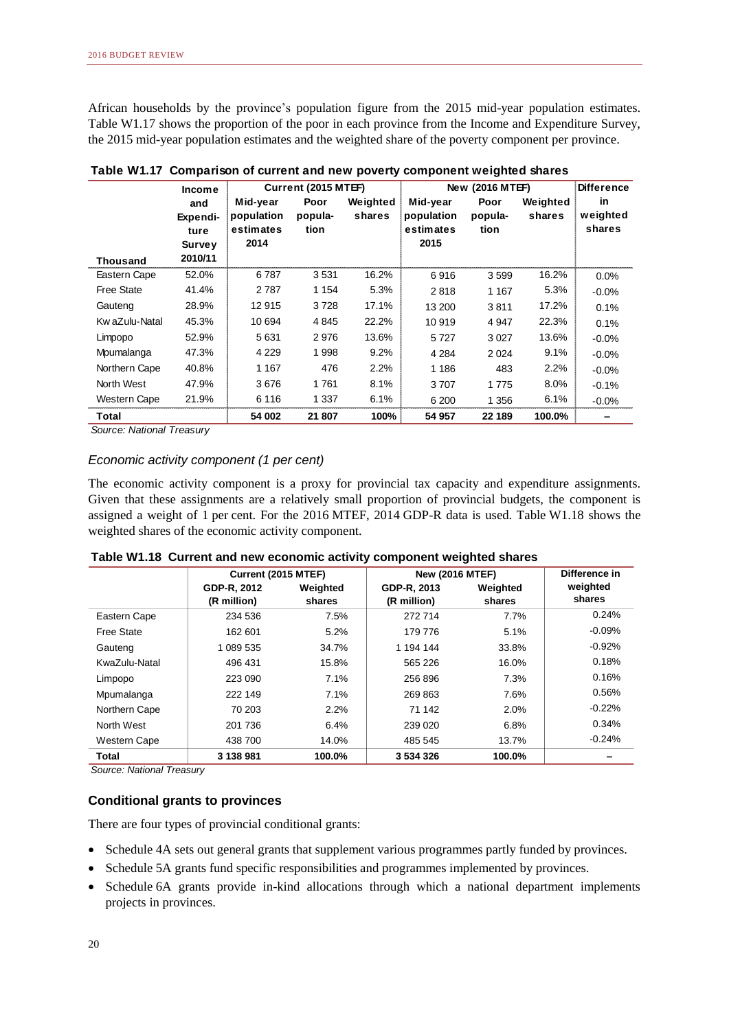African households by the province's population figure from the 2015 mid-year population estimates. Table W1.17 shows the proportion of the poor in each province from the Income and Expenditure Survey, the 2015 mid-year population estimates and the weighted share of the poverty component per province.

|                   | Income   |            | Current (2015 MTEF) |          | New (2016 MTEF) |         | <b>Difference</b> |          |
|-------------------|----------|------------|---------------------|----------|-----------------|---------|-------------------|----------|
|                   | and      | Mid-year   | Poor                | Weighted | Mid-year        | Poor    | Weighted          | in       |
|                   | Expendi- | population | popula-             | shares   | population      | popula- | shares            | weighted |
|                   | ture     | estimates  | tion                |          | estimates       | tion    |                   | shares   |
|                   | Survey   | 2014       |                     |          | 2015            |         |                   |          |
| <b>Thousand</b>   | 2010/11  |            |                     |          |                 |         |                   |          |
| Eastern Cape      | 52.0%    | 6 787      | 3531                | 16.2%    | 6916            | 3599    | 16.2%             | $0.0\%$  |
| <b>Free State</b> | 41.4%    | 2787       | 1 1 5 4             | 5.3%     | 2818            | 1 1 6 7 | 5.3%              | $-0.0\%$ |
| Gauteng           | 28.9%    | 12915      | 3728                | 17.1%    | 13 200          | 3811    | 17.2%             | 0.1%     |
| Kw aZulu-Natal    | 45.3%    | 10 694     | 4845                | 22.2%    | 10919           | 4 9 4 7 | 22.3%             | 0.1%     |
| Limpopo           | 52.9%    | 5631       | 2976                | 13.6%    | 5727            | 3027    | 13.6%             | $-0.0\%$ |
| Mpumalanga        | 47.3%    | 4 2 2 9    | 1998                | 9.2%     | 4 2 8 4         | 2 0 2 4 | 9.1%              | $-0.0\%$ |
| Northern Cape     | 40.8%    | 1 1 6 7    | 476                 | 2.2%     | 1 1 8 6         | 483     | 2.2%              | $-0.0\%$ |
| North West        | 47.9%    | 3676       | 1761                | 8.1%     | 3707            | 1775    | 8.0%              | $-0.1%$  |
| Western Cape      | 21.9%    | 6 1 1 6    | 1 3 3 7             | 6.1%     | 6 200           | 1 3 5 6 | 6.1%              | $-0.0%$  |
| Total             |          | 54 002     | 21 807              | 100%     | 54 957          | 22 189  | 100.0%            |          |

|  |  |  |  | Table W1.17 Comparison of current and new poverty component weighted shares |
|--|--|--|--|-----------------------------------------------------------------------------|
|--|--|--|--|-----------------------------------------------------------------------------|

*Source: National Treasury*

### *Economic activity component (1 per cent)*

The economic activity component is a proxy for provincial tax capacity and expenditure assignments. Given that these assignments are a relatively small proportion of provincial budgets, the component is assigned a weight of 1 per cent. For the 2016 MTEF, 2014 GDP-R data is used. Table W1.18 shows the weighted shares of the economic activity component.

|                     | Current (2015 MTEF) |          |             | <b>New (2016 MTEF)</b> |          |  |  |
|---------------------|---------------------|----------|-------------|------------------------|----------|--|--|
|                     | GDP-R, 2012         | Weighted | GDP-R, 2013 | Weighted               | weighted |  |  |
|                     | (R million)         | shares   | (R million) | shares                 | shares   |  |  |
| Eastern Cape        | 234 536             | 7.5%     | 272 714     | 7.7%                   | 0.24%    |  |  |
| Free State          | 162 601             | 5.2%     | 179 776     | 5.1%                   | $-0.09%$ |  |  |
| Gauteng             | 1 089 535           | 34.7%    | 1 194 144   | 33.8%                  | $-0.92%$ |  |  |
| KwaZulu-Natal       | 496 431             | 15.8%    | 565 226     | 16.0%                  | 0.18%    |  |  |
| Limpopo             | 223 090             | 7.1%     | 256896      | 7.3%                   | 0.16%    |  |  |
| Mpumalanga          | 222 149             | 7.1%     | 269 863     | 7.6%                   | 0.56%    |  |  |
| Northern Cape       | 70 203              | 2.2%     | 71 142      | 2.0%                   | $-0.22%$ |  |  |
| North West          | 201 736             | 6.4%     | 239 020     | 6.8%                   | 0.34%    |  |  |
| <b>Western Cape</b> | 438 700             | 14.0%    | 485 545     | 13.7%                  | $-0.24%$ |  |  |
| Total               | 3 138 981           | 100.0%   | 3 534 326   | 100.0%                 |          |  |  |

### **Table W1.18 Current and new economic activity component weighted shares**

*Source: National Treasury*

### **Conditional grants to provinces**

There are four types of provincial conditional grants:

- Schedule 4A sets out general grants that supplement various programmes partly funded by provinces.
- Schedule 5A grants fund specific responsibilities and programmes implemented by provinces.
- Schedule 6A grants provide in-kind allocations through which a national department implements projects in provinces.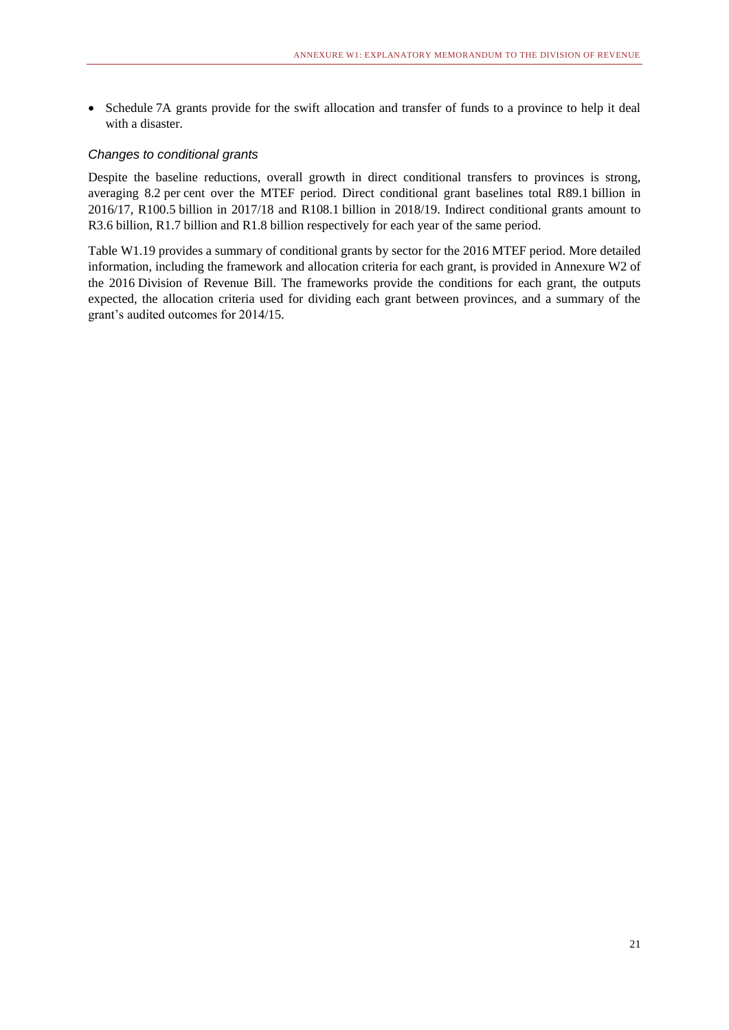• Schedule 7A grants provide for the swift allocation and transfer of funds to a province to help it deal with a disaster.

### *Changes to conditional grants*

Despite the baseline reductions, overall growth in direct conditional transfers to provinces is strong, averaging 8.2 per cent over the MTEF period. Direct conditional grant baselines total R89.1 billion in 2016/17, R100.5 billion in 2017/18 and R108.1 billion in 2018/19. Indirect conditional grants amount to R3.6 billion, R1.7 billion and R1.8 billion respectively for each year of the same period.

Table W1.19 provides a summary of conditional grants by sector for the 2016 MTEF period. More detailed information, including the framework and allocation criteria for each grant, is provided in Annexure W2 of the 2016 Division of Revenue Bill. The frameworks provide the conditions for each grant, the outputs expected, the allocation criteria used for dividing each grant between provinces, and a summary of the grant's audited outcomes for 2014/15.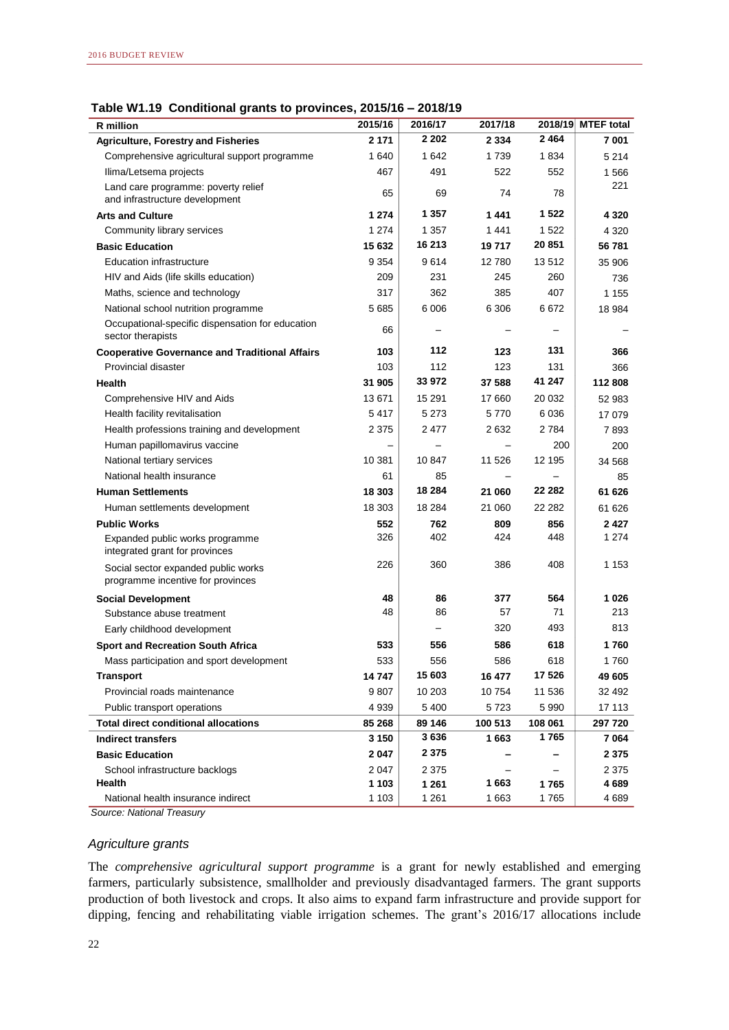**Table W1.19 Conditional grants to provinces, 2015/16 – 2018/19**

| <b>R</b> million                                                           | 2015/16        | 2016/17           | 2017/18         | 2018/19         | <b>MTEF</b> total |
|----------------------------------------------------------------------------|----------------|-------------------|-----------------|-----------------|-------------------|
| <b>Agriculture, Forestry and Fisheries</b>                                 | 2 171          | 2 2 0 2           | 2 3 3 4         | 2464            | 7001              |
| Comprehensive agricultural support programme                               | 1640           | 1642              | 1 739           | 1834            | 5 2 1 4           |
| Ilima/Letsema projects                                                     | 467            | 491               | 522             | 552             | 1566              |
| Land care programme: poverty relief<br>and infrastructure development      | 65             | 69                | 74              | 78              | 221               |
| <b>Arts and Culture</b>                                                    | 1 274          | 1 3 5 7           | 1441            | 1 522           | 4 3 2 0           |
| Community library services                                                 | 1 274          | 1 357             | 1441            | 1522            | 4 3 2 0           |
| <b>Basic Education</b>                                                     | 15 632         | 16 213            | 19717           | 20 851          | 56 781            |
| <b>Education infrastructure</b>                                            | 9 3 5 4        | 9614              | 12780           | 13512           | 35 906            |
| HIV and Aids (life skills education)                                       | 209            | 231               | 245             | 260             | 736               |
| Maths, science and technology                                              | 317            | 362               | 385             | 407             | 1 1 5 5           |
| National school nutrition programme                                        | 5685           | 6 0 06            | 6 3 0 6         | 6672            | 18 984            |
| Occupational-specific dispensation for education<br>sector therapists      | 66             |                   |                 |                 |                   |
| <b>Cooperative Governance and Traditional Affairs</b>                      | 103            | 112               | 123             | 131             | 366               |
| Provincial disaster                                                        | 103            | 112               | 123             | 131             | 366               |
| <b>Health</b>                                                              | 31 905         | 33 972            | 37 588          | 41 247          | 112 808           |
| Comprehensive HIV and Aids                                                 | 13 671         | 15 291            | 17 660          | 20 032          | 52 983            |
| Health facility revitalisation                                             | 5417           | 5 2 7 3           | 5770            | 6036            | 17 079            |
| Health professions training and development                                | 2 3 7 5        | 2477              | 2632            | 2784            | 7893              |
| Human papillomavirus vaccine                                               |                |                   |                 | 200             | 200               |
| National tertiary services                                                 | 10 381         | 10847             | 11 526          | 12 195          | 34 568            |
| National health insurance                                                  | 61             | 85                |                 |                 | 85                |
| <b>Human Settlements</b>                                                   | 18 303         | 18 284            | 21 060          | 22 282          | 61 626            |
| Human settlements development                                              | 18 303         | 18 2 84           | 21 060          | 22 282          | 61 626            |
| <b>Public Works</b>                                                        | 552            | 762               | 809             | 856             | 2427              |
| Expanded public works programme<br>integrated grant for provinces          | 326            | 402               | 424             | 448             | 1 2 7 4           |
| Social sector expanded public works<br>programme incentive for provinces   | 226            | 360               | 386             | 408             | 1 1 5 3           |
|                                                                            | 48             | 86                | 377             | 564             | 1026              |
| <b>Social Development</b><br>Substance abuse treatment                     | 48             | 86                | 57              | 71              | 213               |
| Early childhood development                                                |                |                   | 320             | 493             | 813               |
| <b>Sport and Recreation South Africa</b>                                   | 533            | 556               | 586             | 618             | 1760              |
|                                                                            | 533            | 556               | 586             | 618             | 1760              |
| Mass participation and sport development                                   |                | 15 603            |                 | 17 526          |                   |
| <b>Transport</b><br>Provincial roads maintenance                           | 14 747<br>9807 | 10 203            | 16 477<br>10754 | 11 536          | 49 605<br>32 492  |
|                                                                            |                |                   |                 |                 |                   |
| Public transport operations<br><b>Total direct conditional allocations</b> | 4939<br>85 268 | 5 4 0 0<br>89 146 | 5723<br>100 513 | 5990<br>108 061 | 17 113<br>297 720 |
| <b>Indirect transfers</b>                                                  | 3 1 5 0        | 3636              | 1663            | 1765            | 7 064             |
| <b>Basic Education</b>                                                     | 2047           | 2 3 7 5           |                 |                 | 2 3 7 5           |
| School infrastructure backlogs                                             | 2 0 4 7        | 2 3 7 5           |                 |                 | 2 3 7 5           |
| Health                                                                     | 1 1 0 3        | 1 2 6 1           | 1663            | 1765            | 4689              |
| National health insurance indirect                                         | 1 1 0 3        | 1 2 6 1           | 1 6 6 3         | 1765            | 4689              |

### *Agriculture grants*

The *comprehensive agricultural support programme* is a grant for newly established and emerging farmers, particularly subsistence, smallholder and previously disadvantaged farmers. The grant supports production of both livestock and crops. It also aims to expand farm infrastructure and provide support for dipping, fencing and rehabilitating viable irrigation schemes. The grant's 2016/17 allocations include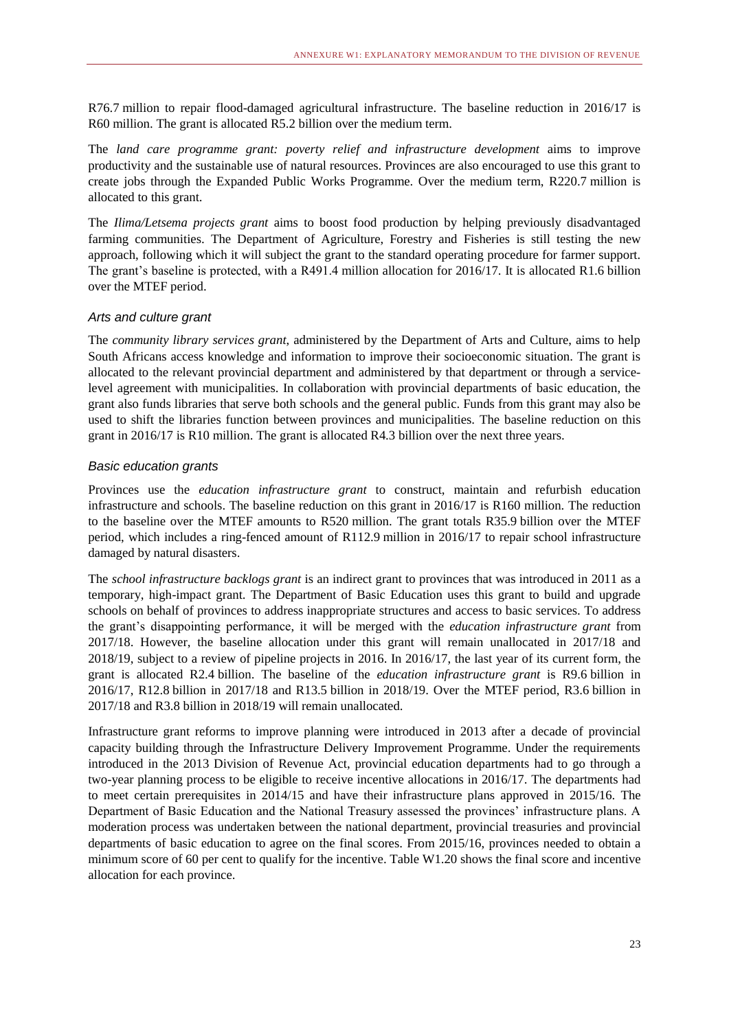R76.7 million to repair flood-damaged agricultural infrastructure. The baseline reduction in 2016/17 is R60 million. The grant is allocated R5.2 billion over the medium term.

The *land care programme grant: poverty relief and infrastructure development* aims to improve productivity and the sustainable use of natural resources. Provinces are also encouraged to use this grant to create jobs through the Expanded Public Works Programme. Over the medium term, R220.7 million is allocated to this grant.

The *Ilima/Letsema projects grant* aims to boost food production by helping previously disadvantaged farming communities. The Department of Agriculture, Forestry and Fisheries is still testing the new approach, following which it will subject the grant to the standard operating procedure for farmer support. The grant's baseline is protected, with a R491.4 million allocation for 2016/17. It is allocated R1.6 billion over the MTEF period.

### *Arts and culture grant*

The *community library services grant*, administered by the Department of Arts and Culture, aims to help South Africans access knowledge and information to improve their socioeconomic situation. The grant is allocated to the relevant provincial department and administered by that department or through a servicelevel agreement with municipalities. In collaboration with provincial departments of basic education, the grant also funds libraries that serve both schools and the general public. Funds from this grant may also be used to shift the libraries function between provinces and municipalities. The baseline reduction on this grant in 2016/17 is R10 million. The grant is allocated R4.3 billion over the next three years.

### *Basic education grants*

Provinces use the *education infrastructure grant* to construct, maintain and refurbish education infrastructure and schools. The baseline reduction on this grant in 2016/17 is R160 million. The reduction to the baseline over the MTEF amounts to R520 million. The grant totals R35.9 billion over the MTEF period, which includes a ring-fenced amount of R112.9 million in 2016/17 to repair school infrastructure damaged by natural disasters.

The *school infrastructure backlogs grant* is an indirect grant to provinces that was introduced in 2011 as a temporary, high-impact grant. The Department of Basic Education uses this grant to build and upgrade schools on behalf of provinces to address inappropriate structures and access to basic services. To address the grant's disappointing performance, it will be merged with the *education infrastructure grant* from 2017/18. However, the baseline allocation under this grant will remain unallocated in 2017/18 and 2018/19, subject to a review of pipeline projects in 2016. In 2016/17, the last year of its current form, the grant is allocated R2.4 billion. The baseline of the *education infrastructure grant* is R9.6 billion in 2016/17, R12.8 billion in 2017/18 and R13.5 billion in 2018/19. Over the MTEF period, R3.6 billion in 2017/18 and R3.8 billion in 2018/19 will remain unallocated.

Infrastructure grant reforms to improve planning were introduced in 2013 after a decade of provincial capacity building through the Infrastructure Delivery Improvement Programme. Under the requirements introduced in the 2013 Division of Revenue Act, provincial education departments had to go through a two-year planning process to be eligible to receive incentive allocations in 2016/17. The departments had to meet certain prerequisites in 2014/15 and have their infrastructure plans approved in 2015/16. The Department of Basic Education and the National Treasury assessed the provinces' infrastructure plans. A moderation process was undertaken between the national department, provincial treasuries and provincial departments of basic education to agree on the final scores. From 2015/16, provinces needed to obtain a minimum score of 60 per cent to qualify for the incentive. Table W1.20 shows the final score and incentive allocation for each province.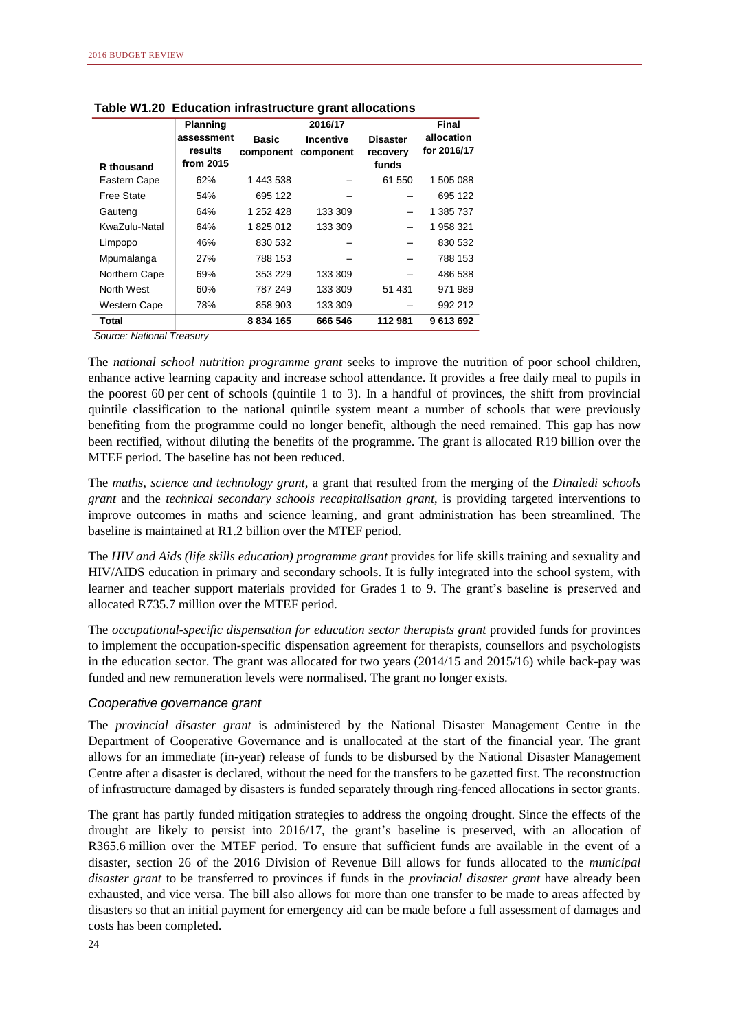|                     | Planning   |               | 2016/17          |                 |             |  |  |
|---------------------|------------|---------------|------------------|-----------------|-------------|--|--|
|                     | assessment | <b>Basic</b>  | <b>Incentive</b> | <b>Disaster</b> | allocation  |  |  |
|                     | results    | component     | component        | recovery        | for 2016/17 |  |  |
| R thousand          | from 2015  |               |                  | funds           |             |  |  |
| Eastern Cape        | 62%        | 1 443 538     |                  | 61 550          | 1 505 088   |  |  |
| Free State          | 54%        | 695 122       |                  |                 | 695 122     |  |  |
| Gauteng             | 64%        | 1 252 428     | 133 309          |                 | 1 385 737   |  |  |
| KwaZulu-Natal       | 64%        | 1825012       | 133 309          |                 | 1958321     |  |  |
| Limpopo             | 46%        | 830 532       |                  |                 | 830 532     |  |  |
| Mpumalanga          | 27%        | 788 153       |                  |                 | 788 153     |  |  |
| Northern Cape       | 69%        | 353 229       | 133 309          |                 | 486 538     |  |  |
| North West          | 60%        | 787 249       | 133 309          | 51 431          | 971 989     |  |  |
| <b>Western Cape</b> | 78%        | 858 903       | 133 309          |                 | 992 212     |  |  |
| Total               |            | 8 8 3 4 1 6 5 | 666 546          | 112 981         | 9 613 692   |  |  |

**Table W1.20 Education infrastructure grant allocations**

The *national school nutrition programme grant* seeks to improve the nutrition of poor school children, enhance active learning capacity and increase school attendance. It provides a free daily meal to pupils in the poorest 60 per cent of schools (quintile 1 to 3). In a handful of provinces, the shift from provincial quintile classification to the national quintile system meant a number of schools that were previously benefiting from the programme could no longer benefit, although the need remained. This gap has now been rectified, without diluting the benefits of the programme. The grant is allocated R19 billion over the MTEF period. The baseline has not been reduced.

The *maths, science and technology grant*, a grant that resulted from the merging of the *Dinaledi schools grant* and the *technical secondary schools recapitalisation grant*, is providing targeted interventions to improve outcomes in maths and science learning, and grant administration has been streamlined. The baseline is maintained at R1.2 billion over the MTEF period.

The *HIV and Aids (life skills education) programme grant* provides for life skills training and sexuality and HIV/AIDS education in primary and secondary schools. It is fully integrated into the school system, with learner and teacher support materials provided for Grades 1 to 9. The grant's baseline is preserved and allocated R735.7 million over the MTEF period.

The *occupational-specific dispensation for education sector therapists grant* provided funds for provinces to implement the occupation-specific dispensation agreement for therapists, counsellors and psychologists in the education sector. The grant was allocated for two years (2014/15 and 2015/16) while back-pay was funded and new remuneration levels were normalised. The grant no longer exists.

### *Cooperative governance grant*

The *provincial disaster grant* is administered by the National Disaster Management Centre in the Department of Cooperative Governance and is unallocated at the start of the financial year. The grant allows for an immediate (in-year) release of funds to be disbursed by the National Disaster Management Centre after a disaster is declared, without the need for the transfers to be gazetted first. The reconstruction of infrastructure damaged by disasters is funded separately through ring-fenced allocations in sector grants.

The grant has partly funded mitigation strategies to address the ongoing drought. Since the effects of the drought are likely to persist into 2016/17, the grant's baseline is preserved, with an allocation of R365.6 million over the MTEF period. To ensure that sufficient funds are available in the event of a disaster, section 26 of the 2016 Division of Revenue Bill allows for funds allocated to the *municipal disaster grant* to be transferred to provinces if funds in the *provincial disaster grant* have already been exhausted, and vice versa. The bill also allows for more than one transfer to be made to areas affected by disasters so that an initial payment for emergency aid can be made before a full assessment of damages and costs has been completed.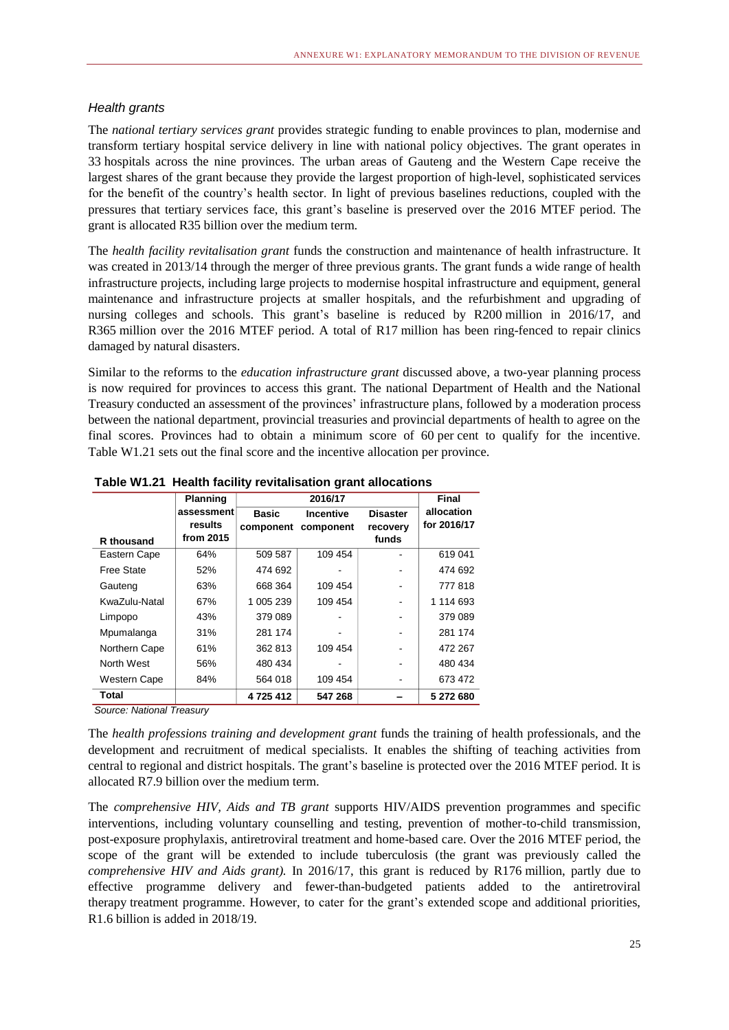### *Health grants*

The *national tertiary services grant* provides strategic funding to enable provinces to plan, modernise and transform tertiary hospital service delivery in line with national policy objectives. The grant operates in 33 hospitals across the nine provinces. The urban areas of Gauteng and the Western Cape receive the largest shares of the grant because they provide the largest proportion of high-level, sophisticated services for the benefit of the country's health sector. In light of previous baselines reductions, coupled with the pressures that tertiary services face, this grant's baseline is preserved over the 2016 MTEF period. The grant is allocated R35 billion over the medium term.

The *health facility revitalisation grant* funds the construction and maintenance of health infrastructure. It was created in 2013/14 through the merger of three previous grants. The grant funds a wide range of health infrastructure projects, including large projects to modernise hospital infrastructure and equipment, general maintenance and infrastructure projects at smaller hospitals, and the refurbishment and upgrading of nursing colleges and schools. This grant's baseline is reduced by R200 million in 2016/17, and R365 million over the 2016 MTEF period. A total of R17 million has been ring-fenced to repair clinics damaged by natural disasters.

Similar to the reforms to the *education infrastructure grant* discussed above, a two-year planning process is now required for provinces to access this grant. The national Department of Health and the National Treasury conducted an assessment of the provinces' infrastructure plans, followed by a moderation process between the national department, provincial treasuries and provincial departments of health to agree on the final scores. Provinces had to obtain a minimum score of 60 per cent to qualify for the incentive. Table W1.21 sets out the final score and the incentive allocation per province.

|               | <b>Planning</b>       |               | 2016/17          |                   | Final                     |
|---------------|-----------------------|---------------|------------------|-------------------|---------------------------|
|               | assessment<br>results | <b>Basic</b>  | <b>Incentive</b> | <b>Disaster</b>   | allocation<br>for 2016/17 |
| R thousand    | from 2015             | component     | component        | recovery<br>funds |                           |
| Eastern Cape  | 64%                   | 509 587       | 109 454          |                   | 619 041                   |
| Free State    | 52%                   | 474 692       |                  |                   | 474 692                   |
| Gauteng       | 63%                   | 668 364       | 109 454          |                   | 777818                    |
| KwaZulu-Natal | 67%                   | 1 005 239     | 109 454          |                   | 1 114 693                 |
| Limpopo       | 43%                   | 379 089       |                  |                   | 379 089                   |
| Mpumalanga    | 31%                   | 281 174       |                  |                   | 281 174                   |
| Northern Cape | 61%                   | 362 813       | 109 454          |                   | 472 267                   |
| North West    | 56%                   | 480 434       |                  |                   | 480 434                   |
| Western Cape  | 84%                   | 564 018       | 109 454          |                   | 673 472                   |
| Total         |                       | 4 7 2 5 4 1 2 | 547 268          |                   | 5 272 680                 |

**Table W1.21 Health facility revitalisation grant allocations**

*Source: National Treasury*

The *health professions training and development grant* funds the training of health professionals, and the development and recruitment of medical specialists. It enables the shifting of teaching activities from central to regional and district hospitals. The grant's baseline is protected over the 2016 MTEF period. It is allocated R7.9 billion over the medium term.

The *comprehensive HIV, Aids and TB grant* supports HIV/AIDS prevention programmes and specific interventions, including voluntary counselling and testing, prevention of mother-to-child transmission, post-exposure prophylaxis, antiretroviral treatment and home-based care. Over the 2016 MTEF period, the scope of the grant will be extended to include tuberculosis (the grant was previously called the *comprehensive HIV and Aids grant).* In 2016/17, this grant is reduced by R176 million, partly due to effective programme delivery and fewer-than-budgeted patients added to the antiretroviral therapy treatment programme. However, to cater for the grant's extended scope and additional priorities, R1.6 billion is added in 2018/19.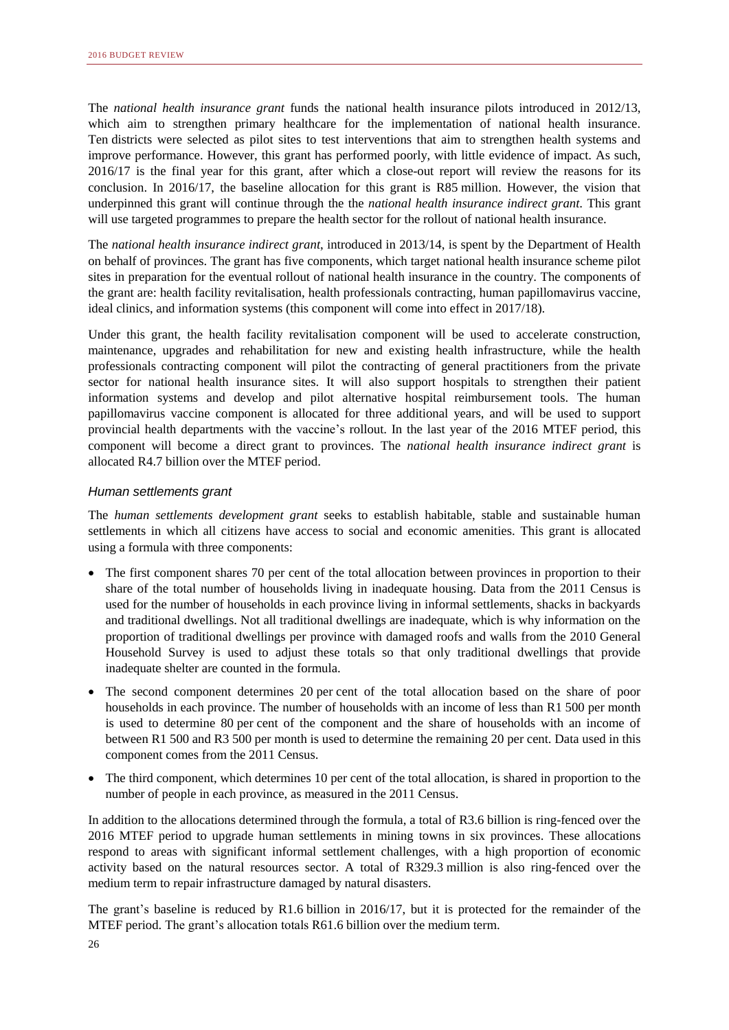The *national health insurance grant* funds the national health insurance pilots introduced in 2012/13, which aim to strengthen primary healthcare for the implementation of national health insurance. Ten districts were selected as pilot sites to test interventions that aim to strengthen health systems and improve performance. However, this grant has performed poorly, with little evidence of impact. As such, 2016/17 is the final year for this grant, after which a close-out report will review the reasons for its conclusion. In 2016/17, the baseline allocation for this grant is R85 million. However, the vision that underpinned this grant will continue through the the *national health insurance indirect grant*. This grant will use targeted programmes to prepare the health sector for the rollout of national health insurance.

The *national health insurance indirect grant*, introduced in 2013/14, is spent by the Department of Health on behalf of provinces. The grant has five components, which target national health insurance scheme pilot sites in preparation for the eventual rollout of national health insurance in the country. The components of the grant are: health facility revitalisation, health professionals contracting, human papillomavirus vaccine, ideal clinics, and information systems (this component will come into effect in 2017/18).

Under this grant, the health facility revitalisation component will be used to accelerate construction, maintenance, upgrades and rehabilitation for new and existing health infrastructure, while the health professionals contracting component will pilot the contracting of general practitioners from the private sector for national health insurance sites. It will also support hospitals to strengthen their patient information systems and develop and pilot alternative hospital reimbursement tools. The human papillomavirus vaccine component is allocated for three additional years, and will be used to support provincial health departments with the vaccine's rollout. In the last year of the 2016 MTEF period, this component will become a direct grant to provinces. The *national health insurance indirect grant* is allocated R4.7 billion over the MTEF period.

### *Human settlements grant*

The *human settlements development grant* seeks to establish habitable, stable and sustainable human settlements in which all citizens have access to social and economic amenities. This grant is allocated using a formula with three components:

- The first component shares 70 per cent of the total allocation between provinces in proportion to their share of the total number of households living in inadequate housing. Data from the 2011 Census is used for the number of households in each province living in informal settlements, shacks in backyards and traditional dwellings. Not all traditional dwellings are inadequate, which is why information on the proportion of traditional dwellings per province with damaged roofs and walls from the 2010 General Household Survey is used to adjust these totals so that only traditional dwellings that provide inadequate shelter are counted in the formula.
- The second component determines 20 per cent of the total allocation based on the share of poor households in each province. The number of households with an income of less than R1 500 per month is used to determine 80 per cent of the component and the share of households with an income of between R1 500 and R3 500 per month is used to determine the remaining 20 per cent. Data used in this component comes from the 2011 Census.
- The third component, which determines 10 per cent of the total allocation, is shared in proportion to the number of people in each province, as measured in the 2011 Census.

In addition to the allocations determined through the formula, a total of R3.6 billion is ring-fenced over the 2016 MTEF period to upgrade human settlements in mining towns in six provinces. These allocations respond to areas with significant informal settlement challenges, with a high proportion of economic activity based on the natural resources sector. A total of R329.3 million is also ring-fenced over the medium term to repair infrastructure damaged by natural disasters.

The grant's baseline is reduced by R1.6 billion in 2016/17, but it is protected for the remainder of the MTEF period. The grant's allocation totals R61.6 billion over the medium term.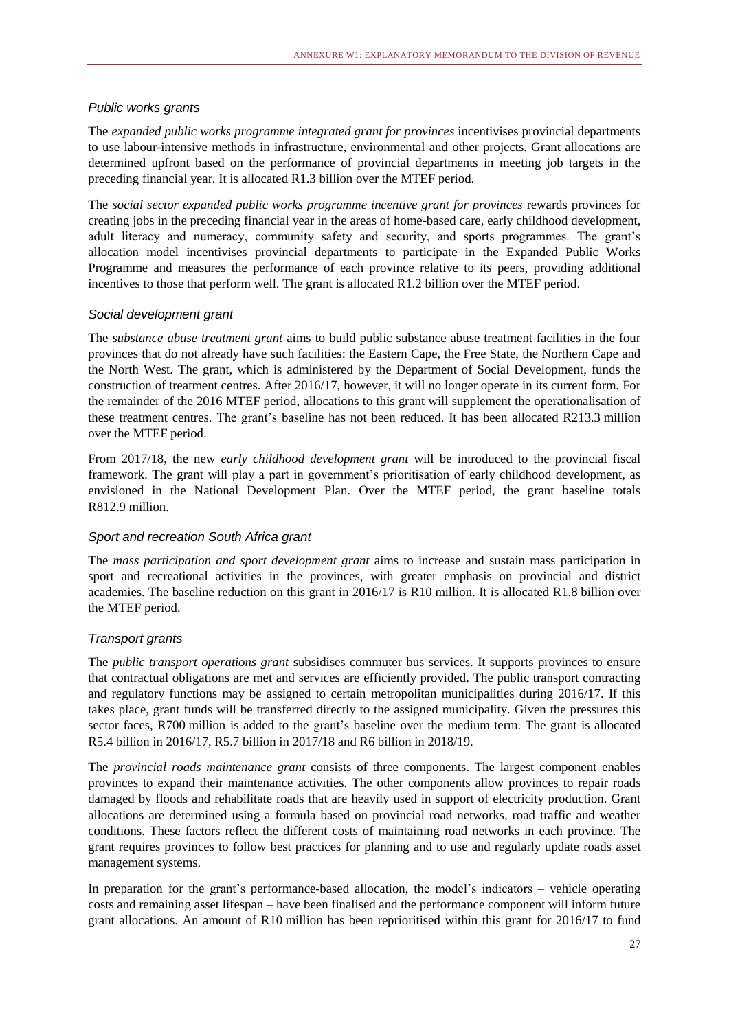### *Public works grants*

The *expanded public works programme integrated grant for provinces* incentivises provincial departments to use labour-intensive methods in infrastructure, environmental and other projects. Grant allocations are determined upfront based on the performance of provincial departments in meeting job targets in the preceding financial year. It is allocated R1.3 billion over the MTEF period.

The *social sector expanded public works programme incentive grant for provinces* rewards provinces for creating jobs in the preceding financial year in the areas of home-based care, early childhood development, adult literacy and numeracy, community safety and security, and sports programmes. The grant's allocation model incentivises provincial departments to participate in the Expanded Public Works Programme and measures the performance of each province relative to its peers, providing additional incentives to those that perform well. The grant is allocated R1.2 billion over the MTEF period.

### *Social development grant*

The *substance abuse treatment grant* aims to build public substance abuse treatment facilities in the four provinces that do not already have such facilities: the Eastern Cape, the Free State, the Northern Cape and the North West. The grant, which is administered by the Department of Social Development, funds the construction of treatment centres. After 2016/17, however, it will no longer operate in its current form. For the remainder of the 2016 MTEF period, allocations to this grant will supplement the operationalisation of these treatment centres. The grant's baseline has not been reduced. It has been allocated R213.3 million over the MTEF period.

From 2017/18, the new *early childhood development grant* will be introduced to the provincial fiscal framework. The grant will play a part in government's prioritisation of early childhood development, as envisioned in the National Development Plan. Over the MTEF period, the grant baseline totals R812.9 million.

### *Sport and recreation South Africa grant*

The *mass participation and sport development grant* aims to increase and sustain mass participation in sport and recreational activities in the provinces, with greater emphasis on provincial and district academies. The baseline reduction on this grant in 2016/17 is R10 million. It is allocated R1.8 billion over the MTEF period.

### *Transport grants*

The *public transport operations grant* subsidises commuter bus services. It supports provinces to ensure that contractual obligations are met and services are efficiently provided. The public transport contracting and regulatory functions may be assigned to certain metropolitan municipalities during 2016/17. If this takes place, grant funds will be transferred directly to the assigned municipality. Given the pressures this sector faces, R700 million is added to the grant's baseline over the medium term. The grant is allocated R5.4 billion in 2016/17, R5.7 billion in 2017/18 and R6 billion in 2018/19.

The *provincial roads maintenance grant* consists of three components. The largest component enables provinces to expand their maintenance activities. The other components allow provinces to repair roads damaged by floods and rehabilitate roads that are heavily used in support of electricity production. Grant allocations are determined using a formula based on provincial road networks, road traffic and weather conditions. These factors reflect the different costs of maintaining road networks in each province. The grant requires provinces to follow best practices for planning and to use and regularly update roads asset management systems.

In preparation for the grant's performance-based allocation, the model's indicators – vehicle operating costs and remaining asset lifespan – have been finalised and the performance component will inform future grant allocations. An amount of R10 million has been reprioritised within this grant for 2016/17 to fund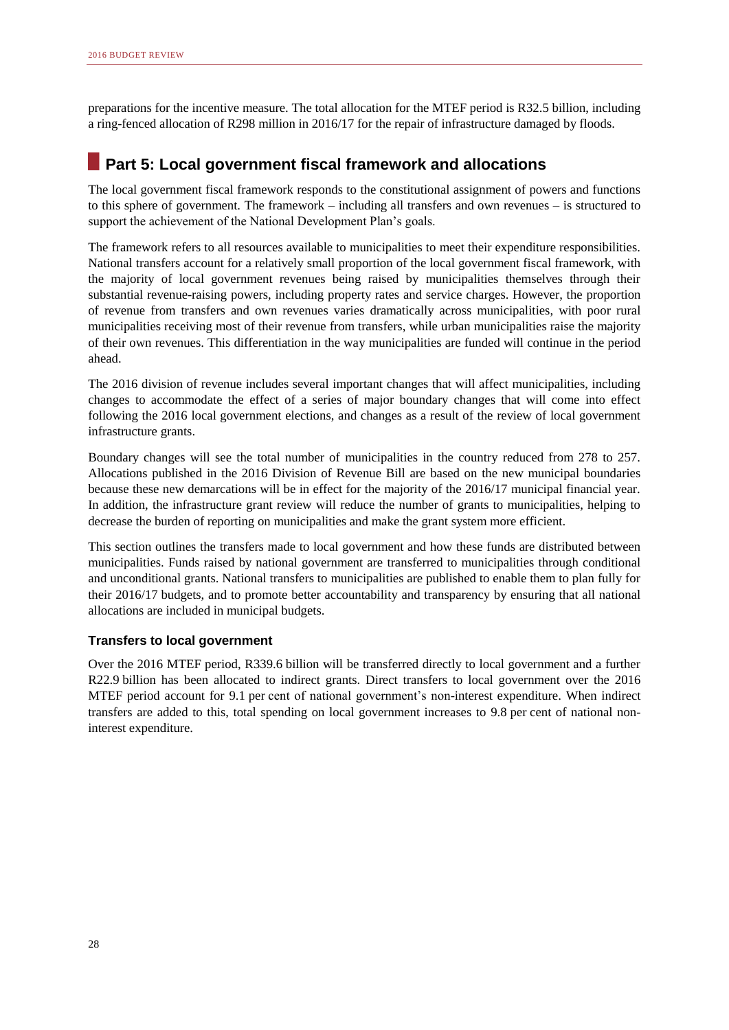preparations for the incentive measure. The total allocation for the MTEF period is R32.5 billion, including a ring-fenced allocation of R298 million in 2016/17 for the repair of infrastructure damaged by floods.

# **Part 5: Local government fiscal framework and allocations**

The local government fiscal framework responds to the constitutional assignment of powers and functions to this sphere of government. The framework – including all transfers and own revenues – is structured to support the achievement of the National Development Plan's goals.

The framework refers to all resources available to municipalities to meet their expenditure responsibilities. National transfers account for a relatively small proportion of the local government fiscal framework, with the majority of local government revenues being raised by municipalities themselves through their substantial revenue-raising powers, including property rates and service charges. However, the proportion of revenue from transfers and own revenues varies dramatically across municipalities, with poor rural municipalities receiving most of their revenue from transfers, while urban municipalities raise the majority of their own revenues. This differentiation in the way municipalities are funded will continue in the period ahead.

The 2016 division of revenue includes several important changes that will affect municipalities, including changes to accommodate the effect of a series of major boundary changes that will come into effect following the 2016 local government elections, and changes as a result of the review of local government infrastructure grants.

Boundary changes will see the total number of municipalities in the country reduced from 278 to 257. Allocations published in the 2016 Division of Revenue Bill are based on the new municipal boundaries because these new demarcations will be in effect for the majority of the 2016/17 municipal financial year. In addition, the infrastructure grant review will reduce the number of grants to municipalities, helping to decrease the burden of reporting on municipalities and make the grant system more efficient.

This section outlines the transfers made to local government and how these funds are distributed between municipalities. Funds raised by national government are transferred to municipalities through conditional and unconditional grants. National transfers to municipalities are published to enable them to plan fully for their 2016/17 budgets, and to promote better accountability and transparency by ensuring that all national allocations are included in municipal budgets.

### **Transfers to local government**

Over the 2016 MTEF period, R339.6 billion will be transferred directly to local government and a further R22.9 billion has been allocated to indirect grants. Direct transfers to local government over the 2016 MTEF period account for 9.1 per cent of national government's non-interest expenditure. When indirect transfers are added to this, total spending on local government increases to 9.8 per cent of national noninterest expenditure.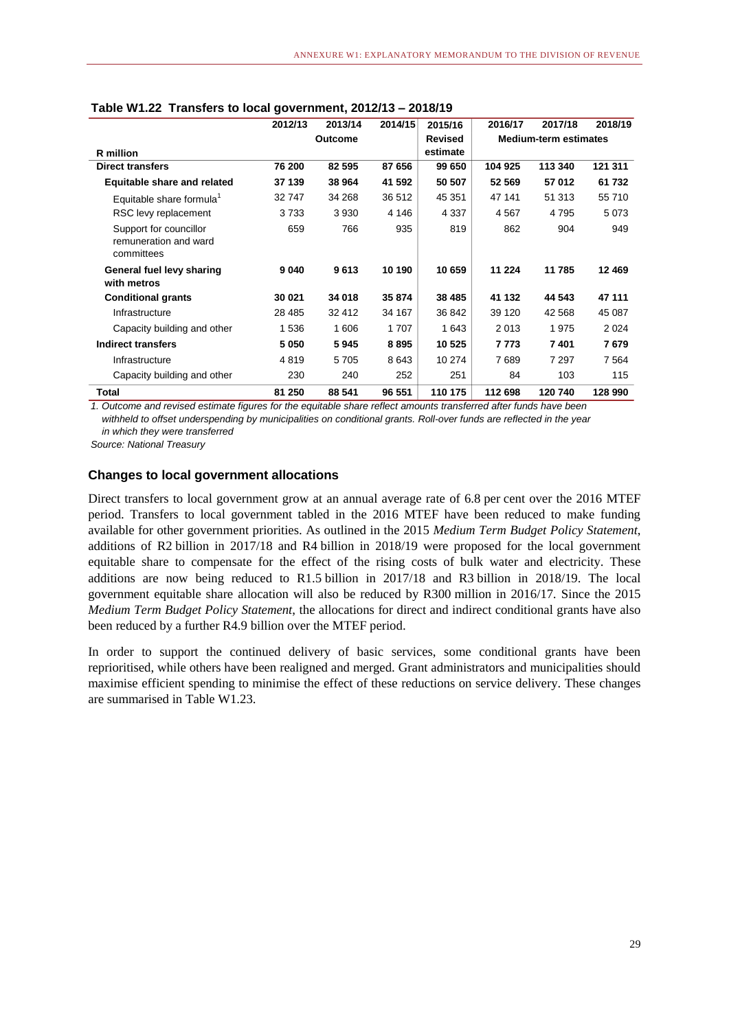|                                                               | 2012/13        | 2013/14 | 2014/15 | 2015/16        | 2016/17 | 2017/18                      | 2018/19 |  |
|---------------------------------------------------------------|----------------|---------|---------|----------------|---------|------------------------------|---------|--|
|                                                               | <b>Outcome</b> |         |         | <b>Revised</b> |         | <b>Medium-term estimates</b> |         |  |
| R million                                                     |                |         |         | estimate       |         |                              |         |  |
| <b>Direct transfers</b>                                       | 76 200         | 82 595  | 87 656  | 99 650         | 104 925 | 113 340                      | 121 311 |  |
| <b>Equitable share and related</b>                            | 37 139         | 38 964  | 41 592  | 50 507         | 52 569  | 57 012                       | 61 732  |  |
| Equitable share formula <sup>1</sup>                          | 32747          | 34 268  | 36 512  | 45 351         | 47 141  | 51 313                       | 55 710  |  |
| RSC levy replacement                                          | 3733           | 3930    | 4 14 6  | 4 3 3 7        | 4567    | 4 7 9 5                      | 5073    |  |
| Support for councillor<br>remuneration and ward<br>committees | 659            | 766     | 935     | 819            | 862     | 904                          | 949     |  |
| General fuel levy sharing<br>with metros                      | 9040           | 9613    | 10 190  | 10 659         | 11 224  | 11 785                       | 12469   |  |
| <b>Conditional grants</b>                                     | 30 021         | 34 018  | 35 874  | 38 4 85        | 41 132  | 44 543                       | 47 111  |  |
| Infrastructure                                                | 28 4 8 5       | 32 412  | 34 167  | 36 842         | 39 1 20 | 42 5 68                      | 45 087  |  |
| Capacity building and other                                   | 1536           | 1606    | 1707    | 1 643          | 2013    | 1975                         | 2 0 2 4 |  |
| Indirect transfers                                            | 5050           | 5945    | 8895    | 10 525         | 7 7 7 3 | 7401                         | 7679    |  |
| Infrastructure                                                | 4819           | 5705    | 8643    | 10 274         | 7689    | 7 297                        | 7 5 64  |  |
| Capacity building and other                                   | 230            | 240     | 252     | 251            | 84      | 103                          | 115     |  |
| Total                                                         | 81 250         | 88 541  | 96 551  | 110 175        | 112 698 | 120 740                      | 128 990 |  |

### **Table W1.22 Transfers to local government, 2012/13 – 2018/19**

*1. Outcome and revised estimate figures for the equitable share reflect amounts transferred after funds have been withheld to offset underspending by municipalities on conditional grants. Roll-over funds are reflected in the year in which they were transferred*

*Source: National Treasury*

### **Changes to local government allocations**

Direct transfers to local government grow at an annual average rate of 6.8 per cent over the 2016 MTEF period. Transfers to local government tabled in the 2016 MTEF have been reduced to make funding available for other government priorities. As outlined in the 2015 *Medium Term Budget Policy Statement*, additions of R2 billion in 2017/18 and R4 billion in 2018/19 were proposed for the local government equitable share to compensate for the effect of the rising costs of bulk water and electricity. These additions are now being reduced to R1.5 billion in 2017/18 and R3 billion in 2018/19. The local government equitable share allocation will also be reduced by R300 million in 2016/17*.* Since the 2015 *Medium Term Budget Policy Statement*, the allocations for direct and indirect conditional grants have also been reduced by a further R4.9 billion over the MTEF period.

In order to support the continued delivery of basic services, some conditional grants have been reprioritised, while others have been realigned and merged. Grant administrators and municipalities should maximise efficient spending to minimise the effect of these reductions on service delivery. These changes are summarised in Table W1.23.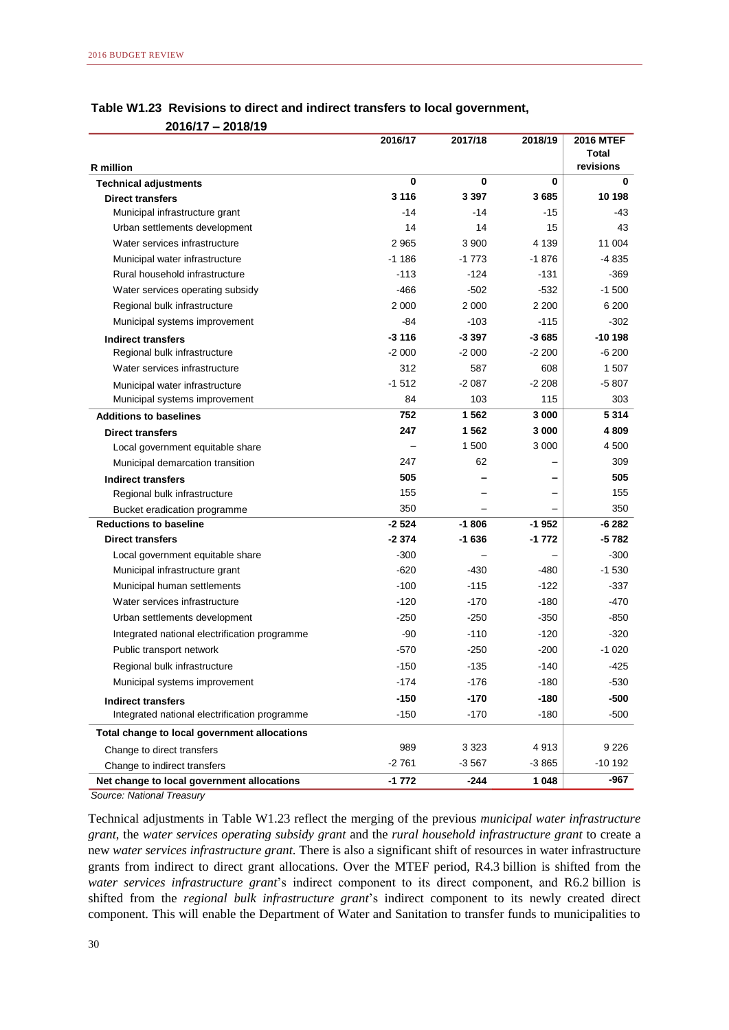|                                                         | 2016/17 | 2017/18 | 2018/19 | <b>2016 MTEF</b>   |
|---------------------------------------------------------|---------|---------|---------|--------------------|
|                                                         |         |         |         | Total<br>revisions |
| <b>R</b> million                                        | 0       | 0       | 0       | 0                  |
| <b>Technical adjustments</b><br><b>Direct transfers</b> | 3 1 1 6 | 3 3 9 7 | 3685    | 10 198             |
| Municipal infrastructure grant                          | $-14$   | $-14$   | $-15$   | -43                |
| Urban settlements development                           | 14      | 14      | 15      | 43                 |
| Water services infrastructure                           | 2965    | 3 9 0 0 | 4 1 3 9 | 11 004             |
| Municipal water infrastructure                          | $-1186$ | $-1773$ | $-1876$ | $-4835$            |
| Rural household infrastructure                          | $-113$  | $-124$  | $-131$  | -369               |
| Water services operating subsidy                        | -466    | $-502$  | $-532$  | $-1500$            |
| Regional bulk infrastructure                            | 2 0 0 0 | 2 0 0 0 | 2 2 0 0 | 6 200              |
| Municipal systems improvement                           | -84     | $-103$  | -115    | -302               |
| Indirect transfers                                      | $-3116$ | -3 397  | $-3685$ | $-10198$           |
| Regional bulk infrastructure                            | $-2000$ | $-2000$ | $-2200$ | $-6200$            |
| Water services infrastructure                           | 312     | 587     | 608     | 1 507              |
| Municipal water infrastructure                          | $-1512$ | $-2087$ | $-2208$ | $-5807$            |
| Municipal systems improvement                           | 84      | 103     | 115     | 303                |
| <b>Additions to baselines</b>                           | 752     | 1562    | 3 000   | 5314               |
| <b>Direct transfers</b>                                 | 247     | 1562    | 3 0 0 0 | 4 8 0 9            |
| Local government equitable share                        |         | 1 500   | 3 0 0 0 | 4 500              |
| Municipal demarcation transition                        | 247     | 62      |         | 309                |
| <b>Indirect transfers</b>                               | 505     |         |         | 505                |
| Regional bulk infrastructure                            | 155     |         |         | 155                |
| Bucket eradication programme                            | 350     |         |         | 350                |
| <b>Reductions to baseline</b>                           | $-2524$ | $-1806$ | $-1952$ | -6 282             |
| <b>Direct transfers</b>                                 | $-2374$ | -1 636  | $-1772$ | -5 782             |
| Local government equitable share                        | $-300$  |         |         | $-300$             |
| Municipal infrastructure grant                          | $-620$  | $-430$  | -480    | $-1530$            |
| Municipal human settlements                             | $-100$  | $-115$  | $-122$  | $-337$             |
| Water services infrastructure                           | $-120$  | -170    | -180    | -470               |
| Urban settlements development                           | -250    | -250    | -350    | -850               |
| Integrated national electrification programme           | $-90$   | $-110$  | $-120$  | $-320$             |
| Public transport network                                | $-570$  | $-250$  | $-200$  | $-1020$            |
| Regional bulk infrastructure                            | $-150$  | $-135$  | $-140$  | $-425$             |
| Municipal systems improvement                           | $-174$  | $-176$  | $-180$  | 530                |
| <b>Indirect transfers</b>                               | -150    | -170    | -180    | -500               |
| Integrated national electrification programme           | $-150$  | $-170$  | $-180$  | $-500$             |
| Total change to local government allocations            |         |         |         |                    |
| Change to direct transfers                              | 989     | 3 3 2 3 | 4913    | 9 2 2 6            |
| Change to indirect transfers                            | $-2761$ | -3 567  | -3 865  | -10 192            |
| Net change to local government allocations              | -1 772  | -244    | 1 0 4 8 | -967               |

### **Table W1.23 Revisions to direct and indirect transfers to local government, 2016/17 – 2018/19**

*Source: National Treasury*

Technical adjustments in Table W1.23 reflect the merging of the previous *municipal water infrastructure grant*, the *water services operating subsidy grant* and the *rural household infrastructure grant* to create a new *water services infrastructure grant*. There is also a significant shift of resources in water infrastructure grants from indirect to direct grant allocations. Over the MTEF period, R4.3 billion is shifted from the *water services infrastructure grant*'s indirect component to its direct component, and R6.2 billion is shifted from the *regional bulk infrastructure grant*'s indirect component to its newly created direct component. This will enable the Department of Water and Sanitation to transfer funds to municipalities to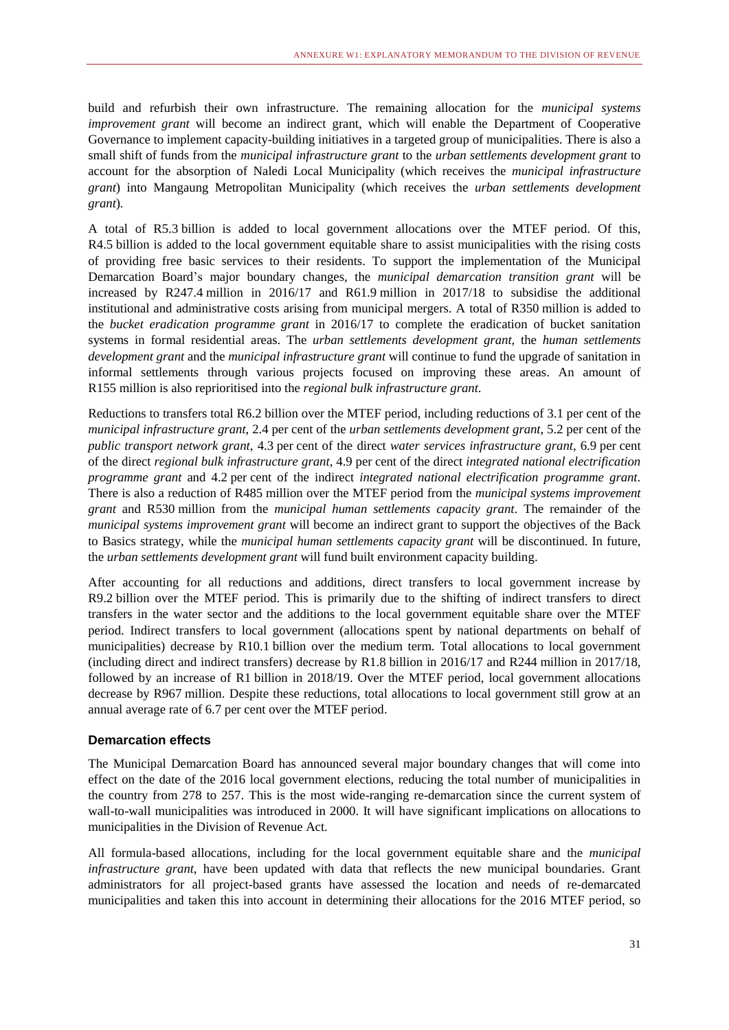build and refurbish their own infrastructure. The remaining allocation for the *municipal systems improvement grant* will become an indirect grant, which will enable the Department of Cooperative Governance to implement capacity-building initiatives in a targeted group of municipalities. There is also a small shift of funds from the *municipal infrastructure grant* to the *urban settlements development grant* to account for the absorption of Naledi Local Municipality (which receives the *municipal infrastructure grant*) into Mangaung Metropolitan Municipality (which receives the *urban settlements development grant*)*.*

A total of R5.3 billion is added to local government allocations over the MTEF period. Of this, R4.5 billion is added to the local government equitable share to assist municipalities with the rising costs of providing free basic services to their residents. To support the implementation of the Municipal Demarcation Board's major boundary changes, the *municipal demarcation transition grant* will be increased by R247.4 million in 2016/17 and R61.9 million in 2017/18 to subsidise the additional institutional and administrative costs arising from municipal mergers. A total of R350 million is added to the *bucket eradication programme grant* in 2016/17 to complete the eradication of bucket sanitation systems in formal residential areas. The *urban settlements development grant,* the *human settlements development grant* and the *municipal infrastructure grant* will continue to fund the upgrade of sanitation in informal settlements through various projects focused on improving these areas. An amount of R155 million is also reprioritised into the *regional bulk infrastructure grant*.

Reductions to transfers total R6.2 billion over the MTEF period, including reductions of 3.1 per cent of the *municipal infrastructure grant*, 2.4 per cent of the *urban settlements development grant*, 5.2 per cent of the *public transport network grant*, 4.3 per cent of the direct *water services infrastructure grant*, 6.9 per cent of the direct *regional bulk infrastructure grant*, 4.9 per cent of the direct *integrated national electrification programme grant* and 4.2 per cent of the indirect *integrated national electrification programme grant*. There is also a reduction of R485 million over the MTEF period from the *municipal systems improvement grant* and R530 million from the *municipal human settlements capacity grant*. The remainder of the *municipal systems improvement grant* will become an indirect grant to support the objectives of the Back to Basics strategy, while the *municipal human settlements capacity grant* will be discontinued. In future, the *urban settlements development grant* will fund built environment capacity building.

After accounting for all reductions and additions, direct transfers to local government increase by R9.2 billion over the MTEF period. This is primarily due to the shifting of indirect transfers to direct transfers in the water sector and the additions to the local government equitable share over the MTEF period. Indirect transfers to local government (allocations spent by national departments on behalf of municipalities) decrease by R10.1 billion over the medium term. Total allocations to local government (including direct and indirect transfers) decrease by R1.8 billion in 2016/17 and R244 million in 2017/18, followed by an increase of R1 billion in 2018/19. Over the MTEF period, local government allocations decrease by R967 million. Despite these reductions, total allocations to local government still grow at an annual average rate of 6.7 per cent over the MTEF period.

### **Demarcation effects**

The Municipal Demarcation Board has announced several major boundary changes that will come into effect on the date of the 2016 local government elections, reducing the total number of municipalities in the country from 278 to 257. This is the most wide-ranging re-demarcation since the current system of wall-to-wall municipalities was introduced in 2000. It will have significant implications on allocations to municipalities in the Division of Revenue Act.

All formula-based allocations, including for the local government equitable share and the *municipal infrastructure grant*, have been updated with data that reflects the new municipal boundaries. Grant administrators for all project-based grants have assessed the location and needs of re-demarcated municipalities and taken this into account in determining their allocations for the 2016 MTEF period, so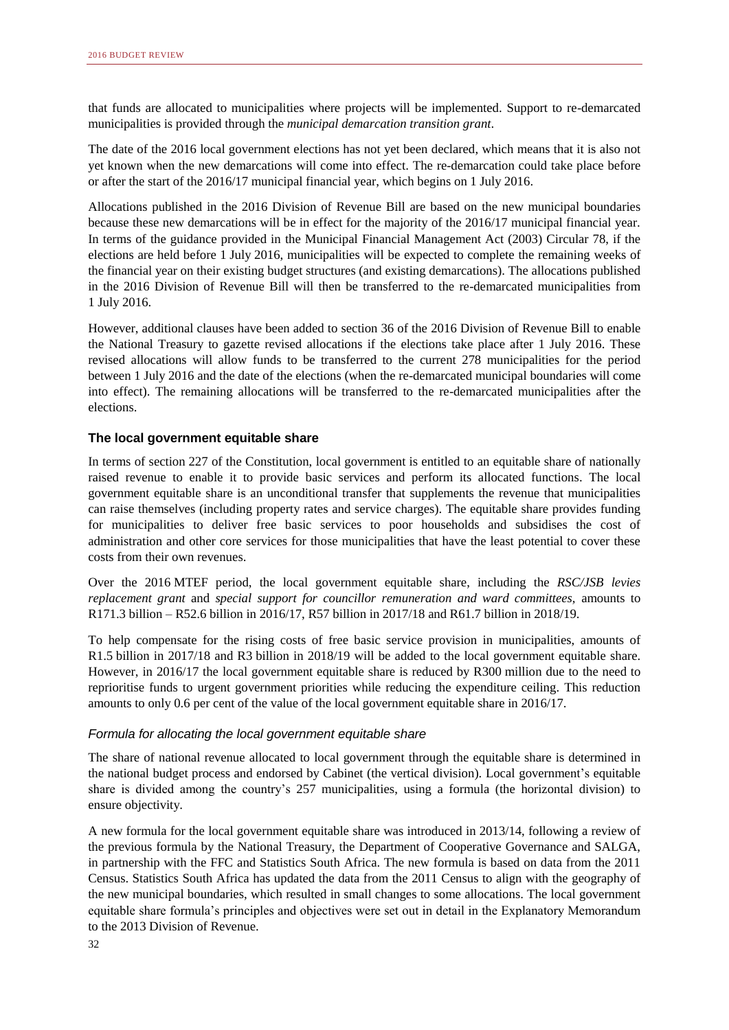that funds are allocated to municipalities where projects will be implemented. Support to re-demarcated municipalities is provided through the *municipal demarcation transition grant*.

The date of the 2016 local government elections has not yet been declared, which means that it is also not yet known when the new demarcations will come into effect. The re-demarcation could take place before or after the start of the 2016/17 municipal financial year, which begins on 1 July 2016.

Allocations published in the 2016 Division of Revenue Bill are based on the new municipal boundaries because these new demarcations will be in effect for the majority of the 2016/17 municipal financial year. In terms of the guidance provided in the Municipal Financial Management Act (2003) Circular 78, if the elections are held before 1 July 2016, municipalities will be expected to complete the remaining weeks of the financial year on their existing budget structures (and existing demarcations). The allocations published in the 2016 Division of Revenue Bill will then be transferred to the re-demarcated municipalities from 1 July 2016.

However, additional clauses have been added to section 36 of the 2016 Division of Revenue Bill to enable the National Treasury to gazette revised allocations if the elections take place after 1 July 2016. These revised allocations will allow funds to be transferred to the current 278 municipalities for the period between 1 July 2016 and the date of the elections (when the re-demarcated municipal boundaries will come into effect). The remaining allocations will be transferred to the re-demarcated municipalities after the elections.

### **The local government equitable share**

In terms of section 227 of the Constitution, local government is entitled to an equitable share of nationally raised revenue to enable it to provide basic services and perform its allocated functions. The local government equitable share is an unconditional transfer that supplements the revenue that municipalities can raise themselves (including property rates and service charges). The equitable share provides funding for municipalities to deliver free basic services to poor households and subsidises the cost of administration and other core services for those municipalities that have the least potential to cover these costs from their own revenues.

Over the 2016 MTEF period, the local government equitable share, including the *RSC/JSB levies replacement grant* and *special support for councillor remuneration and ward committees,* amounts to R171.3 billion – R52.6 billion in 2016/17, R57 billion in 2017/18 and R61.7 billion in 2018/19.

To help compensate for the rising costs of free basic service provision in municipalities, amounts of R1.5 billion in 2017/18 and R3 billion in 2018/19 will be added to the local government equitable share. However, in 2016/17 the local government equitable share is reduced by R300 million due to the need to reprioritise funds to urgent government priorities while reducing the expenditure ceiling. This reduction amounts to only 0.6 per cent of the value of the local government equitable share in 2016/17.

### *Formula for allocating the local government equitable share*

The share of national revenue allocated to local government through the equitable share is determined in the national budget process and endorsed by Cabinet (the vertical division). Local government's equitable share is divided among the country's 257 municipalities, using a formula (the horizontal division) to ensure objectivity.

A new formula for the local government equitable share was introduced in 2013/14, following a review of the previous formula by the National Treasury, the Department of Cooperative Governance and SALGA, in partnership with the FFC and Statistics South Africa. The new formula is based on data from the 2011 Census. Statistics South Africa has updated the data from the 2011 Census to align with the geography of the new municipal boundaries, which resulted in small changes to some allocations. The local government equitable share formula's principles and objectives were set out in detail in the Explanatory Memorandum to the 2013 Division of Revenue.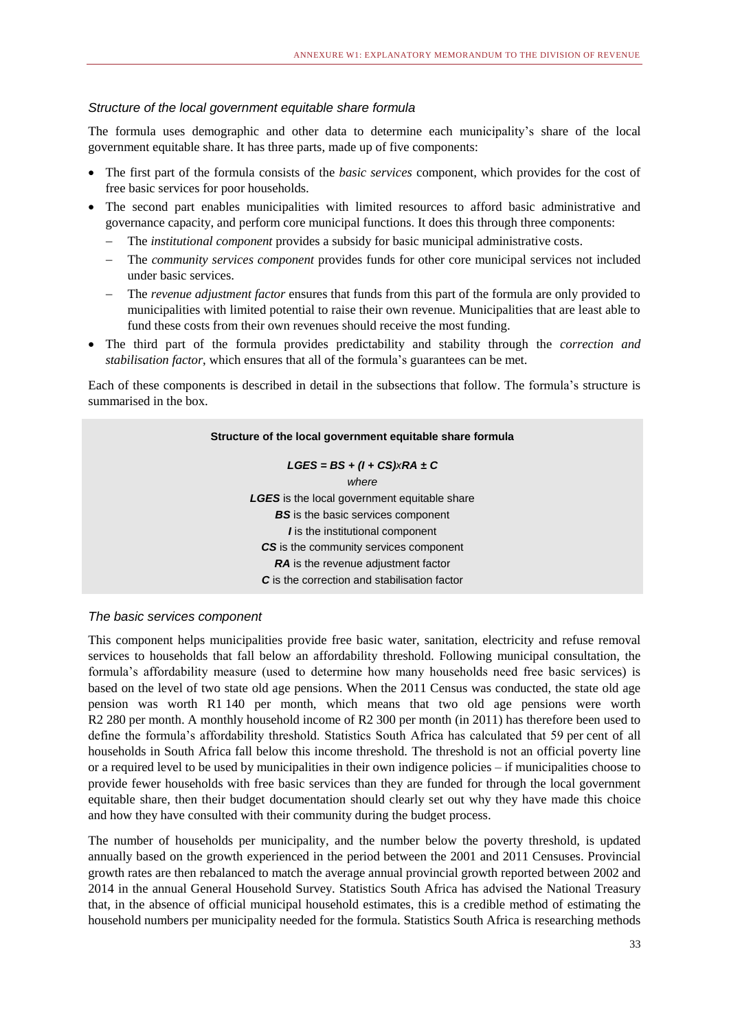### *Structure of the local government equitable share formula*

The formula uses demographic and other data to determine each municipality's share of the local government equitable share. It has three parts, made up of five components:

- The first part of the formula consists of the *basic services* component, which provides for the cost of free basic services for poor households.
- The second part enables municipalities with limited resources to afford basic administrative and governance capacity, and perform core municipal functions. It does this through three components:
	- The *institutional component* provides a subsidy for basic municipal administrative costs.
	- The *community services component* provides funds for other core municipal services not included under basic services.
	- The *revenue adjustment factor* ensures that funds from this part of the formula are only provided to municipalities with limited potential to raise their own revenue. Municipalities that are least able to fund these costs from their own revenues should receive the most funding.
- The third part of the formula provides predictability and stability through the *correction and stabilisation factor*, which ensures that all of the formula's guarantees can be met.

Each of these components is described in detail in the subsections that follow. The formula's structure is summarised in the box.

# **Structure of the local government equitable share formula** *LGES = BS + (I + CS)xRA ± C where LGES* is the local government equitable share **BS** is the basic services component *I* is the institutional component *CS* is the community services component **RA** is the revenue adjustment factor *C* is the correction and stabilisation factor

### *The basic services component*

This component helps municipalities provide free basic water, sanitation, electricity and refuse removal services to households that fall below an affordability threshold. Following municipal consultation, the formula's affordability measure (used to determine how many households need free basic services) is based on the level of two state old age pensions. When the 2011 Census was conducted, the state old age pension was worth R1 140 per month, which means that two old age pensions were worth R2 280 per month. A monthly household income of R2 300 per month (in 2011) has therefore been used to define the formula's affordability threshold. Statistics South Africa has calculated that 59 per cent of all households in South Africa fall below this income threshold. The threshold is not an official poverty line or a required level to be used by municipalities in their own indigence policies – if municipalities choose to provide fewer households with free basic services than they are funded for through the local government equitable share, then their budget documentation should clearly set out why they have made this choice and how they have consulted with their community during the budget process.

The number of households per municipality, and the number below the poverty threshold, is updated annually based on the growth experienced in the period between the 2001 and 2011 Censuses. Provincial growth rates are then rebalanced to match the average annual provincial growth reported between 2002 and 2014 in the annual General Household Survey. Statistics South Africa has advised the National Treasury that, in the absence of official municipal household estimates, this is a credible method of estimating the household numbers per municipality needed for the formula. Statistics South Africa is researching methods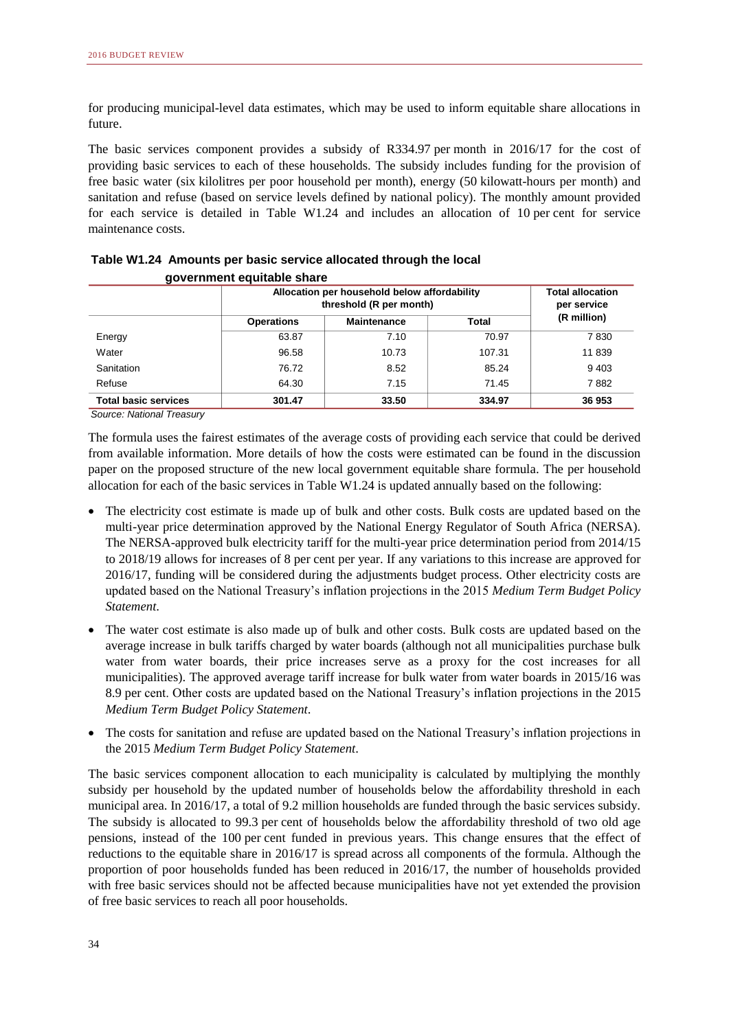for producing municipal-level data estimates, which may be used to inform equitable share allocations in future.

The basic services component provides a subsidy of R334.97 per month in 2016/17 for the cost of providing basic services to each of these households. The subsidy includes funding for the provision of free basic water (six kilolitres per poor household per month), energy (50 kilowatt-hours per month) and sanitation and refuse (based on service levels defined by national policy). The monthly amount provided for each service is detailed in Table W1.24 and includes an allocation of 10 per cent for service maintenance costs.

|                             | Allocation per household below affordability<br>threshold (R per month) | <b>Total allocation</b><br>per service |                      |         |  |  |
|-----------------------------|-------------------------------------------------------------------------|----------------------------------------|----------------------|---------|--|--|
|                             | <b>Operations</b>                                                       | <b>Maintenance</b>                     | (R million)<br>Total |         |  |  |
| Energy                      | 63.87                                                                   | 7.10                                   | 70.97                | 7830    |  |  |
| Water                       | 96.58                                                                   | 10.73                                  | 107.31               | 11839   |  |  |
| Sanitation                  | 76.72                                                                   | 8.52                                   | 85.24                | 9 4 0 3 |  |  |
| Refuse                      | 64.30                                                                   | 7.15                                   | 71.45                | 7882    |  |  |
| <b>Total basic services</b> | 301.47                                                                  | 33.50                                  | 334.97               | 36 953  |  |  |

| Table W1.24 Amounts per basic service allocated through the local |
|-------------------------------------------------------------------|
| government equitable share                                        |

*Source: National Treasury*

The formula uses the fairest estimates of the average costs of providing each service that could be derived from available information. More details of how the costs were estimated can be found in the discussion paper on the proposed structure of the new local government equitable share formula. The per household allocation for each of the basic services in Table W1.24 is updated annually based on the following:

- The electricity cost estimate is made up of bulk and other costs. Bulk costs are updated based on the multi-year price determination approved by the National Energy Regulator of South Africa (NERSA). The NERSA-approved bulk electricity tariff for the multi-year price determination period from 2014/15 to 2018/19 allows for increases of 8 per cent per year. If any variations to this increase are approved for 2016/17, funding will be considered during the adjustments budget process. Other electricity costs are updated based on the National Treasury's inflation projections in the 2015 *Medium Term Budget Policy Statement*.
- The water cost estimate is also made up of bulk and other costs. Bulk costs are updated based on the average increase in bulk tariffs charged by water boards (although not all municipalities purchase bulk water from water boards, their price increases serve as a proxy for the cost increases for all municipalities). The approved average tariff increase for bulk water from water boards in 2015/16 was 8.9 per cent. Other costs are updated based on the National Treasury's inflation projections in the 2015 *Medium Term Budget Policy Statement*.
- The costs for sanitation and refuse are updated based on the National Treasury's inflation projections in the 2015 *Medium Term Budget Policy Statement*.

The basic services component allocation to each municipality is calculated by multiplying the monthly subsidy per household by the updated number of households below the affordability threshold in each municipal area. In 2016/17, a total of 9.2 million households are funded through the basic services subsidy. The subsidy is allocated to 99.3 per cent of households below the affordability threshold of two old age pensions, instead of the 100 per cent funded in previous years. This change ensures that the effect of reductions to the equitable share in 2016/17 is spread across all components of the formula. Although the proportion of poor households funded has been reduced in 2016/17, the number of households provided with free basic services should not be affected because municipalities have not yet extended the provision of free basic services to reach all poor households.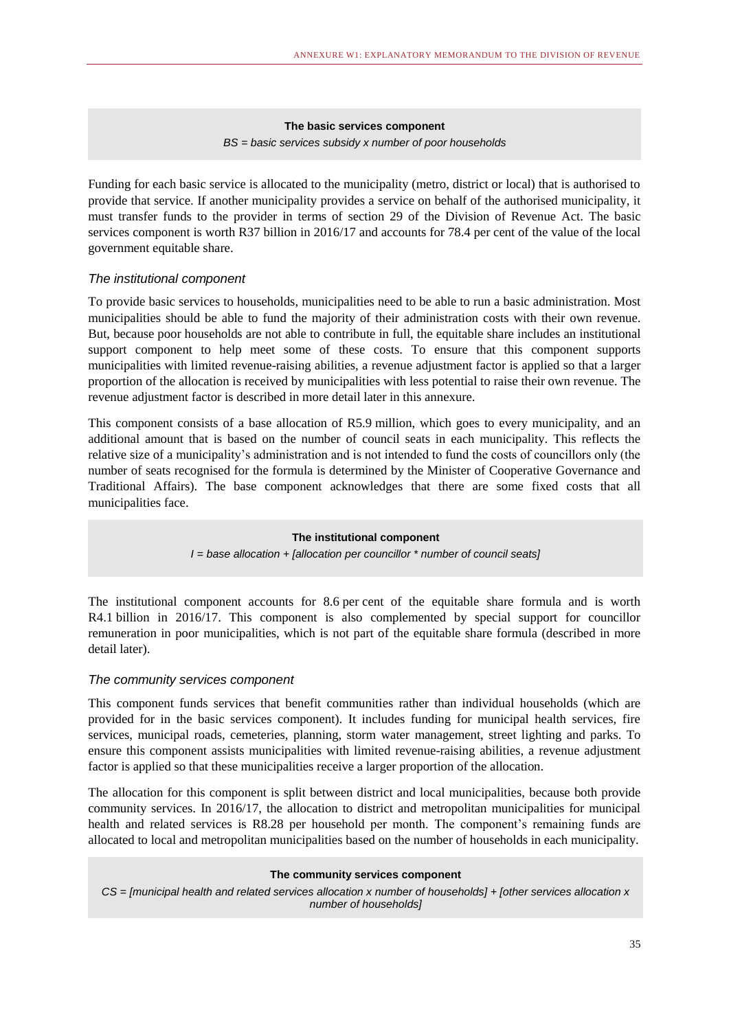### **The basic services component** *BS = basic services subsidy x number of poor households*

Funding for each basic service is allocated to the municipality (metro, district or local) that is authorised to provide that service. If another municipality provides a service on behalf of the authorised municipality, it must transfer funds to the provider in terms of section 29 of the Division of Revenue Act. The basic services component is worth R37 billion in 2016/17 and accounts for 78.4 per cent of the value of the local government equitable share.

### *The institutional component*

To provide basic services to households, municipalities need to be able to run a basic administration. Most municipalities should be able to fund the majority of their administration costs with their own revenue. But, because poor households are not able to contribute in full, the equitable share includes an institutional support component to help meet some of these costs. To ensure that this component supports municipalities with limited revenue-raising abilities, a revenue adjustment factor is applied so that a larger proportion of the allocation is received by municipalities with less potential to raise their own revenue. The revenue adjustment factor is described in more detail later in this annexure.

This component consists of a base allocation of R5.9 million, which goes to every municipality, and an additional amount that is based on the number of council seats in each municipality. This reflects the relative size of a municipality's administration and is not intended to fund the costs of councillors only (the number of seats recognised for the formula is determined by the Minister of Cooperative Governance and Traditional Affairs). The base component acknowledges that there are some fixed costs that all municipalities face.

### **The institutional component**

*I = base allocation + [allocation per councillor \* number of council seats]* 

The institutional component accounts for 8.6 per cent of the equitable share formula and is worth R4.1 billion in 2016/17. This component is also complemented by special support for councillor remuneration in poor municipalities, which is not part of the equitable share formula (described in more detail later).

### *The community services component*

This component funds services that benefit communities rather than individual households (which are provided for in the basic services component). It includes funding for municipal health services, fire services, municipal roads, cemeteries, planning, storm water management, street lighting and parks. To ensure this component assists municipalities with limited revenue-raising abilities, a revenue adjustment factor is applied so that these municipalities receive a larger proportion of the allocation.

The allocation for this component is split between district and local municipalities, because both provide community services. In 2016/17, the allocation to district and metropolitan municipalities for municipal health and related services is R8.28 per household per month. The component's remaining funds are allocated to local and metropolitan municipalities based on the number of households in each municipality.

### **The community services component**

*CS = [municipal health and related services allocation x number of households] + [other services allocation x number of households]*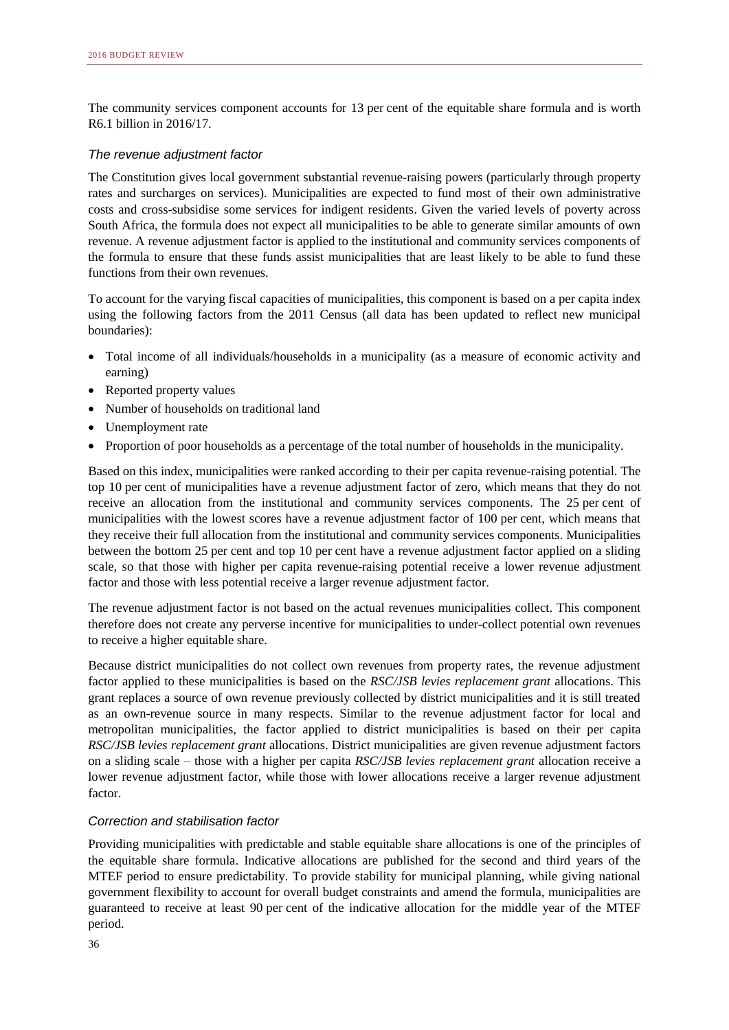The community services component accounts for 13 per cent of the equitable share formula and is worth R6.1 billion in 2016/17.

### *The revenue adjustment factor*

The Constitution gives local government substantial revenue-raising powers (particularly through property rates and surcharges on services). Municipalities are expected to fund most of their own administrative costs and cross-subsidise some services for indigent residents. Given the varied levels of poverty across South Africa, the formula does not expect all municipalities to be able to generate similar amounts of own revenue. A revenue adjustment factor is applied to the institutional and community services components of the formula to ensure that these funds assist municipalities that are least likely to be able to fund these functions from their own revenues.

To account for the varying fiscal capacities of municipalities, this component is based on a per capita index using the following factors from the 2011 Census (all data has been updated to reflect new municipal boundaries):

- Total income of all individuals/households in a municipality (as a measure of economic activity and earning)
- Reported property values
- Number of households on traditional land
- Unemployment rate
- Proportion of poor households as a percentage of the total number of households in the municipality.

Based on this index, municipalities were ranked according to their per capita revenue-raising potential. The top 10 per cent of municipalities have a revenue adjustment factor of zero, which means that they do not receive an allocation from the institutional and community services components. The 25 per cent of municipalities with the lowest scores have a revenue adjustment factor of 100 per cent, which means that they receive their full allocation from the institutional and community services components. Municipalities between the bottom 25 per cent and top 10 per cent have a revenue adjustment factor applied on a sliding scale, so that those with higher per capita revenue-raising potential receive a lower revenue adjustment factor and those with less potential receive a larger revenue adjustment factor.

The revenue adjustment factor is not based on the actual revenues municipalities collect. This component therefore does not create any perverse incentive for municipalities to under-collect potential own revenues to receive a higher equitable share.

Because district municipalities do not collect own revenues from property rates, the revenue adjustment factor applied to these municipalities is based on the *RSC/JSB levies replacement grant* allocations. This grant replaces a source of own revenue previously collected by district municipalities and it is still treated as an own-revenue source in many respects. Similar to the revenue adjustment factor for local and metropolitan municipalities, the factor applied to district municipalities is based on their per capita *RSC/JSB levies replacement grant* allocations. District municipalities are given revenue adjustment factors on a sliding scale – those with a higher per capita *RSC/JSB levies replacement grant* allocation receive a lower revenue adjustment factor, while those with lower allocations receive a larger revenue adjustment factor.

### *Correction and stabilisation factor*

Providing municipalities with predictable and stable equitable share allocations is one of the principles of the equitable share formula. Indicative allocations are published for the second and third years of the MTEF period to ensure predictability. To provide stability for municipal planning, while giving national government flexibility to account for overall budget constraints and amend the formula, municipalities are guaranteed to receive at least 90 per cent of the indicative allocation for the middle year of the MTEF period.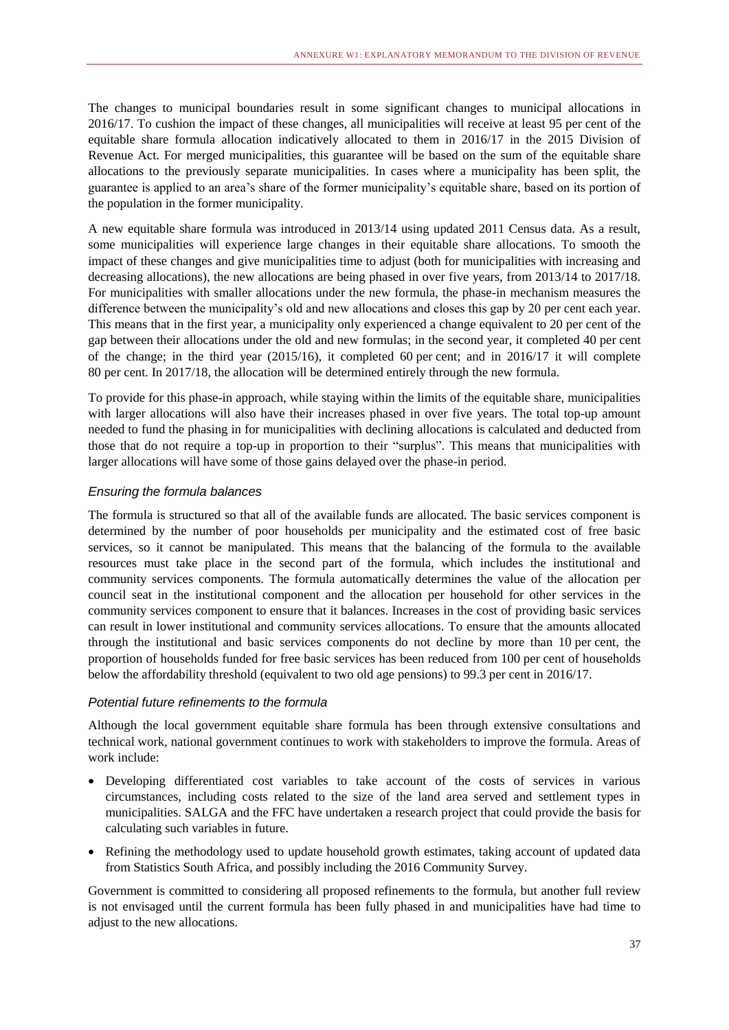The changes to municipal boundaries result in some significant changes to municipal allocations in 2016/17. To cushion the impact of these changes, all municipalities will receive at least 95 per cent of the equitable share formula allocation indicatively allocated to them in 2016/17 in the 2015 Division of Revenue Act. For merged municipalities, this guarantee will be based on the sum of the equitable share allocations to the previously separate municipalities. In cases where a municipality has been split, the guarantee is applied to an area's share of the former municipality's equitable share, based on its portion of the population in the former municipality.

A new equitable share formula was introduced in 2013/14 using updated 2011 Census data. As a result, some municipalities will experience large changes in their equitable share allocations. To smooth the impact of these changes and give municipalities time to adjust (both for municipalities with increasing and decreasing allocations), the new allocations are being phased in over five years, from 2013/14 to 2017/18. For municipalities with smaller allocations under the new formula, the phase-in mechanism measures the difference between the municipality's old and new allocations and closes this gap by 20 per cent each year. This means that in the first year, a municipality only experienced a change equivalent to 20 per cent of the gap between their allocations under the old and new formulas; in the second year, it completed 40 per cent of the change; in the third year (2015/16), it completed 60 per cent; and in 2016/17 it will complete 80 per cent. In 2017/18, the allocation will be determined entirely through the new formula.

To provide for this phase-in approach, while staying within the limits of the equitable share, municipalities with larger allocations will also have their increases phased in over five years. The total top-up amount needed to fund the phasing in for municipalities with declining allocations is calculated and deducted from those that do not require a top-up in proportion to their "surplus". This means that municipalities with larger allocations will have some of those gains delayed over the phase-in period.

### *Ensuring the formula balances*

The formula is structured so that all of the available funds are allocated. The basic services component is determined by the number of poor households per municipality and the estimated cost of free basic services, so it cannot be manipulated. This means that the balancing of the formula to the available resources must take place in the second part of the formula, which includes the institutional and community services components. The formula automatically determines the value of the allocation per council seat in the institutional component and the allocation per household for other services in the community services component to ensure that it balances. Increases in the cost of providing basic services can result in lower institutional and community services allocations. To ensure that the amounts allocated through the institutional and basic services components do not decline by more than 10 per cent, the proportion of households funded for free basic services has been reduced from 100 per cent of households below the affordability threshold (equivalent to two old age pensions) to 99.3 per cent in 2016/17.

### *Potential future refinements to the formula*

Although the local government equitable share formula has been through extensive consultations and technical work, national government continues to work with stakeholders to improve the formula. Areas of work include:

- Developing differentiated cost variables to take account of the costs of services in various circumstances, including costs related to the size of the land area served and settlement types in municipalities. SALGA and the FFC have undertaken a research project that could provide the basis for calculating such variables in future.
- Refining the methodology used to update household growth estimates, taking account of updated data from Statistics South Africa, and possibly including the 2016 Community Survey.

Government is committed to considering all proposed refinements to the formula, but another full review is not envisaged until the current formula has been fully phased in and municipalities have had time to adjust to the new allocations.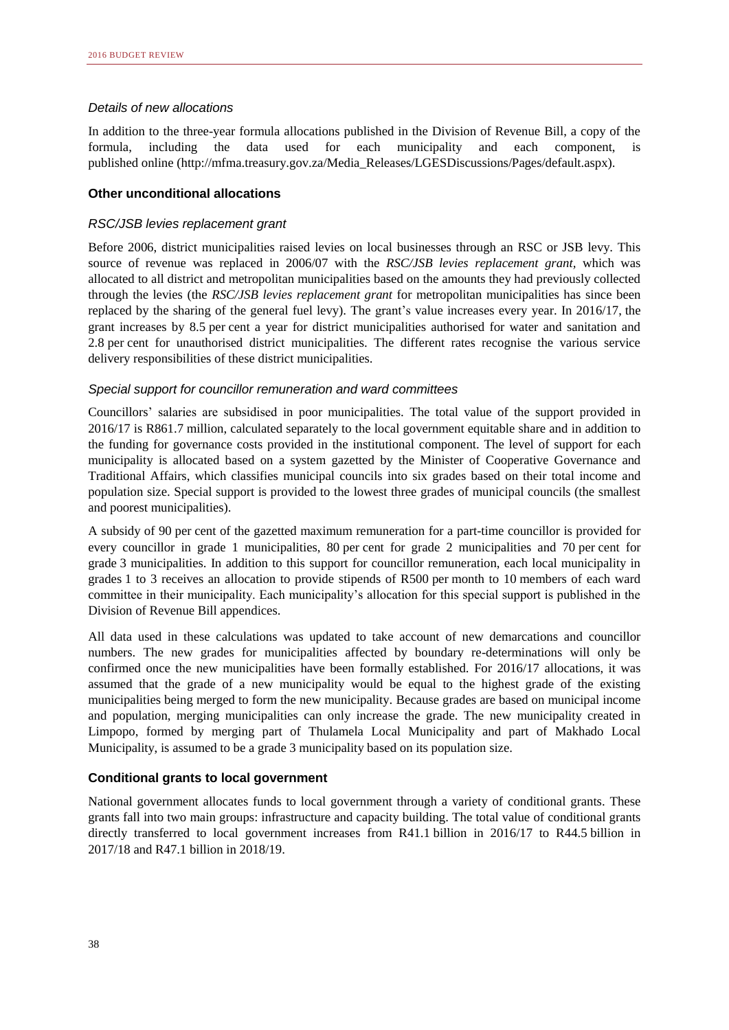### *Details of new allocations*

In addition to the three-year formula allocations published in the Division of Revenue Bill, a copy of the formula, including the data used for each municipality and each component, published online (http://mfma.treasury.gov.za/Media\_Releases/LGESDiscussions/Pages/default.aspx).

### **Other unconditional allocations**

### *RSC/JSB levies replacement grant*

Before 2006, district municipalities raised levies on local businesses through an RSC or JSB levy. This source of revenue was replaced in 2006/07 with the *RSC/JSB levies replacement grant,* which was allocated to all district and metropolitan municipalities based on the amounts they had previously collected through the levies (the *RSC/JSB levies replacement grant* for metropolitan municipalities has since been replaced by the sharing of the general fuel levy). The grant's value increases every year. In 2016/17, the grant increases by 8.5 per cent a year for district municipalities authorised for water and sanitation and 2.8 per cent for unauthorised district municipalities. The different rates recognise the various service delivery responsibilities of these district municipalities.

### *Special support for councillor remuneration and ward committees*

Councillors' salaries are subsidised in poor municipalities. The total value of the support provided in 2016/17 is R861.7 million, calculated separately to the local government equitable share and in addition to the funding for governance costs provided in the institutional component. The level of support for each municipality is allocated based on a system gazetted by the Minister of Cooperative Governance and Traditional Affairs, which classifies municipal councils into six grades based on their total income and population size. Special support is provided to the lowest three grades of municipal councils (the smallest and poorest municipalities).

A subsidy of 90 per cent of the gazetted maximum remuneration for a part-time councillor is provided for every councillor in grade 1 municipalities, 80 per cent for grade 2 municipalities and 70 per cent for grade 3 municipalities. In addition to this support for councillor remuneration, each local municipality in grades 1 to 3 receives an allocation to provide stipends of R500 per month to 10 members of each ward committee in their municipality. Each municipality's allocation for this special support is published in the Division of Revenue Bill appendices.

All data used in these calculations was updated to take account of new demarcations and councillor numbers. The new grades for municipalities affected by boundary re-determinations will only be confirmed once the new municipalities have been formally established. For 2016/17 allocations, it was assumed that the grade of a new municipality would be equal to the highest grade of the existing municipalities being merged to form the new municipality. Because grades are based on municipal income and population, merging municipalities can only increase the grade. The new municipality created in Limpopo, formed by merging part of Thulamela Local Municipality and part of Makhado Local Municipality, is assumed to be a grade 3 municipality based on its population size.

### **Conditional grants to local government**

National government allocates funds to local government through a variety of conditional grants. These grants fall into two main groups: infrastructure and capacity building. The total value of conditional grants directly transferred to local government increases from R41.1 billion in 2016/17 to R44.5 billion in 2017/18 and R47.1 billion in 2018/19.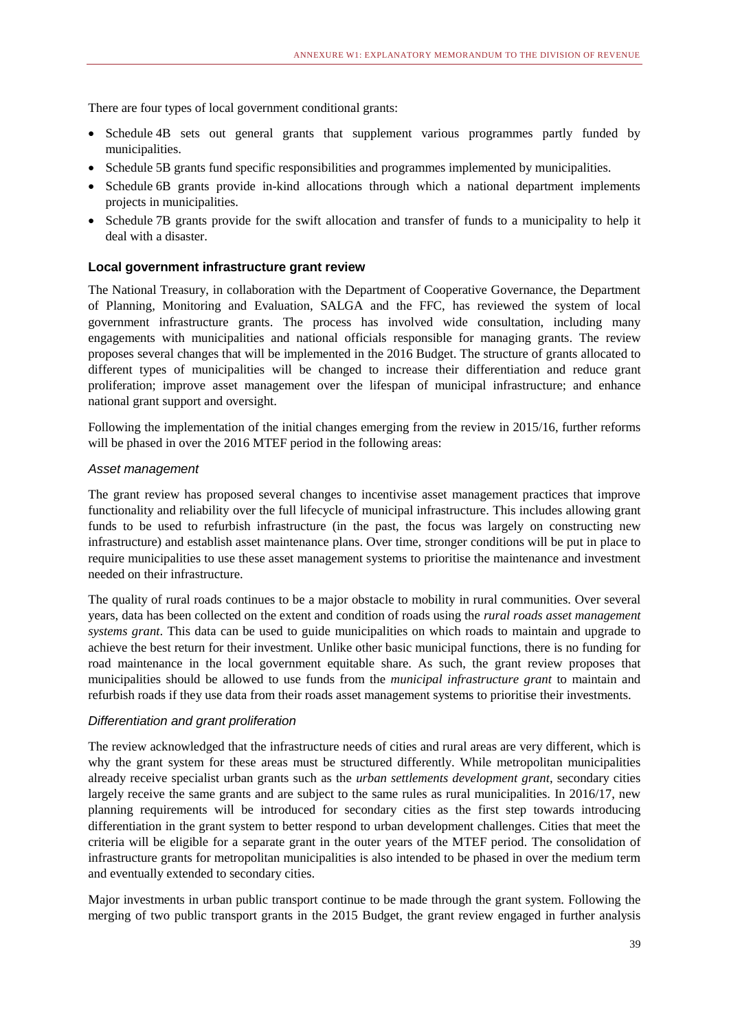There are four types of local government conditional grants:

- Schedule 4B sets out general grants that supplement various programmes partly funded by municipalities.
- Schedule 5B grants fund specific responsibilities and programmes implemented by municipalities.
- Schedule 6B grants provide in-kind allocations through which a national department implements projects in municipalities.
- Schedule 7B grants provide for the swift allocation and transfer of funds to a municipality to help it deal with a disaster.

### **Local government infrastructure grant review**

The National Treasury, in collaboration with the Department of Cooperative Governance, the Department of Planning, Monitoring and Evaluation, SALGA and the FFC, has reviewed the system of local government infrastructure grants. The process has involved wide consultation, including many engagements with municipalities and national officials responsible for managing grants. The review proposes several changes that will be implemented in the 2016 Budget. The structure of grants allocated to different types of municipalities will be changed to increase their differentiation and reduce grant proliferation; improve asset management over the lifespan of municipal infrastructure; and enhance national grant support and oversight.

Following the implementation of the initial changes emerging from the review in 2015/16, further reforms will be phased in over the 2016 MTEF period in the following areas:

### *Asset management*

The grant review has proposed several changes to incentivise asset management practices that improve functionality and reliability over the full lifecycle of municipal infrastructure. This includes allowing grant funds to be used to refurbish infrastructure (in the past, the focus was largely on constructing new infrastructure) and establish asset maintenance plans. Over time, stronger conditions will be put in place to require municipalities to use these asset management systems to prioritise the maintenance and investment needed on their infrastructure.

The quality of rural roads continues to be a major obstacle to mobility in rural communities. Over several years, data has been collected on the extent and condition of roads using the *rural roads asset management systems grant*. This data can be used to guide municipalities on which roads to maintain and upgrade to achieve the best return for their investment. Unlike other basic municipal functions, there is no funding for road maintenance in the local government equitable share. As such, the grant review proposes that municipalities should be allowed to use funds from the *municipal infrastructure grant* to maintain and refurbish roads if they use data from their roads asset management systems to prioritise their investments.

### *Differentiation and grant proliferation*

The review acknowledged that the infrastructure needs of cities and rural areas are very different, which is why the grant system for these areas must be structured differently. While metropolitan municipalities already receive specialist urban grants such as the *urban settlements development grant*, secondary cities largely receive the same grants and are subject to the same rules as rural municipalities. In 2016/17, new planning requirements will be introduced for secondary cities as the first step towards introducing differentiation in the grant system to better respond to urban development challenges. Cities that meet the criteria will be eligible for a separate grant in the outer years of the MTEF period. The consolidation of infrastructure grants for metropolitan municipalities is also intended to be phased in over the medium term and eventually extended to secondary cities.

Major investments in urban public transport continue to be made through the grant system. Following the merging of two public transport grants in the 2015 Budget, the grant review engaged in further analysis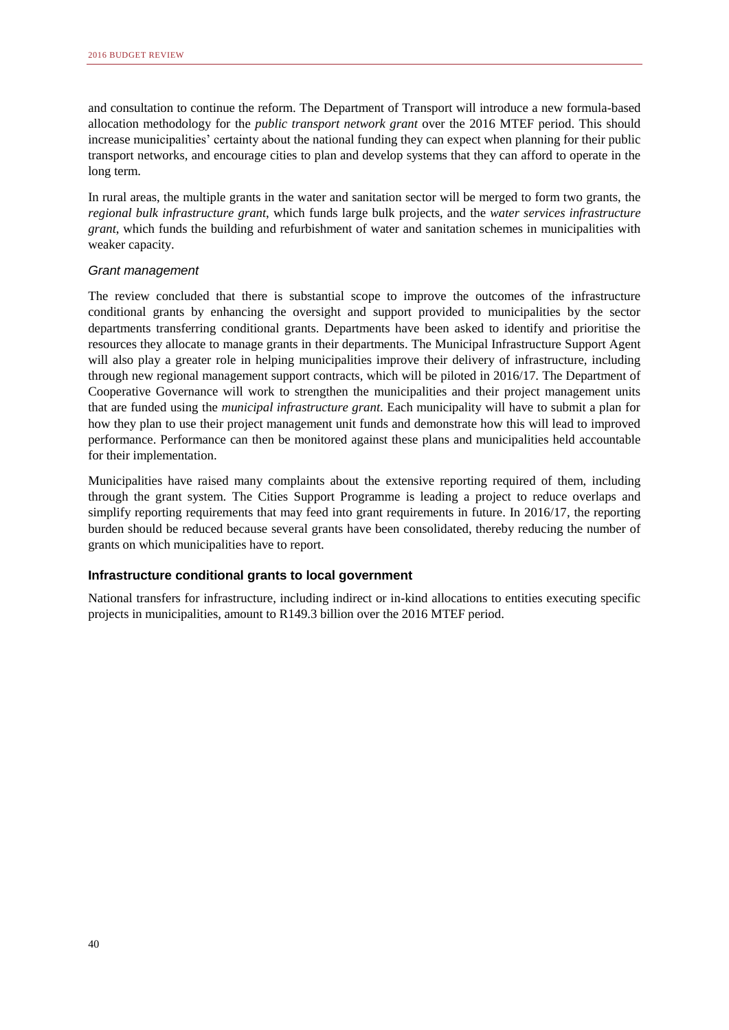and consultation to continue the reform. The Department of Transport will introduce a new formula-based allocation methodology for the *public transport network grant* over the 2016 MTEF period. This should increase municipalities' certainty about the national funding they can expect when planning for their public transport networks, and encourage cities to plan and develop systems that they can afford to operate in the long term.

In rural areas, the multiple grants in the water and sanitation sector will be merged to form two grants, the *regional bulk infrastructure grant*, which funds large bulk projects, and the *water services infrastructure grant*, which funds the building and refurbishment of water and sanitation schemes in municipalities with weaker capacity.

### *Grant management*

The review concluded that there is substantial scope to improve the outcomes of the infrastructure conditional grants by enhancing the oversight and support provided to municipalities by the sector departments transferring conditional grants. Departments have been asked to identify and prioritise the resources they allocate to manage grants in their departments. The Municipal Infrastructure Support Agent will also play a greater role in helping municipalities improve their delivery of infrastructure, including through new regional management support contracts, which will be piloted in 2016/17. The Department of Cooperative Governance will work to strengthen the municipalities and their project management units that are funded using the *municipal infrastructure grant*. Each municipality will have to submit a plan for how they plan to use their project management unit funds and demonstrate how this will lead to improved performance. Performance can then be monitored against these plans and municipalities held accountable for their implementation.

Municipalities have raised many complaints about the extensive reporting required of them, including through the grant system. The Cities Support Programme is leading a project to reduce overlaps and simplify reporting requirements that may feed into grant requirements in future. In 2016/17, the reporting burden should be reduced because several grants have been consolidated, thereby reducing the number of grants on which municipalities have to report.

### **Infrastructure conditional grants to local government**

National transfers for infrastructure, including indirect or in-kind allocations to entities executing specific projects in municipalities, amount to R149.3 billion over the 2016 MTEF period.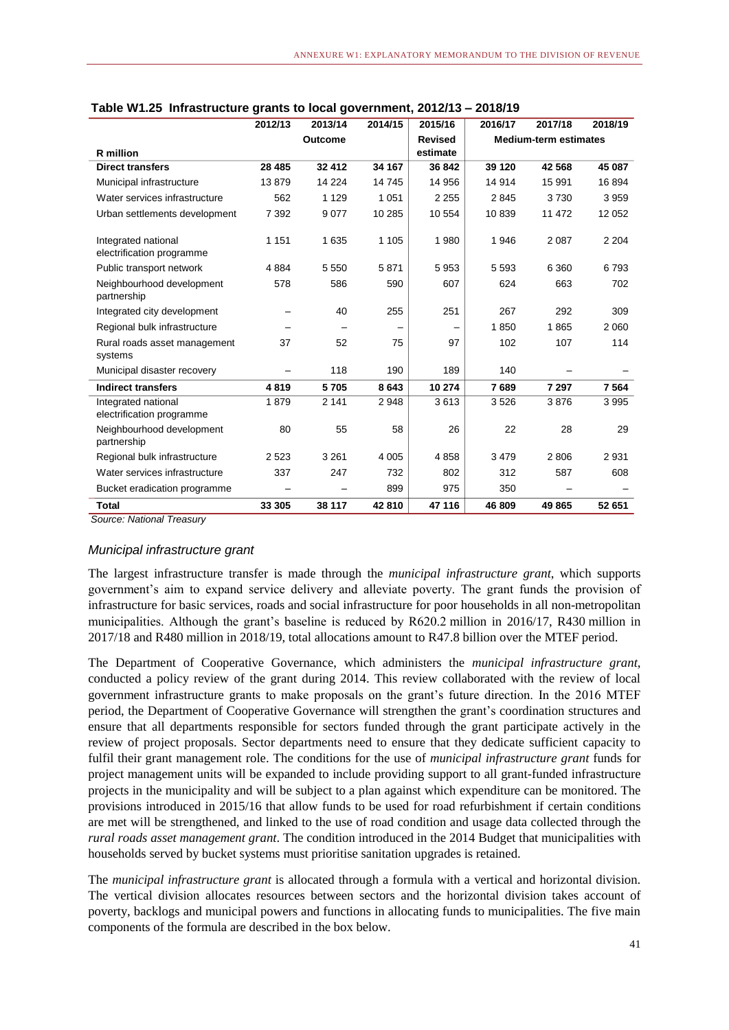|                                                  | 2012/13  | 2013/14        | 2014/15 | 2015/16        | 2016/17 | 2017/18                      | 2018/19 |
|--------------------------------------------------|----------|----------------|---------|----------------|---------|------------------------------|---------|
|                                                  |          | <b>Outcome</b> |         | <b>Revised</b> |         | <b>Medium-term estimates</b> |         |
| <b>R</b> million                                 |          |                |         | estimate       |         |                              |         |
| <b>Direct transfers</b>                          | 28 4 8 5 | 32 412         | 34 167  | 36 842         | 39 1 20 | 42 5 68                      | 45 087  |
| Municipal infrastructure                         | 13879    | 14 224         | 14745   | 14 956         | 14 914  | 15 991                       | 16894   |
| Water services infrastructure                    | 562      | 1 1 2 9        | 1 0 5 1 | 2 2 5 5        | 2845    | 3730                         | 3959    |
| Urban settlements development                    | 7 3 9 2  | 9 0 7 7        | 10 285  | 10 554         | 10839   | 11 472                       | 12 052  |
| Integrated national<br>electrification programme | 1 1 5 1  | 1 6 3 5        | 1 1 0 5 | 1980           | 1946    | 2 0 8 7                      | 2 2 0 4 |
| Public transport network                         | 4 8 8 4  | 5 5 5 0        | 5871    | 5953           | 5 5 9 3 | 6 3 6 0                      | 6793    |
| Neighbourhood development<br>partnership         | 578      | 586            | 590     | 607            | 624     | 663                          | 702     |
| Integrated city development                      |          | 40             | 255     | 251            | 267     | 292                          | 309     |
| Regional bulk infrastructure                     |          |                |         |                | 1850    | 1865                         | 2 0 6 0 |
| Rural roads asset management<br>systems          | 37       | 52             | 75      | 97             | 102     | 107                          | 114     |
| Municipal disaster recovery                      |          | 118            | 190     | 189            | 140     |                              |         |
| <b>Indirect transfers</b>                        | 4819     | 5705           | 8 6 4 3 | 10 274         | 7689    | 7 297                        | 7 5 64  |
| Integrated national<br>electrification programme | 1879     | 2 1 4 1        | 2 9 4 8 | 3613           | 3526    | 3876                         | 3995    |
| Neighbourhood development<br>partnership         | 80       | 55             | 58      | 26             | 22      | 28                           | 29      |
| Regional bulk infrastructure                     | 2 5 2 3  | 3 2 6 1        | 4 0 0 5 | 4858           | 3 4 7 9 | 2806                         | 2931    |
| Water services infrastructure                    | 337      | 247            | 732     | 802            | 312     | 587                          | 608     |
| Bucket eradication programme                     |          |                | 899     | 975            | 350     |                              |         |
| <b>Total</b>                                     | 33 305   | 38 117         | 42810   | 47 116         | 46 809  | 49 865                       | 52 651  |

### *Municipal infrastructure grant*

The largest infrastructure transfer is made through the *municipal infrastructure grant*, which supports government's aim to expand service delivery and alleviate poverty. The grant funds the provision of infrastructure for basic services, roads and social infrastructure for poor households in all non-metropolitan municipalities. Although the grant's baseline is reduced by R620.2 million in 2016/17, R430 million in 2017/18 and R480 million in 2018/19, total allocations amount to R47.8 billion over the MTEF period.

The Department of Cooperative Governance, which administers the *municipal infrastructure grant*, conducted a policy review of the grant during 2014. This review collaborated with the review of local government infrastructure grants to make proposals on the grant's future direction. In the 2016 MTEF period, the Department of Cooperative Governance will strengthen the grant's coordination structures and ensure that all departments responsible for sectors funded through the grant participate actively in the review of project proposals. Sector departments need to ensure that they dedicate sufficient capacity to fulfil their grant management role. The conditions for the use of *municipal infrastructure grant* funds for project management units will be expanded to include providing support to all grant-funded infrastructure projects in the municipality and will be subject to a plan against which expenditure can be monitored. The provisions introduced in 2015/16 that allow funds to be used for road refurbishment if certain conditions are met will be strengthened, and linked to the use of road condition and usage data collected through the *rural roads asset management grant*. The condition introduced in the 2014 Budget that municipalities with households served by bucket systems must prioritise sanitation upgrades is retained.

The *municipal infrastructure grant* is allocated through a formula with a vertical and horizontal division. The vertical division allocates resources between sectors and the horizontal division takes account of poverty, backlogs and municipal powers and functions in allocating funds to municipalities. The five main components of the formula are described in the box below.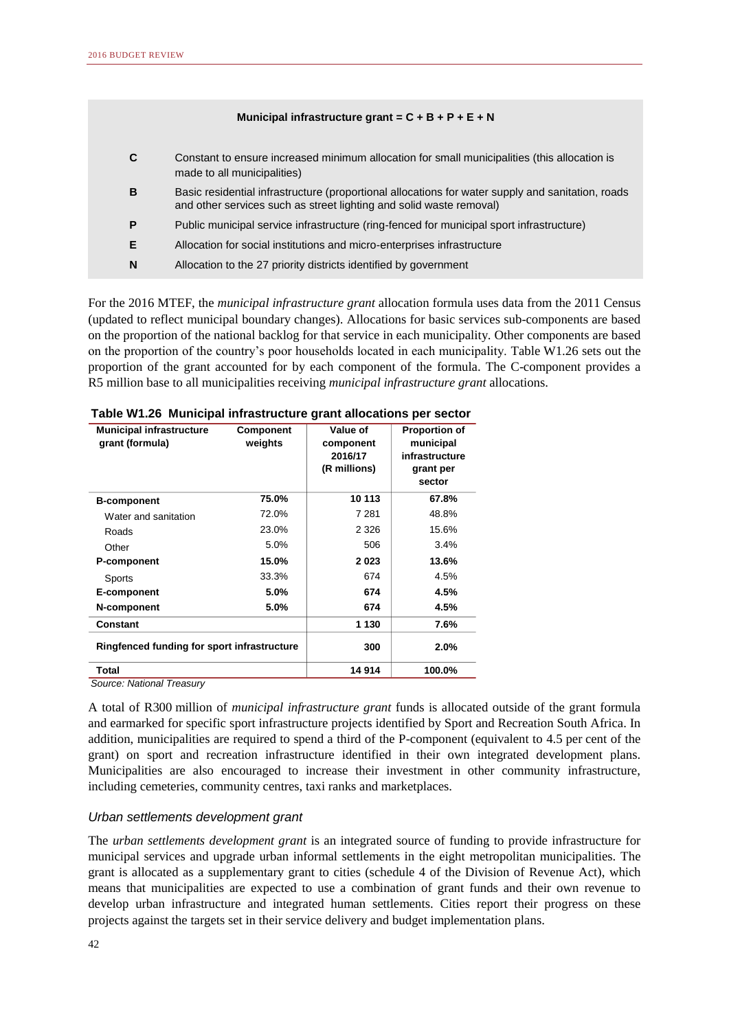### **Municipal infrastructure grant = C + B + P + E + N**

|   | Constant to ensure increased minimum allocation for small municipalities (this allocation is<br>made to all municipalities)                                              |
|---|--------------------------------------------------------------------------------------------------------------------------------------------------------------------------|
| В | Basic residential infrastructure (proportional allocations for water supply and sanitation, roads<br>and other services such as street lighting and solid waste removal) |
| P | Public municipal service infrastructure (ring-fenced for municipal sport infrastructure)                                                                                 |
| Е | Allocation for social institutions and micro-enterprises infrastructure                                                                                                  |
| N | Allocation to the 27 priority districts identified by government                                                                                                         |
|   |                                                                                                                                                                          |

For the 2016 MTEF, the *municipal infrastructure grant* allocation formula uses data from the 2011 Census (updated to reflect municipal boundary changes). Allocations for basic services sub-components are based on the proportion of the national backlog for that service in each municipality. Other components are based on the proportion of the country's poor households located in each municipality. Table W1.26 sets out the proportion of the grant accounted for by each component of the formula. The C-component provides a R5 million base to all municipalities receiving *municipal infrastructure grant* allocations.

| <b>Municipal infrastructure</b><br>grant (formula) | <b>Component</b><br>weights | Value of<br>component<br>2016/17<br>(R millions) | <b>Proportion of</b><br>municipal<br>infrastructure<br>grant per<br>sector |
|----------------------------------------------------|-----------------------------|--------------------------------------------------|----------------------------------------------------------------------------|
| <b>B-component</b>                                 | 75.0%                       | 10 113                                           | 67.8%                                                                      |
| Water and sanitation                               | 72.0%                       | 7 2 8 1                                          | 48.8%                                                                      |
| Roads                                              | 23.0%                       | 2 3 2 6                                          | 15.6%                                                                      |
| Other                                              | 5.0%                        | 506                                              | 3.4%                                                                       |
| P-component                                        | 15.0%                       | 2023                                             | 13.6%                                                                      |
| <b>Sports</b>                                      | 33.3%                       | 674                                              | 4.5%                                                                       |
| E-component                                        | 5.0%                        | 674                                              | 4.5%                                                                       |
| N-component                                        | 5.0%                        | 674                                              | 4.5%                                                                       |
| Constant                                           |                             | 1 1 3 0                                          | 7.6%                                                                       |
| Ringfenced funding for sport infrastructure        |                             | 300                                              | 2.0%                                                                       |
| Total                                              |                             | 14 914                                           | 100.0%                                                                     |
| Source: National Treasury                          |                             |                                                  |                                                                            |

**Table W1.26 Municipal infrastructure grant allocations per sector**

A total of R300 million of *municipal infrastructure grant* funds is allocated outside of the grant formula and earmarked for specific sport infrastructure projects identified by Sport and Recreation South Africa. In addition, municipalities are required to spend a third of the P-component (equivalent to 4.5 per cent of the grant) on sport and recreation infrastructure identified in their own integrated development plans. Municipalities are also encouraged to increase their investment in other community infrastructure, including cemeteries, community centres, taxi ranks and marketplaces.

### *Urban settlements development grant*

The *urban settlements development grant* is an integrated source of funding to provide infrastructure for municipal services and upgrade urban informal settlements in the eight metropolitan municipalities. The grant is allocated as a supplementary grant to cities (schedule 4 of the Division of Revenue Act), which means that municipalities are expected to use a combination of grant funds and their own revenue to develop urban infrastructure and integrated human settlements. Cities report their progress on these projects against the targets set in their service delivery and budget implementation plans.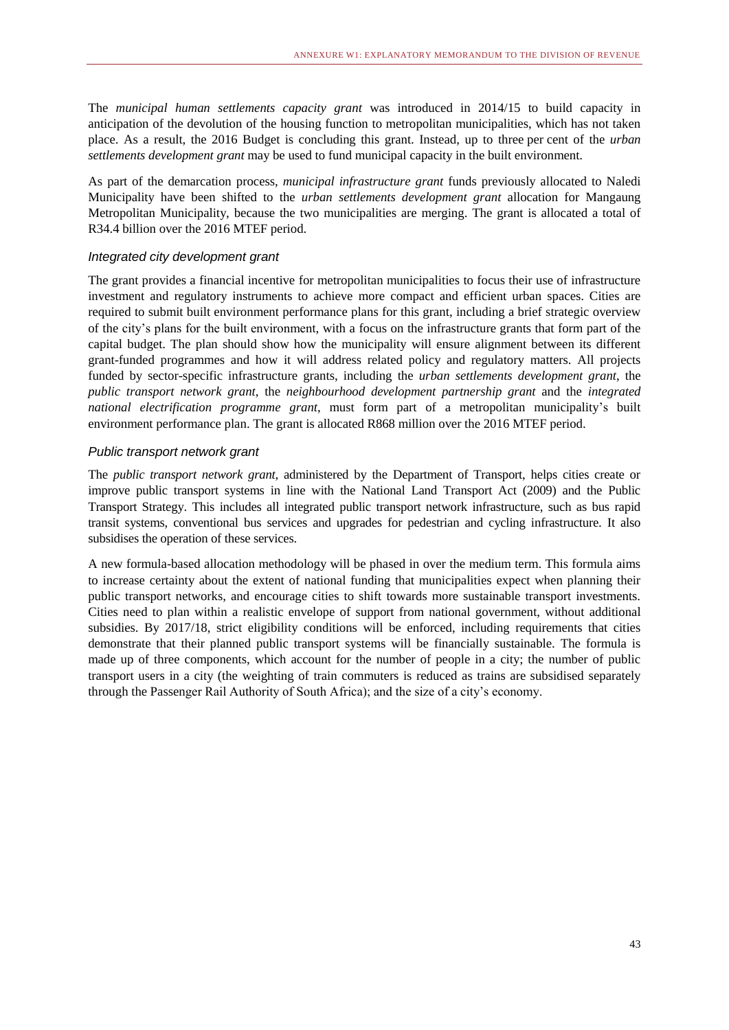The *municipal human settlements capacity grant* was introduced in 2014/15 to build capacity in anticipation of the devolution of the housing function to metropolitan municipalities, which has not taken place. As a result, the 2016 Budget is concluding this grant. Instead, up to three per cent of the *urban settlements development grant* may be used to fund municipal capacity in the built environment.

As part of the demarcation process, *municipal infrastructure grant* funds previously allocated to Naledi Municipality have been shifted to the *urban settlements development grant* allocation for Mangaung Metropolitan Municipality, because the two municipalities are merging. The grant is allocated a total of R34.4 billion over the 2016 MTEF period.

### *Integrated city development grant*

The grant provides a financial incentive for metropolitan municipalities to focus their use of infrastructure investment and regulatory instruments to achieve more compact and efficient urban spaces. Cities are required to submit built environment performance plans for this grant, including a brief strategic overview of the city's plans for the built environment, with a focus on the infrastructure grants that form part of the capital budget. The plan should show how the municipality will ensure alignment between its different grant-funded programmes and how it will address related policy and regulatory matters. All projects funded by sector-specific infrastructure grants, including the *urban settlements development grant*, the *public transport network grant*, the *neighbourhood development partnership grant* and the *integrated national electrification programme grant*, must form part of a metropolitan municipality's built environment performance plan. The grant is allocated R868 million over the 2016 MTEF period.

### *Public transport network grant*

The *public transport network grant*, administered by the Department of Transport, helps cities create or improve public transport systems in line with the National Land Transport Act (2009) and the Public Transport Strategy. This includes all integrated public transport network infrastructure, such as bus rapid transit systems, conventional bus services and upgrades for pedestrian and cycling infrastructure. It also subsidises the operation of these services.

A new formula-based allocation methodology will be phased in over the medium term. This formula aims to increase certainty about the extent of national funding that municipalities expect when planning their public transport networks, and encourage cities to shift towards more sustainable transport investments. Cities need to plan within a realistic envelope of support from national government, without additional subsidies. By 2017/18, strict eligibility conditions will be enforced, including requirements that cities demonstrate that their planned public transport systems will be financially sustainable. The formula is made up of three components, which account for the number of people in a city; the number of public transport users in a city (the weighting of train commuters is reduced as trains are subsidised separately through the Passenger Rail Authority of South Africa); and the size of a city's economy.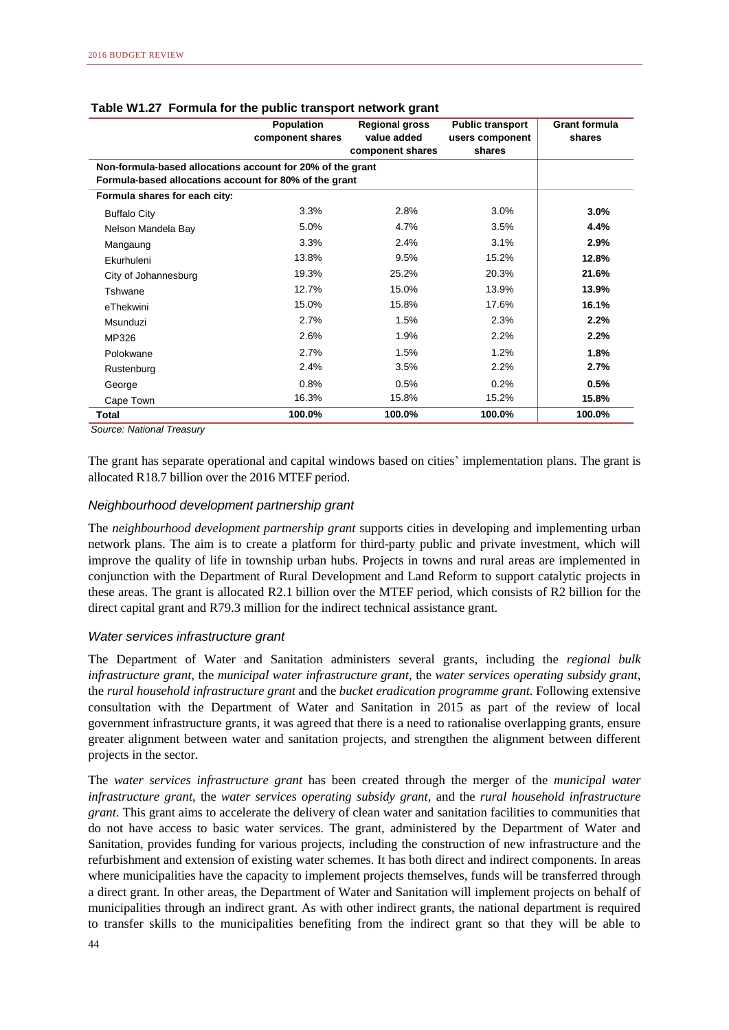|                                                            | <b>Population</b><br>component shares | <b>Regional gross</b><br>value added<br>component shares | <b>Public transport</b><br>users component<br>shares | <b>Grant formula</b><br>shares |  |  |
|------------------------------------------------------------|---------------------------------------|----------------------------------------------------------|------------------------------------------------------|--------------------------------|--|--|
| Non-formula-based allocations account for 20% of the grant |                                       |                                                          |                                                      |                                |  |  |
| Formula-based allocations account for 80% of the grant     |                                       |                                                          |                                                      |                                |  |  |
| Formula shares for each city:                              |                                       |                                                          |                                                      |                                |  |  |
| <b>Buffalo City</b>                                        | 3.3%                                  | 2.8%                                                     | 3.0%                                                 | 3.0%                           |  |  |
| Nelson Mandela Bay                                         | 5.0%                                  | 4.7%                                                     | 3.5%                                                 | 4.4%                           |  |  |
| Mangaung                                                   | 3.3%                                  | 2.4%                                                     | 3.1%                                                 | 2.9%                           |  |  |
| Ekurhuleni                                                 | 13.8%                                 | 9.5%                                                     | 15.2%                                                | 12.8%                          |  |  |
| City of Johannesburg                                       | 19.3%                                 | 25.2%                                                    | 20.3%                                                | 21.6%                          |  |  |
| Tshwane                                                    | 12.7%                                 | 15.0%                                                    | 13.9%                                                | 13.9%                          |  |  |
| eThekwini                                                  | 15.0%                                 | 15.8%                                                    | 17.6%                                                | 16.1%                          |  |  |
| Msunduzi                                                   | 2.7%                                  | 1.5%                                                     | 2.3%                                                 | 2.2%                           |  |  |
| MP326                                                      | 2.6%                                  | 1.9%                                                     | 2.2%                                                 | 2.2%                           |  |  |
| Polokwane                                                  | 2.7%                                  | 1.5%                                                     | 1.2%                                                 | 1.8%                           |  |  |
| Rustenburg                                                 | 2.4%                                  | 3.5%                                                     | 2.2%                                                 | 2.7%                           |  |  |
| George                                                     | 0.8%                                  | 0.5%                                                     | 0.2%                                                 | 0.5%                           |  |  |
| Cape Town                                                  | 16.3%                                 | 15.8%                                                    | 15.2%                                                | 15.8%                          |  |  |
| Total                                                      | 100.0%                                | 100.0%                                                   | 100.0%                                               | 100.0%                         |  |  |

### **Table W1.27 Formula for the public transport network grant**

*Source: National Treasury*

The grant has separate operational and capital windows based on cities' implementation plans. The grant is allocated R18.7 billion over the 2016 MTEF period.

### *Neighbourhood development partnership grant*

The *neighbourhood development partnership grant* supports cities in developing and implementing urban network plans. The aim is to create a platform for third-party public and private investment, which will improve the quality of life in township urban hubs. Projects in towns and rural areas are implemented in conjunction with the Department of Rural Development and Land Reform to support catalytic projects in these areas. The grant is allocated R2.1 billion over the MTEF period, which consists of R2 billion for the direct capital grant and R79.3 million for the indirect technical assistance grant.

### *Water services infrastructure grant*

The Department of Water and Sanitation administers several grants, including the *regional bulk infrastructure grant*, the *municipal water infrastructure grant*, the *water services operating subsidy grant*, the *rural household infrastructure grant* and the *bucket eradication programme grant*. Following extensive consultation with the Department of Water and Sanitation in 2015 as part of the review of local government infrastructure grants, it was agreed that there is a need to rationalise overlapping grants, ensure greater alignment between water and sanitation projects, and strengthen the alignment between different projects in the sector.

The *water services infrastructure grant* has been created through the merger of the *municipal water infrastructure grant*, the *water services operating subsidy grant*, and the *rural household infrastructure grant*. This grant aims to accelerate the delivery of clean water and sanitation facilities to communities that do not have access to basic water services. The grant, administered by the Department of Water and Sanitation, provides funding for various projects, including the construction of new infrastructure and the refurbishment and extension of existing water schemes. It has both direct and indirect components. In areas where municipalities have the capacity to implement projects themselves, funds will be transferred through a direct grant. In other areas, the Department of Water and Sanitation will implement projects on behalf of municipalities through an indirect grant. As with other indirect grants, the national department is required to transfer skills to the municipalities benefiting from the indirect grant so that they will be able to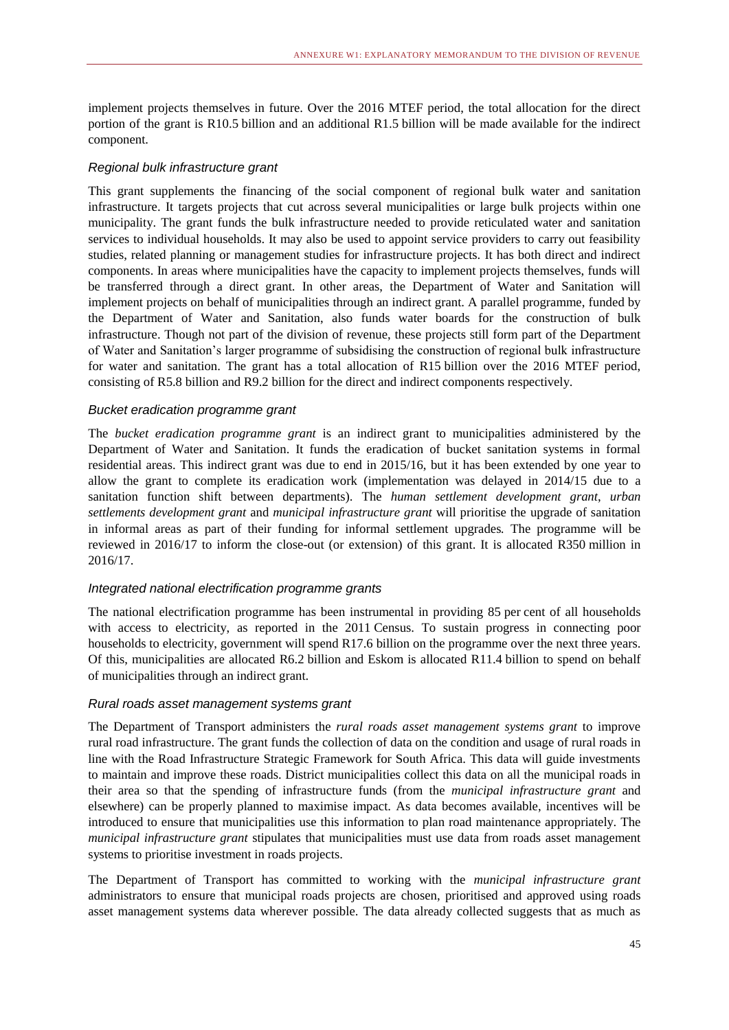implement projects themselves in future. Over the 2016 MTEF period, the total allocation for the direct portion of the grant is R10.5 billion and an additional R1.5 billion will be made available for the indirect component.

### *Regional bulk infrastructure grant*

This grant supplements the financing of the social component of regional bulk water and sanitation infrastructure. It targets projects that cut across several municipalities or large bulk projects within one municipality. The grant funds the bulk infrastructure needed to provide reticulated water and sanitation services to individual households. It may also be used to appoint service providers to carry out feasibility studies, related planning or management studies for infrastructure projects. It has both direct and indirect components. In areas where municipalities have the capacity to implement projects themselves, funds will be transferred through a direct grant. In other areas, the Department of Water and Sanitation will implement projects on behalf of municipalities through an indirect grant. A parallel programme, funded by the Department of Water and Sanitation, also funds water boards for the construction of bulk infrastructure. Though not part of the division of revenue, these projects still form part of the Department of Water and Sanitation's larger programme of subsidising the construction of regional bulk infrastructure for water and sanitation. The grant has a total allocation of R15 billion over the 2016 MTEF period, consisting of R5.8 billion and R9.2 billion for the direct and indirect components respectively.

### *Bucket eradication programme grant*

The *bucket eradication programme grant* is an indirect grant to municipalities administered by the Department of Water and Sanitation. It funds the eradication of bucket sanitation systems in formal residential areas. This indirect grant was due to end in 2015/16, but it has been extended by one year to allow the grant to complete its eradication work (implementation was delayed in 2014/15 due to a sanitation function shift between departments). The *human settlement development grant*, *urban settlements development grant* and *municipal infrastructure grant* will prioritise the upgrade of sanitation in informal areas as part of their funding for informal settlement upgrades*.* The programme will be reviewed in 2016/17 to inform the close-out (or extension) of this grant. It is allocated R350 million in 2016/17.

### *Integrated national electrification programme grants*

The national electrification programme has been instrumental in providing 85 per cent of all households with access to electricity, as reported in the 2011 Census. To sustain progress in connecting poor households to electricity, government will spend R17.6 billion on the programme over the next three years. Of this, municipalities are allocated R6.2 billion and Eskom is allocated R11.4 billion to spend on behalf of municipalities through an indirect grant.

### *Rural roads asset management systems grant*

The Department of Transport administers the *rural roads asset management systems grant* to improve rural road infrastructure. The grant funds the collection of data on the condition and usage of rural roads in line with the Road Infrastructure Strategic Framework for South Africa. This data will guide investments to maintain and improve these roads. District municipalities collect this data on all the municipal roads in their area so that the spending of infrastructure funds (from the *municipal infrastructure grant* and elsewhere) can be properly planned to maximise impact. As data becomes available, incentives will be introduced to ensure that municipalities use this information to plan road maintenance appropriately. The *municipal infrastructure grant* stipulates that municipalities must use data from roads asset management systems to prioritise investment in roads projects.

The Department of Transport has committed to working with the *municipal infrastructure grant* administrators to ensure that municipal roads projects are chosen, prioritised and approved using roads asset management systems data wherever possible. The data already collected suggests that as much as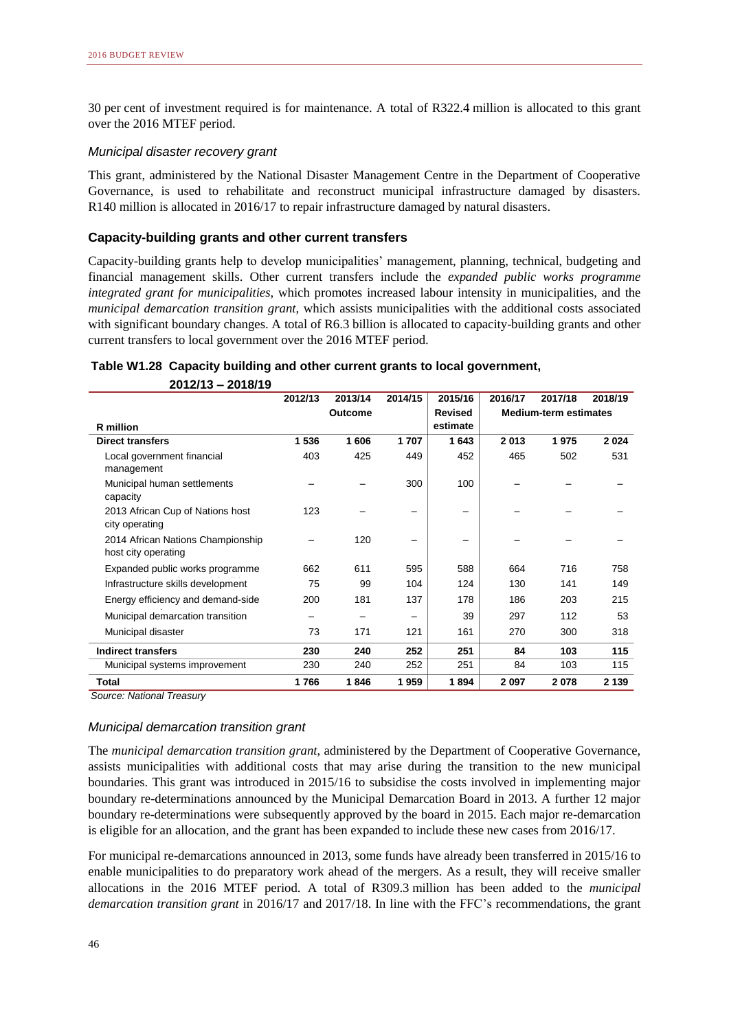30 per cent of investment required is for maintenance. A total of R322.4 million is allocated to this grant over the 2016 MTEF period.

### *Municipal disaster recovery grant*

This grant, administered by the National Disaster Management Centre in the Department of Cooperative Governance, is used to rehabilitate and reconstruct municipal infrastructure damaged by disasters. R140 million is allocated in 2016/17 to repair infrastructure damaged by natural disasters.

### **Capacity-building grants and other current transfers**

Capacity-building grants help to develop municipalities' management, planning, technical, budgeting and financial management skills. Other current transfers include the *expanded public works programme integrated grant for municipalities*, which promotes increased labour intensity in municipalities, and the *municipal demarcation transition grant*, which assists municipalities with the additional costs associated with significant boundary changes. A total of R6.3 billion is allocated to capacity-building grants and other current transfers to local government over the 2016 MTEF period.

## **Table W1.28 Capacity building and other current grants to local government,**

 **2012/13 – 2018/19 2012/13 2013/14 2014/15 2015/16 2016/17 2017/18 2018/19 R million Revised estimate Direct transfers 1 536 1 606 1 707 1 643 2 013 1 975 2 024** Local government financial management 403 425 449 452 465 502 531 Municipal human settlements capacity – – 300 | 100 | – – – 2013 African Cup of Nations host city operating 123 – – – – – – 2014 African Nations Championship host city operating – 120 – – – – – Expanded public works programme Infrastructure skills development 75 99 104 | 124 | 130 141 149 662 611 595 588 664 716 758 Energy efficiency and demand-side management Municipal demarcation transition – – – 39 297 112 53 200 181 137 178 186 203 215 Municipal disaster 73 171 121 161 270 300 318 **Indirect transfers 230 240 252 251 84 103 115** Municipal systems improvement  $230$   $240$   $252$   $251$   $251$  84 103 115 **Total 1 766 1 846 1 959 1 894 2 097 2 078 2 139 Outcome Revised Medium-term estimates** 

*Source: National Treasury*

### *Municipal demarcation transition grant*

The *municipal demarcation transition grant*, administered by the Department of Cooperative Governance, assists municipalities with additional costs that may arise during the transition to the new municipal boundaries. This grant was introduced in 2015/16 to subsidise the costs involved in implementing major boundary re-determinations announced by the Municipal Demarcation Board in 2013. A further 12 major boundary re-determinations were subsequently approved by the board in 2015. Each major re-demarcation is eligible for an allocation, and the grant has been expanded to include these new cases from 2016/17.

For municipal re-demarcations announced in 2013, some funds have already been transferred in 2015/16 to enable municipalities to do preparatory work ahead of the mergers. As a result, they will receive smaller allocations in the 2016 MTEF period. A total of R309.3 million has been added to the *municipal demarcation transition grant* in 2016/17 and 2017/18. In line with the FFC's recommendations, the grant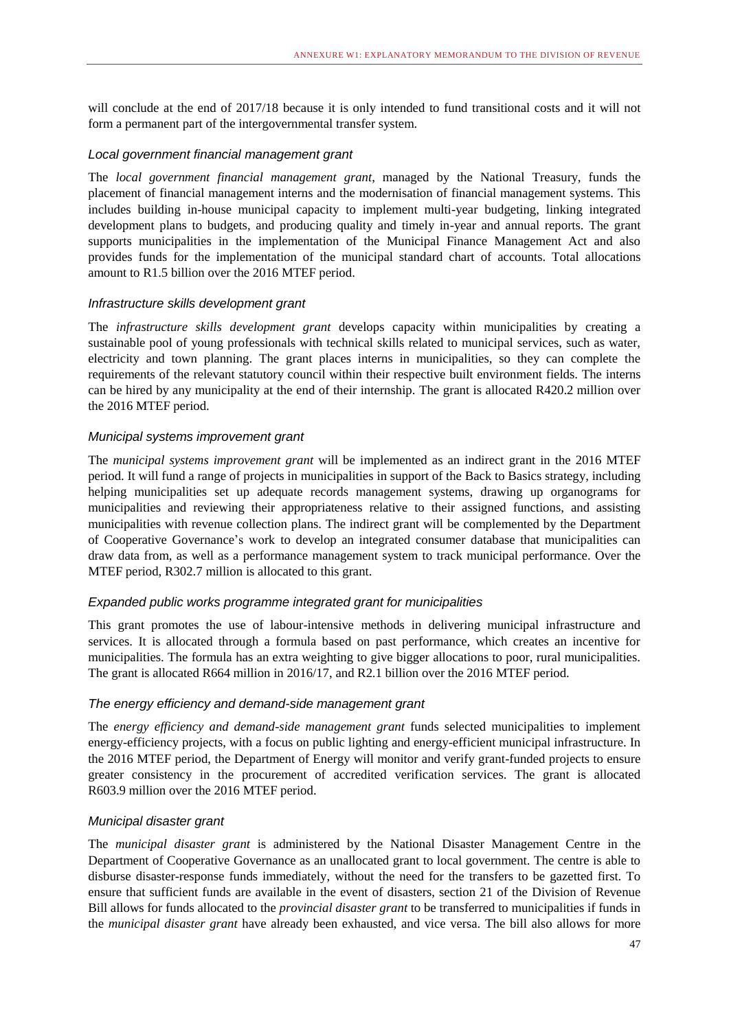will conclude at the end of 2017/18 because it is only intended to fund transitional costs and it will not form a permanent part of the intergovernmental transfer system.

### *Local government financial management grant*

The *local government financial management grant*, managed by the National Treasury, funds the placement of financial management interns and the modernisation of financial management systems. This includes building in-house municipal capacity to implement multi-year budgeting, linking integrated development plans to budgets, and producing quality and timely in-year and annual reports. The grant supports municipalities in the implementation of the Municipal Finance Management Act and also provides funds for the implementation of the municipal standard chart of accounts. Total allocations amount to R1.5 billion over the 2016 MTEF period.

### *Infrastructure skills development grant*

The *infrastructure skills development grant* develops capacity within municipalities by creating a sustainable pool of young professionals with technical skills related to municipal services, such as water, electricity and town planning. The grant places interns in municipalities, so they can complete the requirements of the relevant statutory council within their respective built environment fields. The interns can be hired by any municipality at the end of their internship. The grant is allocated R420.2 million over the 2016 MTEF period.

### *Municipal systems improvement grant*

The *municipal systems improvement grant* will be implemented as an indirect grant in the 2016 MTEF period. It will fund a range of projects in municipalities in support of the Back to Basics strategy, including helping municipalities set up adequate records management systems, drawing up organograms for municipalities and reviewing their appropriateness relative to their assigned functions, and assisting municipalities with revenue collection plans. The indirect grant will be complemented by the Department of Cooperative Governance's work to develop an integrated consumer database that municipalities can draw data from, as well as a performance management system to track municipal performance. Over the MTEF period, R302.7 million is allocated to this grant.

### *Expanded public works programme integrated grant for municipalities*

This grant promotes the use of labour-intensive methods in delivering municipal infrastructure and services. It is allocated through a formula based on past performance, which creates an incentive for municipalities. The formula has an extra weighting to give bigger allocations to poor, rural municipalities. The grant is allocated R664 million in 2016/17, and R2.1 billion over the 2016 MTEF period.

### *The energy efficiency and demand-side management grant*

The *energy efficiency and demand-side management grant* funds selected municipalities to implement energy-efficiency projects, with a focus on public lighting and energy-efficient municipal infrastructure. In the 2016 MTEF period, the Department of Energy will monitor and verify grant-funded projects to ensure greater consistency in the procurement of accredited verification services. The grant is allocated R603.9 million over the 2016 MTEF period.

### *Municipal disaster grant*

The *municipal disaster grant* is administered by the National Disaster Management Centre in the Department of Cooperative Governance as an unallocated grant to local government. The centre is able to disburse disaster-response funds immediately, without the need for the transfers to be gazetted first. To ensure that sufficient funds are available in the event of disasters, section 21 of the Division of Revenue Bill allows for funds allocated to the *provincial disaster grant* to be transferred to municipalities if funds in the *municipal disaster grant* have already been exhausted, and vice versa. The bill also allows for more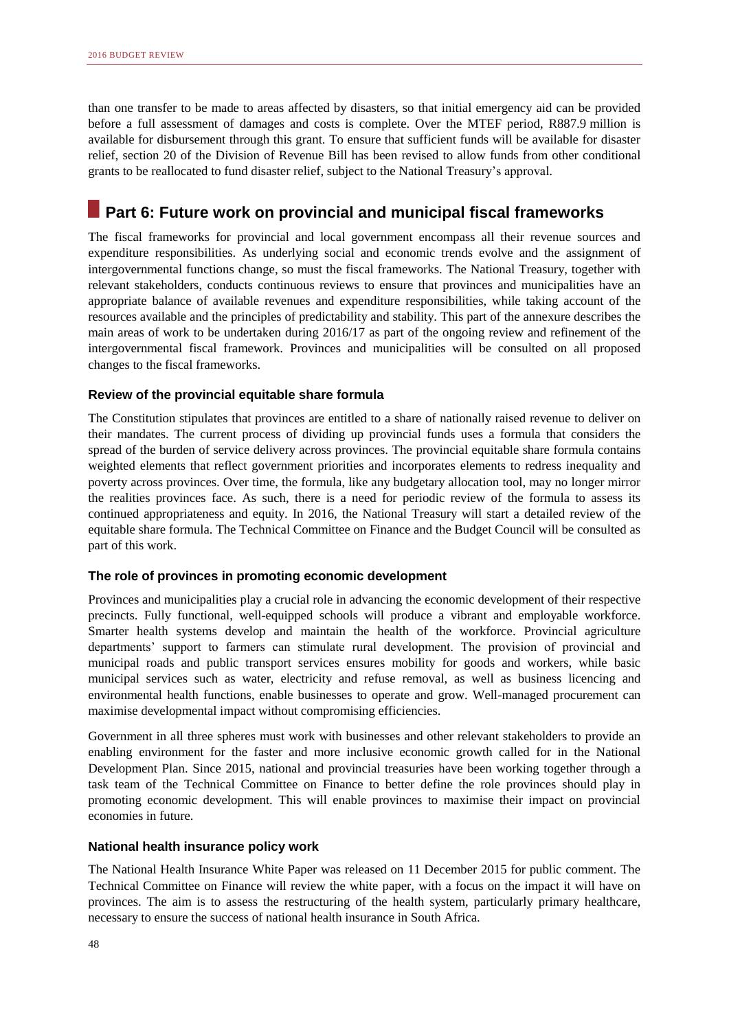than one transfer to be made to areas affected by disasters, so that initial emergency aid can be provided before a full assessment of damages and costs is complete. Over the MTEF period, R887.9 million is available for disbursement through this grant. To ensure that sufficient funds will be available for disaster relief, section 20 of the Division of Revenue Bill has been revised to allow funds from other conditional grants to be reallocated to fund disaster relief, subject to the National Treasury's approval.

# **Part 6: Future work on provincial and municipal fiscal frameworks**

The fiscal frameworks for provincial and local government encompass all their revenue sources and expenditure responsibilities. As underlying social and economic trends evolve and the assignment of intergovernmental functions change, so must the fiscal frameworks. The National Treasury, together with relevant stakeholders, conducts continuous reviews to ensure that provinces and municipalities have an appropriate balance of available revenues and expenditure responsibilities, while taking account of the resources available and the principles of predictability and stability. This part of the annexure describes the main areas of work to be undertaken during 2016/17 as part of the ongoing review and refinement of the intergovernmental fiscal framework. Provinces and municipalities will be consulted on all proposed changes to the fiscal frameworks.

### **Review of the provincial equitable share formula**

The Constitution stipulates that provinces are entitled to a share of nationally raised revenue to deliver on their mandates. The current process of dividing up provincial funds uses a formula that considers the spread of the burden of service delivery across provinces. The provincial equitable share formula contains weighted elements that reflect government priorities and incorporates elements to redress inequality and poverty across provinces. Over time, the formula, like any budgetary allocation tool, may no longer mirror the realities provinces face. As such, there is a need for periodic review of the formula to assess its continued appropriateness and equity. In 2016, the National Treasury will start a detailed review of the equitable share formula. The Technical Committee on Finance and the Budget Council will be consulted as part of this work.

### **The role of provinces in promoting economic development**

Provinces and municipalities play a crucial role in advancing the economic development of their respective precincts. Fully functional, well-equipped schools will produce a vibrant and employable workforce. Smarter health systems develop and maintain the health of the workforce. Provincial agriculture departments' support to farmers can stimulate rural development. The provision of provincial and municipal roads and public transport services ensures mobility for goods and workers, while basic municipal services such as water, electricity and refuse removal, as well as business licencing and environmental health functions, enable businesses to operate and grow. Well-managed procurement can maximise developmental impact without compromising efficiencies.

Government in all three spheres must work with businesses and other relevant stakeholders to provide an enabling environment for the faster and more inclusive economic growth called for in the National Development Plan. Since 2015, national and provincial treasuries have been working together through a task team of the Technical Committee on Finance to better define the role provinces should play in promoting economic development. This will enable provinces to maximise their impact on provincial economies in future.

### **National health insurance policy work**

The National Health Insurance White Paper was released on 11 December 2015 for public comment. The Technical Committee on Finance will review the white paper, with a focus on the impact it will have on provinces. The aim is to assess the restructuring of the health system, particularly primary healthcare, necessary to ensure the success of national health insurance in South Africa.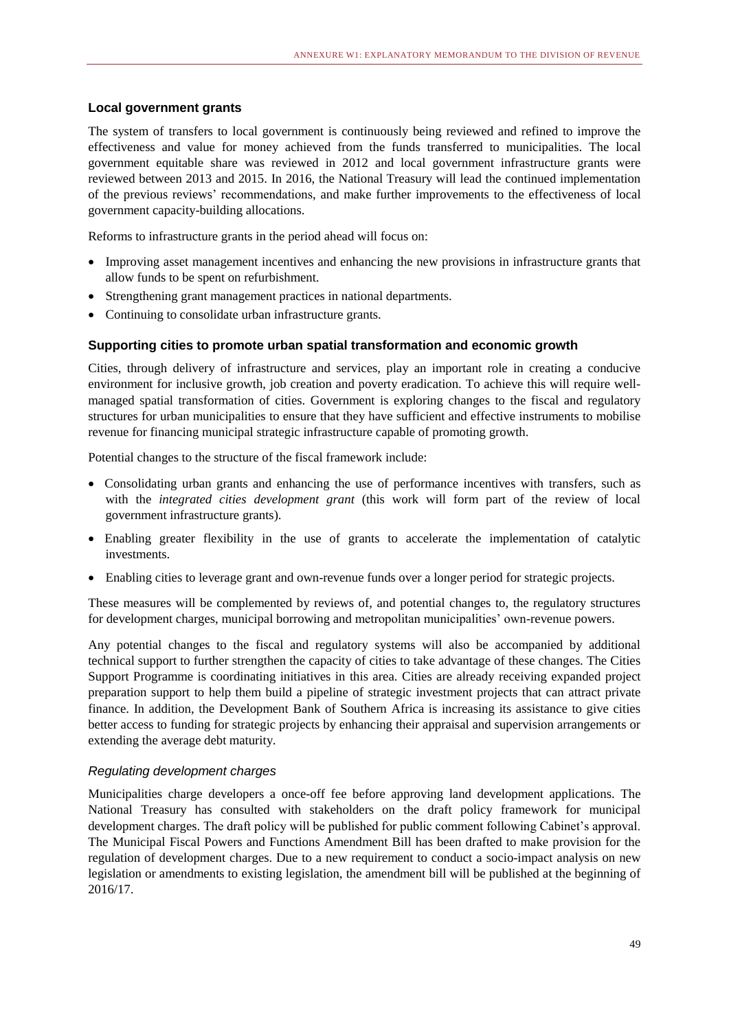### **Local government grants**

The system of transfers to local government is continuously being reviewed and refined to improve the effectiveness and value for money achieved from the funds transferred to municipalities. The local government equitable share was reviewed in 2012 and local government infrastructure grants were reviewed between 2013 and 2015. In 2016, the National Treasury will lead the continued implementation of the previous reviews' recommendations, and make further improvements to the effectiveness of local government capacity-building allocations.

Reforms to infrastructure grants in the period ahead will focus on:

- Improving asset management incentives and enhancing the new provisions in infrastructure grants that allow funds to be spent on refurbishment.
- Strengthening grant management practices in national departments.
- Continuing to consolidate urban infrastructure grants.

### **Supporting cities to promote urban spatial transformation and economic growth**

Cities, through delivery of infrastructure and services, play an important role in creating a conducive environment for inclusive growth, job creation and poverty eradication. To achieve this will require wellmanaged spatial transformation of cities. Government is exploring changes to the fiscal and regulatory structures for urban municipalities to ensure that they have sufficient and effective instruments to mobilise revenue for financing municipal strategic infrastructure capable of promoting growth.

Potential changes to the structure of the fiscal framework include:

- Consolidating urban grants and enhancing the use of performance incentives with transfers, such as with the *integrated cities development grant* (this work will form part of the review of local government infrastructure grants).
- Enabling greater flexibility in the use of grants to accelerate the implementation of catalytic investments.
- Enabling cities to leverage grant and own-revenue funds over a longer period for strategic projects.

These measures will be complemented by reviews of, and potential changes to, the regulatory structures for development charges, municipal borrowing and metropolitan municipalities' own-revenue powers.

Any potential changes to the fiscal and regulatory systems will also be accompanied by additional technical support to further strengthen the capacity of cities to take advantage of these changes. The Cities Support Programme is coordinating initiatives in this area. Cities are already receiving expanded project preparation support to help them build a pipeline of strategic investment projects that can attract private finance. In addition, the Development Bank of Southern Africa is increasing its assistance to give cities better access to funding for strategic projects by enhancing their appraisal and supervision arrangements or extending the average debt maturity.

### *Regulating development charges*

Municipalities charge developers a once-off fee before approving land development applications. The National Treasury has consulted with stakeholders on the draft policy framework for municipal development charges. The draft policy will be published for public comment following Cabinet's approval. The Municipal Fiscal Powers and Functions Amendment Bill has been drafted to make provision for the regulation of development charges. Due to a new requirement to conduct a socio-impact analysis on new legislation or amendments to existing legislation, the amendment bill will be published at the beginning of 2016/17.